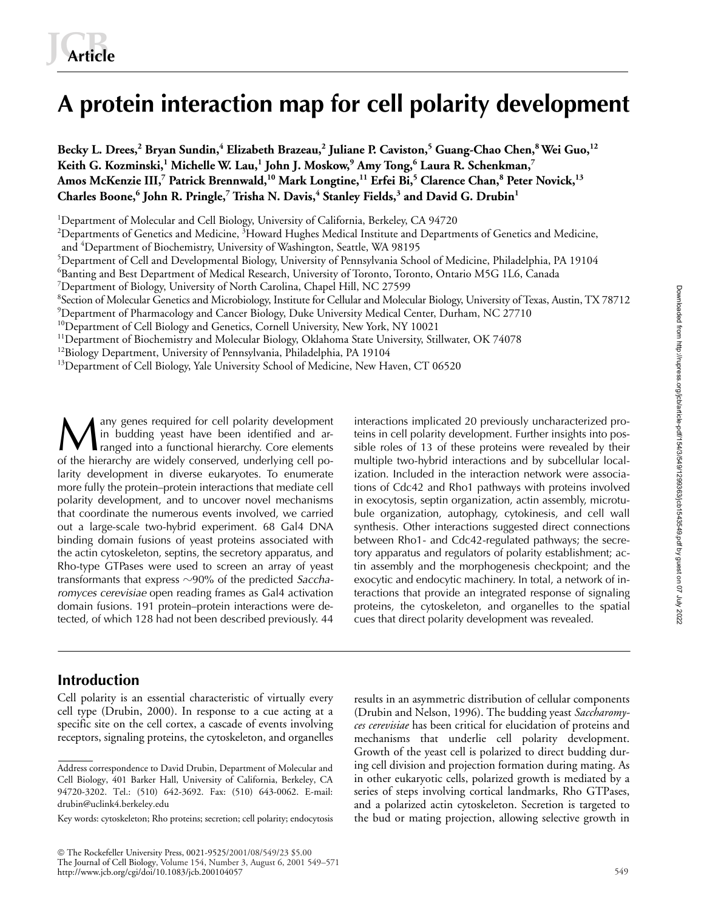# **A protein interaction map for cell polarity development**

**Becky L. Drees,<sup>2</sup> Bryan Sundin,<sup>4</sup> Elizabeth Brazeau,<sup>2</sup> Juliane P. Caviston,<sup>5</sup> Guang-Chao Chen,8 Wei Guo,12 Keith G. Kozminski,<sup>1</sup> Michelle W. Lau,<sup>1</sup> John J. Moskow,<sup>9</sup> Amy Tong,6 Laura R. Schenkman,<sup>7</sup> Amos McKenzie III,<sup>7</sup> Patrick Brennwald,10 Mark Longtine,11 Erfei Bi,5 Clarence Chan,<sup>8</sup> Peter Novick,<sup>13</sup> Charles Boone,<sup>6</sup> John R. Pringle,<sup>7</sup> Trisha N. Davis,<sup>4</sup> Stanley Fields,<sup>3</sup> and David G. Drubin<sup>1</sup>**

<sup>1</sup>Department of Molecular and Cell Biology, University of California, Berkeley, CA 94720

 $^2$ Departments of Genetics and Medicine,  $^3$ Howard Hughes Medical Institute and Departments of Genetics and Medicine,

and 4 Department of Biochemistry, University of Washington, Seattle, WA 98195

 $^5$ Department of Cell and Developmental Biology, University of Pennsylvania School of Medicine, Philadelphia, PA 19104

 $^6$ Banting and Best Department of Medical Research, University of Toronto, Toronto, Ontario M5G 1L6, Canada

7 Department of Biology, University of North Carolina, Chapel Hill, NC 27599

8 Section of Molecular Genetics and Microbiology, Institute for Cellular and Molecular Biology, University of Texas, Austin, TX 78712

9 Department of Pharmacology and Cancer Biology, Duke University Medical Center, Durham, NC 27710

<sup>10</sup>Department of Cell Biology and Genetics, Cornell University, New York, NY 10021

 $11$ Department of Biochemistry and Molecular Biology, Oklahoma State University, Stillwater, OK 74078

<sup>12</sup>Biology Department, University of Pennsylvania, Philadelphia, PA 19104

<sup>13</sup>Department of Cell Biology, Yale University School of Medicine, New Haven, CT 06520

any genes required for cell polarity development in budding yeast have been identified and arranged into a functional hierarchy. Core elements of the hierarchy are widely conserved, underlying cell polarity development in diverse eukaryotes. To enumerate more fully the protein–protein interactions that mediate cell polarity development, and to uncover novel mechanisms that coordinate the numerous events involved, we carried out a large-scale two-hybrid experiment. 68 Gal4 DNA binding domain fusions of yeast proteins associated with the actin cytoskeleton, septins, the secretory apparatus, and Rho-type GTPases were used to screen an array of yeast transformants that express -90% of the predicted *Saccharomyces cerevisiae* open reading frames as Gal4 activation domain fusions. 191 protein–protein interactions were detected, of which 128 had not been described previously. 44 Many genes required for cell polarity development<br>interactions implicated 20 previously uncharacterized pro-<br>ranged into a functional hierarchy. Core elements<br>of the bierarchy are widely conserved underlying cell po-<br>multi

# **Introduction**

Cell polarity is an essential characteristic of virtually every cell type (Drubin, 2000). In response to a cue acting at a specific site on the cell cortex, a cascade of events involving receptors, signaling proteins, the cytoskeleton, and organelles

teins in cell polarity development. Further insights into possible roles of 13 of these proteins were revealed by their multiple two-hybrid interactions and by subcellular localization. Included in the interaction network were associations of Cdc42 and Rho1 pathways with proteins involved in exocytosis, septin organization, actin assembly, microtubule organization, autophagy, cytokinesis, and cell wall synthesis. Other interactions suggested direct connections between Rho1- and Cdc42-regulated pathways; the secretory apparatus and regulators of polarity establishment; actin assembly and the morphogenesis checkpoint; and the exocytic and endocytic machinery. In total, a network of interactions that provide an integrated response of signaling proteins, the cytoskeleton, and organelles to the spatial cues that direct polarity development was revealed.

results in an asymmetric distribution of cellular components (Drubin and Nelson, 1996). The budding yeast *Saccharomyces cerevisiae* has been critical for elucidation of proteins and mechanisms that underlie cell polarity development. Growth of the yeast cell is polarized to direct budding during cell division and projection formation during mating. As in other eukaryotic cells, polarized growth is mediated by a series of steps involving cortical landmarks, Rho GTPases, and a polarized actin cytoskeleton. Secretion is targeted to the bud or mating projection, allowing selective growth in

Address correspondence to David Drubin, Department of Molecular and Cell Biology, 401 Barker Hall, University of California, Berkeley, CA 94720-3202. Tel.: (510) 642-3692. Fax: (510) 643-0062. E-mail: drubin@uclink4.berkeley.edu

Key words: cytoskeleton; Rho proteins; secretion; cell polarity; endocytosis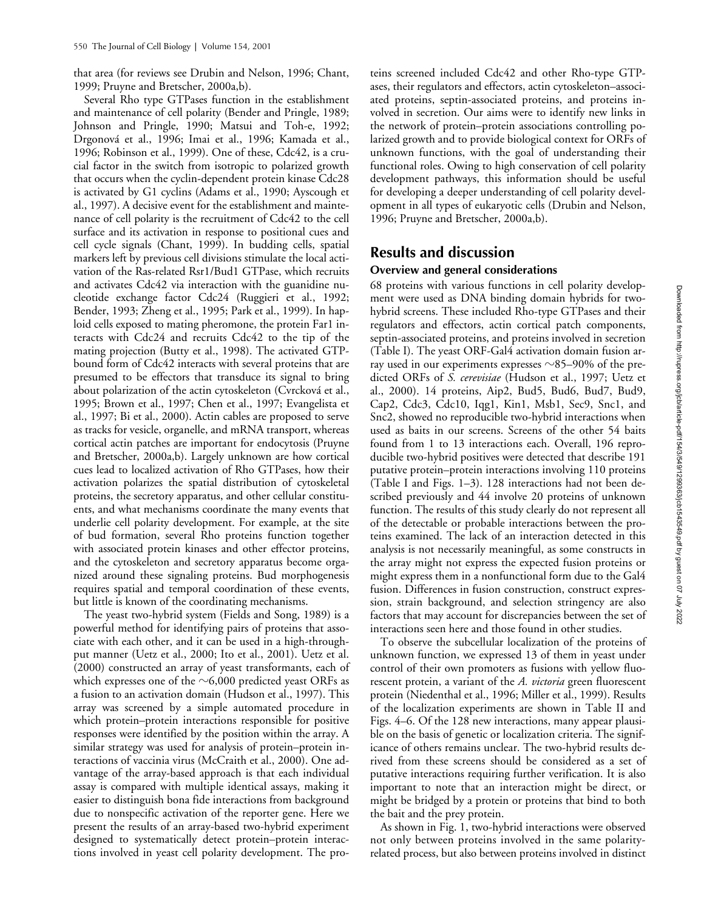that area (for reviews see Drubin and Nelson, 1996; Chant, 1999; Pruyne and Bretscher, 2000a,b).

Several Rho type GTPases function in the establishment and maintenance of cell polarity (Bender and Pringle, 1989; Johnson and Pringle, 1990; Matsui and Toh-e, 1992; Drgonová et al., 1996; Imai et al., 1996; Kamada et al., 1996; Robinson et al., 1999). One of these, Cdc42, is a crucial factor in the switch from isotropic to polarized growth that occurs when the cyclin-dependent protein kinase Cdc28 is activated by G1 cyclins (Adams et al., 1990; Ayscough et al., 1997). A decisive event for the establishment and maintenance of cell polarity is the recruitment of Cdc42 to the cell surface and its activation in response to positional cues and cell cycle signals (Chant, 1999). In budding cells, spatial markers left by previous cell divisions stimulate the local activation of the Ras-related Rsr1/Bud1 GTPase, which recruits and activates Cdc42 via interaction with the guanidine nucleotide exchange factor Cdc24 (Ruggieri et al., 1992; Bender, 1993; Zheng et al., 1995; Park et al., 1999). In haploid cells exposed to mating pheromone, the protein Far1 interacts with Cdc24 and recruits Cdc42 to the tip of the mating projection (Butty et al., 1998). The activated GTPbound form of Cdc42 interacts with several proteins that are presumed to be effectors that transduce its signal to bring about polarization of the actin cytoskeleton (Cvrcková et al., 1995; Brown et al., 1997; Chen et al., 1997; Evangelista et al., 1997; Bi et al., 2000). Actin cables are proposed to serve as tracks for vesicle, organelle, and mRNA transport, whereas cortical actin patches are important for endocytosis (Pruyne and Bretscher, 2000a,b). Largely unknown are how cortical cues lead to localized activation of Rho GTPases, how their activation polarizes the spatial distribution of cytoskeletal proteins, the secretory apparatus, and other cellular constituents, and what mechanisms coordinate the many events that underlie cell polarity development. For example, at the site of bud formation, several Rho proteins function together with associated protein kinases and other effector proteins, and the cytoskeleton and secretory apparatus become organized around these signaling proteins. Bud morphogenesis requires spatial and temporal coordination of these events, but little is known of the coordinating mechanisms.

The yeast two-hybrid system (Fields and Song, 1989) is a powerful method for identifying pairs of proteins that associate with each other, and it can be used in a high-throughput manner (Uetz et al., 2000; Ito et al., 2001). Uetz et al. (2000) constructed an array of yeast transformants, each of which expresses one of the  $\sim$ 6,000 predicted yeast ORFs as a fusion to an activation domain (Hudson et al., 1997). This array was screened by a simple automated procedure in which protein–protein interactions responsible for positive responses were identified by the position within the array. A similar strategy was used for analysis of protein–protein interactions of vaccinia virus (McCraith et al., 2000). One advantage of the array-based approach is that each individual assay is compared with multiple identical assays, making it easier to distinguish bona fide interactions from background due to nonspecific activation of the reporter gene. Here we present the results of an array-based two-hybrid experiment designed to systematically detect protein–protein interactions involved in yeast cell polarity development. The proteins screened included Cdc42 and other Rho-type GTPases, their regulators and effectors, actin cytoskeleton–associated proteins, septin-associated proteins, and proteins involved in secretion. Our aims were to identify new links in the network of protein–protein associations controlling polarized growth and to provide biological context for ORFs of unknown functions, with the goal of understanding their functional roles. Owing to high conservation of cell polarity development pathways, this information should be useful for developing a deeper understanding of cell polarity development in all types of eukaryotic cells (Drubin and Nelson, 1996; Pruyne and Bretscher, 2000a,b).

# **Results and discussion**

# **Overview and general considerations**

68 proteins with various functions in cell polarity development were used as DNA binding domain hybrids for twohybrid screens. These included Rho-type GTPases and their regulators and effectors, actin cortical patch components, septin-associated proteins, and proteins involved in secretion (Table I). The yeast ORF-Gal4 activation domain fusion array used in our experiments expresses  $\sim$ 85–90% of the predicted ORFs of *S. cerevisiae* (Hudson et al., 1997; Uetz et al., 2000). 14 proteins, Aip2, Bud5, Bud6, Bud7, Bud9, Cap2, Cdc3, Cdc10, Iqg1, Kin1, Msb1, Sec9, Snc1, and Snc2, showed no reproducible two-hybrid interactions when used as baits in our screens. Screens of the other 54 baits found from 1 to 13 interactions each. Overall, 196 reproducible two-hybrid positives were detected that describe 191 putative protein–protein interactions involving 110 proteins (Table I and Figs. 1–3). 128 interactions had not been described previously and 44 involve 20 proteins of unknown function. The results of this study clearly do not represent all of the detectable or probable interactions between the proteins examined. The lack of an interaction detected in this analysis is not necessarily meaningful, as some constructs in the array might not express the expected fusion proteins or might express them in a nonfunctional form due to the Gal4 fusion. Differences in fusion construction, construct expression, strain background, and selection stringency are also factors that may account for discrepancies between the set of interactions seen here and those found in other studies.

To observe the subcellular localization of the proteins of unknown function, we expressed 13 of them in yeast under control of their own promoters as fusions with yellow fluorescent protein, a variant of the *A. victoria* green fluorescent protein (Niedenthal et al., 1996; Miller et al., 1999). Results of the localization experiments are shown in Table II and Figs. 4–6. Of the 128 new interactions, many appear plausible on the basis of genetic or localization criteria. The significance of others remains unclear. The two-hybrid results derived from these screens should be considered as a set of putative interactions requiring further verification. It is also important to note that an interaction might be direct, or might be bridged by a protein or proteins that bind to both the bait and the prey protein.

As shown in Fig. 1, two-hybrid interactions were observed not only between proteins involved in the same polarityrelated process, but also between proteins involved in distinct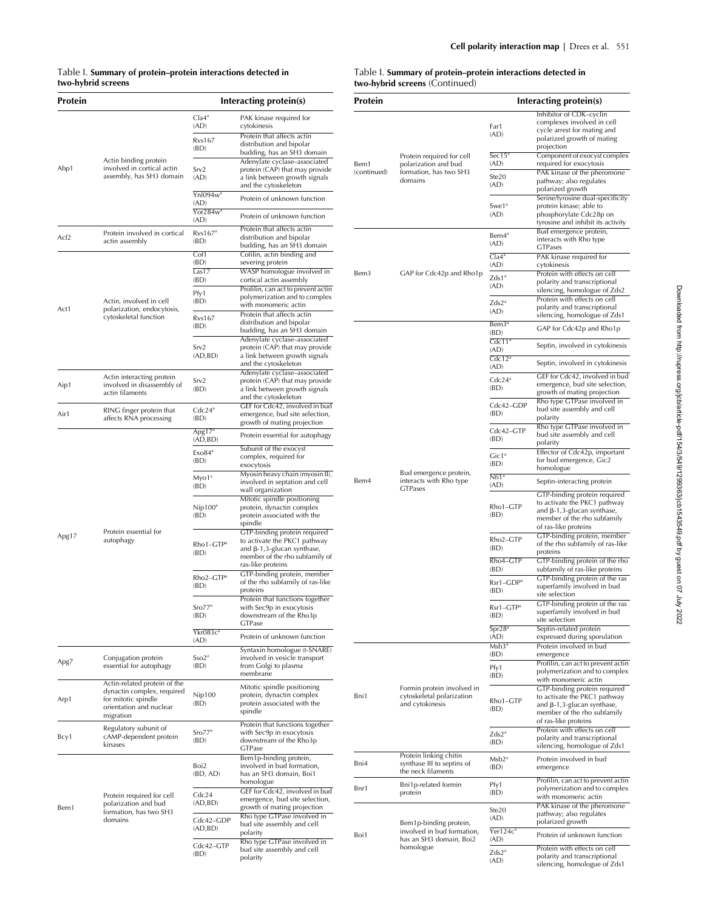| Protein |                                                                                                                           | Interacting protein(s)        | Protein                                                                                                                                                  |                     |                   |
|---------|---------------------------------------------------------------------------------------------------------------------------|-------------------------------|----------------------------------------------------------------------------------------------------------------------------------------------------------|---------------------|-------------------|
|         |                                                                                                                           | Cla4 <sup>a</sup><br>(AD)     | PAK kinase required for<br>cytokinesis                                                                                                                   |                     |                   |
|         |                                                                                                                           | <b>Rvs167</b><br>(BD)         | Protein that affects actin<br>distribution and bipolar<br>budding, has an SH3 domain                                                                     |                     | Pro               |
| Abp1    | Actin binding protein<br>involved in cortical actin<br>assembly, has SH3 domain                                           | Srv2<br>(AD)                  | Adenylate cyclase-associated<br>protein (CAP) that may provide<br>a link between growth signals<br>and the cytoskeleton                                  | Bem1<br>(continued) | po<br>for<br>do   |
|         |                                                                                                                           | $Yn1094w^a$<br>(AD)           | Protein of unknown function                                                                                                                              |                     |                   |
|         |                                                                                                                           | Yor $284w^a$<br>(AD)          | Protein of unknown function                                                                                                                              |                     |                   |
| Acf2    | Protein involved in cortical<br>actin assembly                                                                            | Rvs167 <sup>a</sup><br>(BD)   | Protein that affects actin<br>distribution and bipolar<br>budding, has an SH3 domain                                                                     |                     |                   |
|         |                                                                                                                           | Cof <sub>1</sub><br>(BD)      | Cofilin, actin binding and<br>severing protein                                                                                                           |                     |                   |
|         |                                                                                                                           | Las17<br>(BD)                 | WASP homologue involved in<br>cortical actin assembly                                                                                                    | Bem <sub>3</sub>    | G                 |
|         | Actin, involved in cell                                                                                                   | Pfy1<br>(BD)                  | Profilin, can act to prevent actin<br>polymerization and to complex<br>with monomeric actin                                                              |                     |                   |
| Act1    | polarization, endocytosis,<br>cytoskeletal function                                                                       | <b>Rvs167</b><br>(BD)         | Protein that affects actin<br>distribution and bipolar<br>budding, has an SH3 domain                                                                     |                     |                   |
|         |                                                                                                                           | Srv2<br>(AD,BD)               | Adenylate cyclase-associated<br>protein (CAP) that may provide<br>a link between growth signals<br>and the cytoskeleton                                  |                     |                   |
| Aip1    | Actin interacting protein<br>involved in disassembly of<br>actin filaments                                                | Srv2<br>(BD)                  | Adenylate cyclase-associated<br>protein (CAP) that may provide<br>a link between growth signals<br>and the cytoskeleton                                  |                     |                   |
| Air1    | RING finger protein that<br>affects RNA processing                                                                        | Cdc24 <sup>a</sup><br>(BD)    | GEF for Cdc42, involved in bud<br>emergence, bud site selection,<br>growth of mating projection                                                          |                     |                   |
|         | Protein essential for<br>autophagy                                                                                        | Apg $17a$<br>(AD,BD)          | Protein essential for autophagy                                                                                                                          |                     |                   |
|         |                                                                                                                           | Exo84 <sup>a</sup><br>(BD)    | Subunit of the exocyst<br>complex, required for<br>exocytosis                                                                                            |                     |                   |
|         |                                                                                                                           | Myo1 <sup>a</sup><br>(BD)     | Myosin heavy chain (myosin II),<br>involved in septation and cell<br>wall organization                                                                   | Bem4                | Bu<br>int<br>GТ   |
|         |                                                                                                                           | Nip100 <sup>a</sup><br>(BD)   | Mitotic spindle positioning<br>protein, dynactin complex<br>protein associated with the<br>spindle                                                       |                     |                   |
| Apg17   |                                                                                                                           | $Rho1-GTPa$<br>(BD)           | GTP-binding protein required<br>to activate the PKC1 pathway<br>and $\beta$ -1,3-glucan synthase,<br>member of the rho subfamily of<br>ras-like proteins |                     |                   |
|         |                                                                                                                           | Rho2-GTP <sup>a</sup><br>(BD) | GTP-binding protein, member<br>of the rho subfamily of ras-like<br>proteins                                                                              |                     |                   |
|         |                                                                                                                           | Sro77a<br>(BD)                | Protein that functions together<br>with Sec9p in exocytosis<br>downstream of the Rho3p<br>GTPase                                                         |                     |                   |
|         |                                                                                                                           | Ykr083c <sup>a</sup><br>(AD)  | Protein of unknown function                                                                                                                              |                     |                   |
| Apg7    | Conjugation protein<br>essential for autophagy                                                                            | Sso2 <sup>a</sup><br>(BD)     | Syntaxin homologue (t-SNARE)<br>involved in vesicle transport<br>from Golgi to plasma<br>membrane                                                        |                     |                   |
| Arp1    | Actin-related protein of the<br>dynactin complex, required<br>for mitotic spindle<br>orientation and nuclear<br>migration | Nip100<br>(BD)                | Mitotic spindle positioning<br>protein, dynactin complex<br>protein associated with the<br>spindle                                                       | Bni1                | Fo<br>cyl<br>an   |
| Bcy1    | Regulatory subunit of<br>cAMP-dependent protein<br>kinases                                                                | SrO77 <sup>a</sup><br>(BD)    | Protein that functions together<br>with Sec9p in exocytosis<br>downstream of the Rho3p<br>GTPase                                                         |                     |                   |
|         |                                                                                                                           | Boi2<br>(BD, AD)              | Bem1p-binding protein,<br>involved in bud formation,<br>has an SH3 domain, Boi1<br>homologue                                                             | Bni4                | Pro<br>syr<br>the |
| Bem1    | Protein required for cell<br>polarization and bud                                                                         | Cdc24<br>(AD,BD)              | GEF for Cdc42, involved in bud<br>emergence, bud site selection,<br>growth of mating projection                                                          | Bnr1                | Вn<br>pro         |
|         | formation, has two SH3<br>domains                                                                                         | Cdc42-GDP<br>(AD,BD)          | Rho type GTPase involved in<br>bud site assembly and cell<br>polarity                                                                                    | Boi1                | Вe<br>in          |
|         |                                                                                                                           | Cdc42-GTP<br>(BD)             | Rho type GTPase involved in<br>bud site assembly and cell<br>polarity                                                                                    |                     | ha:<br>ho         |

| Protein     |                                                                                              | Interacting protein(s)        |                                                                                                                                                          |  |
|-------------|----------------------------------------------------------------------------------------------|-------------------------------|----------------------------------------------------------------------------------------------------------------------------------------------------------|--|
|             |                                                                                              | Far1<br>(AD)                  | Inhibitor of CDK-cyclin<br>complexes involved in cell<br>cycle arrest for mating and<br>polarized growth of mating                                       |  |
| Bem1        | Protein required for cell<br>polarization and bud                                            | Sec15 <sup>a</sup><br>(AD)    | projection<br>Component of exocyst complex<br>required for exocytosis                                                                                    |  |
| (continued) | formation, has two SH3<br>domains                                                            | Ste20<br>(AD)                 | PAK kinase of the pheromone<br>pathway; also regulates<br>polarized growth                                                                               |  |
|             |                                                                                              | Swe1 <sup>a</sup><br>(AD)     | Serine/tyrosine dual-specificity<br>protein kinase; able to<br>phosphorylate Cdc28p on<br>tyrosine and inhibit its activity                              |  |
|             |                                                                                              | Bem4 <sup>a</sup><br>(AD)     | Bud emergence protein,<br>interacts with Rho type<br><b>GTPases</b>                                                                                      |  |
|             |                                                                                              | $Cla4^a$<br>(AD)              | PAK kinase required for<br>cytokinesis                                                                                                                   |  |
| Bem3        | GAP for Cdc42p and Rho1p                                                                     | Zds1 <sup>a</sup><br>(AD)     | Protein with effects on cell<br>polarity and transcriptional<br>silencing, homologue of Zds2                                                             |  |
|             |                                                                                              | Zds2 <sup>a</sup><br>(AD)     | Protein with effects on cell<br>polarity and transcriptional<br>silencing, homologue of Zds1                                                             |  |
|             |                                                                                              | Bem3 <sup>a</sup><br>(BD)     | GAP for Cdc42p and Rho1p                                                                                                                                 |  |
|             |                                                                                              | Cdc11 <sup>a</sup><br>(AD)    | Septin, involved in cytokinesis                                                                                                                          |  |
|             |                                                                                              | Cdc12 <sup>a</sup><br>(AD)    | Septin, involved in cytokinesis                                                                                                                          |  |
|             |                                                                                              | Cdc24 <sup>a</sup><br>(BD)    | GEF for Cdc42, involved in bud<br>emergence, bud site selection,<br>growth of mating projection                                                          |  |
|             | Bud emergence protein,<br>interacts with Rho type<br><b>GTPases</b>                          | $Cdc42-GDP$<br>(BD)           | Rho type GTPase involved in<br>bud site assembly and cell<br>polarity                                                                                    |  |
|             |                                                                                              | Cdc42-GTP<br>(BD)             | Rho type GTPase involved in<br>bud site assembly and cell<br>polarity                                                                                    |  |
|             |                                                                                              | Gic1 <sup>a</sup><br>(BD)     | Effector of Cdc42p, important<br>for bud emergence, Gic2<br>homologue                                                                                    |  |
| Bem4        |                                                                                              | $Nfi1$ <sup>a</sup><br>(AD)   | Septin-interacting protein                                                                                                                               |  |
|             |                                                                                              | Rho1-GTP<br>(BD)              | GTP-binding protein required<br>to activate the PKC1 pathway<br>and $\beta$ -1,3-glucan synthase,<br>member of the rho subfamily<br>of ras-like proteins |  |
|             |                                                                                              | Rho <sub>2</sub> -GTP<br>(BD) | GTP-binding protein, member<br>of the rho subfamily of ras-like<br>proteins                                                                              |  |
|             |                                                                                              | Rho4-GTP<br>(BD)              | GTP-binding protein of the rho<br>subfamily of ras-like proteins                                                                                         |  |
|             |                                                                                              | Rsr1-GDP <sup>a</sup><br>(BD) | GTP-binding protein of the ras<br>superfamily involved in bud<br>site selection                                                                          |  |
|             |                                                                                              | Rsr1-GTP <sup>a</sup><br>(BD) | GTP-binding protein of the ras<br>superfamily involved in bud<br>site selection                                                                          |  |
|             |                                                                                              | Spr28 <sup>a</sup><br>(AD)    | Septin-related protein<br>expressed during sporulation                                                                                                   |  |
|             |                                                                                              | Msb3 <sup>a</sup><br>(BD)     | Protein involved in bud<br>emergence                                                                                                                     |  |
|             | Formin protein involved in<br>cytoskeletal polarization<br>and cytokinesis                   | Pfy1<br>(BD)                  | Profilin, can act to prevent actin<br>polymerization and to complex<br>with monomeric actin                                                              |  |
| Bni1        |                                                                                              | Rho1-GTP<br>(BD)              | GTP-binding protein required<br>to activate the PKC1 pathway<br>and $\beta$ -1,3-glucan synthase,<br>member of the rho subfamily<br>of ras-like proteins |  |
|             |                                                                                              | Zds2ª<br>(BD)                 | Protein with effects on cell<br>polarity and transcriptional<br>silencing, homologue of Zds1                                                             |  |
| Bni4        | Protein linking chitin<br>synthase III to septins of<br>the neck filaments                   | Msb2 <sup>a</sup><br>(BD)     | Protein involved in bud<br>emergence                                                                                                                     |  |
| Bnr1        | Bni1p-related formin<br>protein                                                              | Pfy1<br>(BD)                  | Profilin, can act to prevent actin<br>polymerization and to complex<br>with monomeric actin                                                              |  |
|             |                                                                                              | Ste20<br>(AD)                 | PAK kinase of the pheromone<br>pathway; also regulates                                                                                                   |  |
| Boi1        | Bem1p-binding protein,<br>involved in bud formation,<br>has an SH3 domain, Boi2<br>homologue | $Yer124c^a$<br>(AD)           | polarized growth<br>Protein of unknown function                                                                                                          |  |
|             |                                                                                              | Zds2 <sup>a</sup><br>(AD)     | Protein with effects on cell<br>polarity and transcriptional<br>silencing, homologue of Zds1                                                             |  |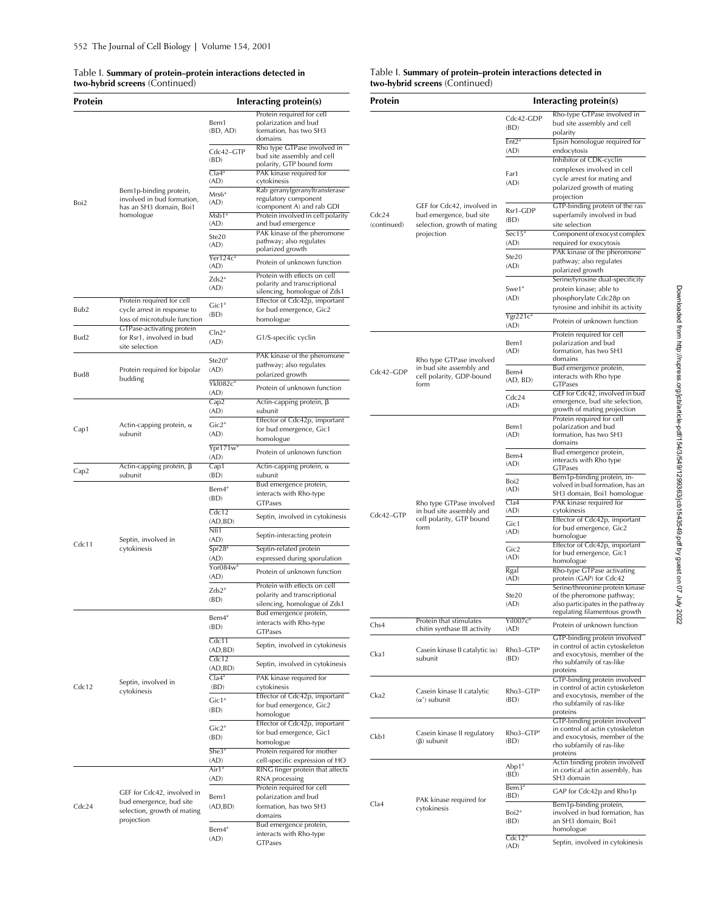| Protein          |                                                                                 | Interacting protein(s)               |                                                                                              |  |  |
|------------------|---------------------------------------------------------------------------------|--------------------------------------|----------------------------------------------------------------------------------------------|--|--|
|                  |                                                                                 | Bem1<br>(BD, AD)                     | Protein required for cell<br>polarization and bud<br>formation, has two SH3<br>domains       |  |  |
|                  |                                                                                 | Cdc42-GTP<br>(BD)                    | Rho type GTPase involved in<br>bud site assembly and cell<br>polarity, GTP bound form        |  |  |
|                  |                                                                                 | $Cla4^a$<br>(AD)                     | PAK kinase required for<br>cytokinesis                                                       |  |  |
| Boi <sub>2</sub> | Bem1p-binding protein,<br>involved in bud formation,<br>has an SH3 domain, Boi1 | Mrs6 <sup>a</sup><br>(AD)            | Rab geranylgeranyltransferase<br>regulatory component                                        |  |  |
|                  | homologue                                                                       | Msb1a                                | (component A) and rab GDI<br>Protein involved in cell polarity                               |  |  |
|                  |                                                                                 | (AD)                                 | and bud emergence                                                                            |  |  |
|                  |                                                                                 | Ste20<br>(AD)                        | PAK kinase of the pheromone<br>pathway; also regulates<br>polarized growth                   |  |  |
|                  |                                                                                 | $\overline{Yer124c^a}$<br>(AD)       | Protein of unknown function                                                                  |  |  |
|                  |                                                                                 | Zds2 <sup>a</sup><br>(AD)            | Protein with effects on cell<br>polarity and transcriptional<br>silencing, homologue of Zds1 |  |  |
|                  | Protein required for cell                                                       | Gic1 <sup>a</sup>                    | Effector of Cdc42p, important                                                                |  |  |
| Bub <sub>2</sub> | cycle arrest in response to                                                     | (BD)                                 | for bud emergence, Gic2                                                                      |  |  |
|                  | loss of microtubule function<br>GTPase-activating protein                       |                                      | homologue                                                                                    |  |  |
| Bud <sub>2</sub> | for Rsr1, involved in bud<br>site selection                                     | Cln2 <sup>a</sup><br>(AD)            | G1/S-specific cyclin                                                                         |  |  |
|                  |                                                                                 | Ste20 <sup>a</sup>                   | PAK kinase of the pheromone                                                                  |  |  |
| Bud8             | Protein required for bipolar                                                    | (AD)                                 | pathway; also regulates<br>polarized growth                                                  |  |  |
|                  | budding                                                                         | $Yk1082c^a$<br>(AD)                  | Protein of unknown function                                                                  |  |  |
|                  |                                                                                 | Cap <sub>2</sub>                     | Actin-capping protein, β                                                                     |  |  |
|                  | Actin-capping protein, $\alpha$                                                 | (AD)                                 | subunit<br>Effector of Cdc42p, important                                                     |  |  |
| Cap1             |                                                                                 | Gic2 <sup>a</sup>                    | for bud emergence, Gic1                                                                      |  |  |
|                  | subunit                                                                         | (AD)                                 | homologue                                                                                    |  |  |
|                  |                                                                                 | $Ypr171w^a$<br>(AD)                  | Protein of unknown function                                                                  |  |  |
| Cap2             | Actin-capping protein, β<br>subunit                                             | Cap1<br>(BD)                         | Actin-capping protein, α<br>subunit                                                          |  |  |
|                  |                                                                                 |                                      | Bud emergence protein,                                                                       |  |  |
|                  |                                                                                 | Bem4 <sup>a</sup><br>(BD)            | interacts with Rho-type<br>GTPases                                                           |  |  |
|                  | Septin, involved in<br>cytokinesis                                              | Cdc12<br>(AD,BD)                     | Septin, involved in cytokinesis                                                              |  |  |
| Cdc11            |                                                                                 | Nfi1<br>(AD)<br>Spr28 <sup>a</sup>   | Septin-interacting protein<br>Septin-related protein                                         |  |  |
|                  |                                                                                 | (AD)                                 | expressed during sporulation                                                                 |  |  |
|                  |                                                                                 | Yor084w <sup>a</sup>                 | Protein of unknown function                                                                  |  |  |
|                  |                                                                                 | (AD)                                 | Protein with effects on cell                                                                 |  |  |
|                  |                                                                                 | Zds2 <sup>a</sup>                    | polarity and transcriptional                                                                 |  |  |
|                  |                                                                                 | (BD)                                 | silencing, homologue of Zds1                                                                 |  |  |
|                  |                                                                                 | Bem4 <sup>a</sup>                    | Bud emergence protein,<br>interacts with Rho-type                                            |  |  |
|                  |                                                                                 | (BD)                                 | <b>GTPases</b>                                                                               |  |  |
|                  |                                                                                 | $\overline{\text{Cdc11}}$<br>(AD,BD) | Septin, involved in cytokinesis                                                              |  |  |
|                  |                                                                                 | Cdc12<br>(AD,BD)                     | Septin, involved in cytokinesis                                                              |  |  |
|                  |                                                                                 | $Cla4^a$                             | PAK kinase required for                                                                      |  |  |
| Cdc12            | Septin, involved in<br>cytokinesis                                              | (BD)                                 | cytokinesis                                                                                  |  |  |
|                  |                                                                                 | Gic1 <sup>a</sup>                    | Effector of Cdc42p, important<br>for bud emergence, Gic2                                     |  |  |
|                  |                                                                                 | (BD)                                 | homologue                                                                                    |  |  |
|                  |                                                                                 | Gic2 <sup>a</sup>                    | Effector of Cdc42p, important                                                                |  |  |
|                  |                                                                                 | (BD)                                 | for bud emergence, Gic1                                                                      |  |  |
|                  |                                                                                 | She3 <sup>a</sup>                    | homologue<br>Protein required for mother                                                     |  |  |
|                  |                                                                                 | (AD)                                 | cell-specific expression of HO                                                               |  |  |
|                  |                                                                                 | Air1 <sup>a</sup>                    | RING finger protein that affects                                                             |  |  |
|                  |                                                                                 | (AD)                                 | RNA processing                                                                               |  |  |
|                  | GEF for Cdc42, involved in                                                      | Bem1                                 | Protein required for cell<br>polarization and bud                                            |  |  |
| Cdc24            | bud emergence, bud site                                                         | (AD,BD)                              | formation, has two SH3                                                                       |  |  |
|                  | selection, growth of mating<br>projection                                       |                                      | domains                                                                                      |  |  |
|                  |                                                                                 | Bem4 <sup>a</sup><br>(AD)            | Bud emergence protein,<br>interacts with Rho-type                                            |  |  |
|                  |                                                                                 |                                      | GTPases                                                                                      |  |  |

| Table I. Summary of protein-protein interactions detected in |  |
|--------------------------------------------------------------|--|
| two-hybrid screens (Continued)                               |  |

| <b>Protein</b> |                                                                                          | Interacting protein(s)       |                                                                        |  |
|----------------|------------------------------------------------------------------------------------------|------------------------------|------------------------------------------------------------------------|--|
|                |                                                                                          | Cdc42-GDP<br>(BD)            | Rho-type GTPase involved in<br>bud site assembly and cell<br>polarity  |  |
|                |                                                                                          | Ent2 <sup>a</sup>            | Epsin homologue required for                                           |  |
|                |                                                                                          | (AD)                         | endocytosis<br>Inhibitor of CDK-cyclin                                 |  |
|                |                                                                                          |                              | complexes involved in cell                                             |  |
|                |                                                                                          | Far1<br>(AD)                 | cycle arrest for mating and                                            |  |
|                |                                                                                          |                              | polarized growth of mating<br>projection                               |  |
|                | GEF for Cdc42, involved in                                                               |                              | GTP-binding protein of the ras                                         |  |
| Cdc24          | bud emergence, bud site                                                                  | Rsr1-GDP<br>(BD)             | superfamily involved in bud                                            |  |
| (continued)    | selection, growth of mating<br>projection                                                | Sec15 <sup>a</sup>           | site selection<br>Component of exocyst complex                         |  |
|                |                                                                                          | (AD)                         | required for exocytosis                                                |  |
|                |                                                                                          | Ste20                        | PAK kinase of the pheromone<br>pathway; also regulates                 |  |
|                |                                                                                          | (AD)                         | polarized growth                                                       |  |
|                |                                                                                          | Swe1 <sup>a</sup>            | Serine/tyrosine dual-specificity<br>protein kinase; able to            |  |
|                |                                                                                          | (AD)                         | phosphorylate Cdc28p on                                                |  |
|                |                                                                                          |                              | tyrosine and inhibit its activity                                      |  |
|                |                                                                                          | $Ygr221c^a$<br>(AD)          | Protein of unknown function                                            |  |
|                |                                                                                          | Bem1                         | Protein required for cell<br>polarization and bud                      |  |
|                |                                                                                          | (AD)                         | formation, has two SH3                                                 |  |
|                | Rho type GTPase involved<br>in bud site assembly and                                     |                              | domains<br>Bud emergence protein,                                      |  |
| Cdc42-GDP      | cell polarity, GDP-bound<br>form                                                         | Bem4<br>(AD, BD)             | interacts with Rho type                                                |  |
|                |                                                                                          | Cdc24                        | <b>GTPases</b><br>GEF for Cdc42, involved in bud                       |  |
|                |                                                                                          | (AD)                         | emergence, bud site selection,<br>growth of mating projection          |  |
|                |                                                                                          | Bem1<br>(AD)                 | Protein required for cell                                              |  |
|                |                                                                                          |                              | polarization and bud<br>formation, has two SH3                         |  |
|                |                                                                                          |                              | domains                                                                |  |
|                | Rho type GTPase involved<br>in bud site assembly and<br>cell polarity, GTP bound<br>form | Bem4<br>(AD)                 | Bud emergence protein,<br>interacts with Rho type<br><b>GTPases</b>    |  |
|                |                                                                                          | Boi2                         | Bem1p-binding protein, in-<br>volved in bud formation, has an          |  |
|                |                                                                                          | (AD)                         | SH3 domain, Boi1 homologue                                             |  |
| Cdc42-GTP      |                                                                                          | Cla4<br>(AD)                 | PAK kinase required for<br>cytokinesis                                 |  |
|                |                                                                                          | Gic1                         | Effector of Cdc42p, important<br>for bud emergence, Gic2               |  |
|                |                                                                                          | (AD)                         | homologue                                                              |  |
|                |                                                                                          | Gic2                         | Effector of Cdc42p, important<br>for bud emergence, Gic1               |  |
|                |                                                                                          | (AD)                         | homologue                                                              |  |
|                |                                                                                          | Rgal<br>(AD)                 | Rho-type GTPase activating<br>protein (GAP) for Cdc42                  |  |
|                |                                                                                          | Ste20                        | Serine/threonine protein kinase<br>of the pheromone pathway;           |  |
|                |                                                                                          | (AD)                         | also participates in the pathway                                       |  |
| Chs4           | Protein that stimulates                                                                  | Yi1007c <sup>a</sup>         | regulating filamentous growth<br>Protein of unknown function           |  |
|                | chitin synthase III activity                                                             | (AD)                         | GTP-binding protein involved                                           |  |
|                | Casein kinase II catalytic $(\alpha)$                                                    | $R$ ho $3$ –GTP <sup>a</sup> | in control of actin cytoskeleton                                       |  |
| Cka1           | subunit                                                                                  | (BD)                         | and exocytosis, member of the<br>rho subfamily of ras-like<br>proteins |  |
|                |                                                                                          |                              | GTP-binding protein involved                                           |  |
| Cka2           | Casein kinase II catalytic                                                               | $R$ ho $3$ –GTP <sup>a</sup> | in control of actin cytoskeleton<br>and exocytosis, member of the      |  |
|                | $(\alpha')$ subunit                                                                      | (BD)                         | rho subfamily of ras-like                                              |  |
|                |                                                                                          |                              | proteins<br>GTP-binding protein involved                               |  |
| Ckb1           | Casein kinase II regulatory                                                              | $R$ ho $3$ –GTP <sup>a</sup> | in control of actin cytoskeleton<br>and exocytosis, member of the      |  |
|                | (β) subunit                                                                              | (BD)                         | rho subfamily of ras-like                                              |  |
|                |                                                                                          |                              | proteins<br>Actin binding protein involved                             |  |
|                |                                                                                          | Abp1ª<br>(BD)                | in cortical actin assembly, has<br>SH3 domain                          |  |
|                |                                                                                          | Bem3 <sup>a</sup>            | GAP for Cdc42p and Rho1p                                               |  |
| Cla4           | PAK kinase required for                                                                  | (BD)                         | Bem1p-binding protein,                                                 |  |
|                | cytokinesis                                                                              | Boi2 <sup>a</sup><br>(BD)    | involved in bud formation, has<br>an SH3 domain, Boi1<br>homologue     |  |
|                |                                                                                          | Cdc12 <sup>a</sup><br>(AD)   | Septin, involved in cytokinesis                                        |  |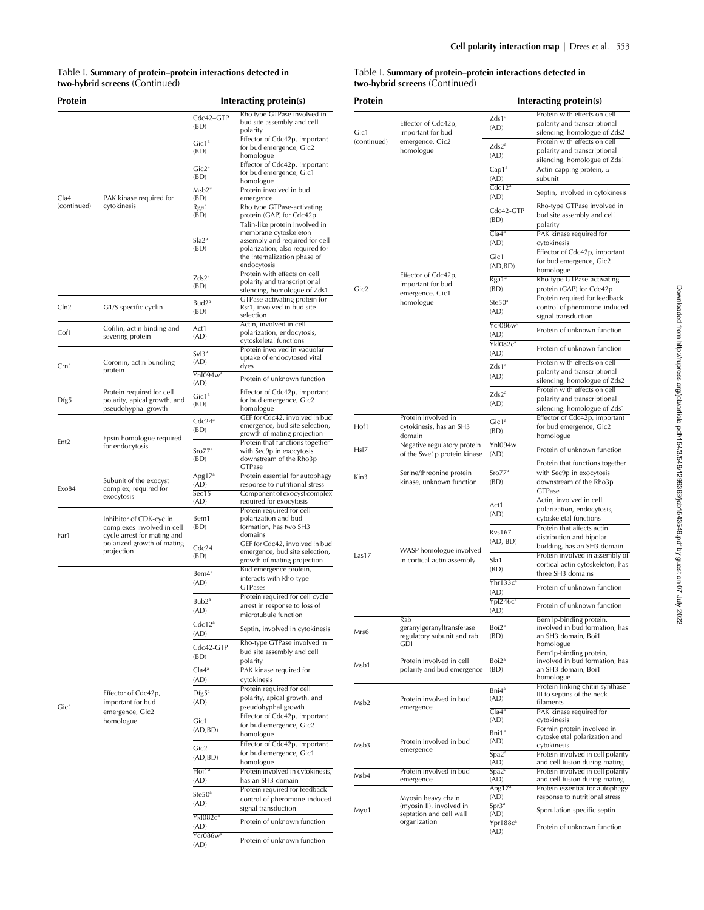| Protein             |                                                                                  |                                      | Interacting protein(s)                                                                                                                                                      |
|---------------------|----------------------------------------------------------------------------------|--------------------------------------|-----------------------------------------------------------------------------------------------------------------------------------------------------------------------------|
|                     |                                                                                  | Cdc42-GTP<br>(BD)                    | Rho type GTPase involved in<br>bud site assembly and cell<br>polarity                                                                                                       |
|                     |                                                                                  | Gic1 <sup>a</sup><br>(BD)            | Effector of Cdc42p, important<br>for bud emergence, Gic2<br>homologue                                                                                                       |
|                     |                                                                                  | Gic2 <sup>a</sup><br>(BD)            | Effector of Cdc42p, important<br>for bud emergence, Gic1<br>homologue                                                                                                       |
|                     |                                                                                  | Msb2 <sup>a</sup>                    | Protein involved in bud                                                                                                                                                     |
| Cla4<br>(continued) | PAK kinase required for<br>cytokinesis                                           | (BD)<br>Rga1                         | emergence<br>Rho type GTPase-activating                                                                                                                                     |
|                     |                                                                                  | (BD)                                 | protein (GAP) for Cdc42p                                                                                                                                                    |
|                     |                                                                                  | $Sla2^a$<br>(BD)                     | Talin-like protein involved in<br>membrane cytoskeleton<br>assembly and required for cell<br>polarization; also required for<br>the internalization phase of<br>endocytosis |
|                     |                                                                                  | Zds2 <sup>a</sup><br>(BD)            | Protein with effects on cell<br>polarity and transcriptional<br>silencing, homologue of Zds1                                                                                |
| Cln2                | G1/S-specific cyclin                                                             | Bud2 <sup>a</sup><br>(BD)            | GTPase-activating protein for<br>Rsr1, involved in bud site<br>selection                                                                                                    |
| Cof1                | Cofilin, actin binding and<br>severing protein                                   | Act1<br>(AD)                         | Actin, involved in cell<br>polarization, endocytosis,<br>cytoskeletal functions                                                                                             |
|                     |                                                                                  | Sv13 <sup>a</sup>                    | Protein involved in vacuolar                                                                                                                                                |
| Crn1                | Coronin, actin-bundling                                                          | (AD)                                 | uptake of endocytosed vital<br>dyes                                                                                                                                         |
|                     | protein                                                                          | $Yn1094w^a$<br>(AD)                  | Protein of unknown function                                                                                                                                                 |
| Dfg5                | Protein required for cell<br>polarity, apical growth, and<br>pseudohyphal growth | Gic1 <sup>a</sup><br>(BD)            | Effector of Cdc42p, important<br>for bud emergence, Gic2<br>homologue                                                                                                       |
|                     |                                                                                  | Cdc24 <sup>a</sup><br>(BD)           | GEF for Cdc42, involved in bud<br>emergence, bud site selection,<br>growth of mating projection                                                                             |
| Ent <sub>2</sub>    | Epsin homologue required<br>for endocytosis                                      |                                      | Protein that functions together                                                                                                                                             |
|                     |                                                                                  | Sro77 <sup>a</sup><br>(BD)           | with Sec9p in exocytosis<br>downstream of the Rho3p<br>GTPase                                                                                                               |
|                     | Subunit of the exocyst                                                           | Apg17 $^a$                           | Protein essential for autophagy                                                                                                                                             |
| Exo84               | complex, required for<br>exocytosis                                              | (AD)<br>Sec15                        | response to nutritional stress<br>Component of exocyst complex                                                                                                              |
|                     |                                                                                  | (AD)                                 | required for exocytosis                                                                                                                                                     |
|                     | Inhibitor of CDK-cyclin<br>complexes involved in cell                            | Bem1<br>(BD)                         | Protein required for cell<br>polarization and bud<br>formation, has two SH3                                                                                                 |
| Far1                | cycle arrest for mating and                                                      |                                      | domains                                                                                                                                                                     |
|                     | polarized growth of mating<br>projection                                         | Cdc24<br>(BD)                        | GEF for Cdc42, involved in bud<br>emergence, bud site selection,<br>growth of mating projection                                                                             |
|                     |                                                                                  | Bem4 <sup>a</sup><br>(AD)            | Bud emergence protein,<br>interacts with Rho-type                                                                                                                           |
|                     |                                                                                  |                                      | <b>GTPases</b><br>Protein required for cell cycle                                                                                                                           |
|                     |                                                                                  | Bub <sub>2<sup>a</sup></sub><br>(AD) | arrest in response to loss of                                                                                                                                               |
|                     |                                                                                  |                                      | microtubule function                                                                                                                                                        |
|                     |                                                                                  | Cdc12 <sup>a</sup><br>(AD)           | Septin, involved in cytokinesis                                                                                                                                             |
|                     |                                                                                  | Cdc42-GTP                            | Rho-type GTPase involved in                                                                                                                                                 |
|                     |                                                                                  | (BD)                                 | bud site assembly and cell                                                                                                                                                  |
|                     |                                                                                  | Cla4 <sup>a</sup>                    | polarity<br>PAK kinase required for                                                                                                                                         |
|                     |                                                                                  | (AD)                                 | cytokinesis                                                                                                                                                                 |
|                     | Effector of Cdc42p,                                                              | $Dfg5^a$                             | Protein required for cell                                                                                                                                                   |
| Gic1                | important for bud                                                                | (AD)                                 | polarity, apical growth, and<br>pseudohyphal growth                                                                                                                         |
|                     | emergence, Gic2                                                                  |                                      | Effector of Cdc42p, important                                                                                                                                               |
|                     | homologue                                                                        | Gic1<br>(AD, BD)                     | for bud emergence, Gic2                                                                                                                                                     |
|                     |                                                                                  |                                      | homologue                                                                                                                                                                   |
|                     |                                                                                  | Gic2<br>(AD,BD)                      | Effector of Cdc42p, important<br>for bud emergence, Gic1<br>homologue                                                                                                       |
|                     |                                                                                  | Hof1 <sup>a</sup>                    | Protein involved in cytokinesis,                                                                                                                                            |
|                     |                                                                                  | (AD)                                 | has an SH3 domain                                                                                                                                                           |
|                     |                                                                                  | Ste50 <sup>a</sup><br>(AD)           | Protein required for feedback<br>control of pheromone-induced<br>signal transduction                                                                                        |
|                     |                                                                                  | Yk1082c <sup>a</sup>                 | Protein of unknown function                                                                                                                                                 |
|                     |                                                                                  | (AD)<br>$Ycr086w^a$                  | Protein of unknown function                                                                                                                                                 |
|                     |                                                                                  | (AD)                                 |                                                                                                                                                                             |

| Protein          |                                                                       | Interacting protein(s)                            |                                                                                                         |  |
|------------------|-----------------------------------------------------------------------|---------------------------------------------------|---------------------------------------------------------------------------------------------------------|--|
| Gic1             | Effector of Cdc42p,<br>important for bud                              | Zds1ª<br>(AD)                                     | Protein with effects on cell<br>polarity and transcriptional<br>silencing, homologue of Zds2            |  |
| (continued)      | emergence, Gic2<br>homologue                                          | Zds2 <sup>a</sup><br>(AD)                         | Protein with effects on cell<br>polarity and transcriptional<br>silencing, homologue of Zds1            |  |
|                  |                                                                       | $Cap1^a$<br>(AD)<br>$\overline{\text{Cdc12}}^{a}$ | Actin-capping protein, $\alpha$<br>subunit                                                              |  |
|                  |                                                                       | (AD)                                              | Septin, involved in cytokinesis                                                                         |  |
|                  |                                                                       | Cdc42-GTP<br>(BD)                                 | Rho-type GTPase involved in<br>bud site assembly and cell<br>polarity                                   |  |
|                  |                                                                       | Cla4 <sup>a</sup><br>(AD)                         | PAK kinase required for<br>cytokinesis                                                                  |  |
|                  |                                                                       | Gic1<br>(AD,BD)                                   | Effector of Cdc42p, important<br>for bud emergence, Gic2<br>homologue                                   |  |
|                  | Effector of Cdc42p,<br>important for bud                              | Rga1 <sup>a</sup>                                 | Rho-type GTPase-activating                                                                              |  |
| Gic <sub>2</sub> | emergence, Gic1                                                       | (BD)                                              | protein (GAP) for Cdc42p<br>Protein required for feedback                                               |  |
|                  | homologue                                                             | Ste50 <sup>a</sup><br>(AD)                        | control of pheromone-induced<br>signal transduction                                                     |  |
|                  |                                                                       | $Ycr086w^a$<br>(AD)                               | Protein of unknown function                                                                             |  |
|                  |                                                                       | Yk1082c <sup>a</sup><br>(AD)                      | Protein of unknown function                                                                             |  |
|                  |                                                                       | Zds1ª<br>(AD)                                     | Protein with effects on cell<br>polarity and transcriptional                                            |  |
|                  |                                                                       |                                                   | silencing, homologue of Zds2<br>Protein with effects on cell                                            |  |
|                  |                                                                       | Zds2 <sup>a</sup><br>(AD)                         | polarity and transcriptional<br>silencing, homologue of Zds1                                            |  |
| Hof1             | Protein involved in<br>cytokinesis, has an SH3                        | Gic1 <sup>a</sup>                                 | Effector of Cdc42p, important<br>for bud emergence, Gic2                                                |  |
|                  | domain                                                                | (BD)                                              | homologue                                                                                               |  |
| Hsl7             | Negative regulatory protein<br>of the Swe1p protein kinase            | Ynl094w<br>(AD)                                   | Protein of unknown function                                                                             |  |
| Kin3             | Serine/threonine protein<br>kinase, unknown function                  | Sro77 <sup>a</sup><br>(BD)                        | Protein that functions together<br>with Sec9p in exocytosis<br>downstream of the Rho3p<br><b>GTPase</b> |  |
|                  | WASP homologue involved<br>in cortical actin assembly                 | Act1<br>(AD)                                      | Actin, involved in cell<br>polarization, endocytosis,<br>cytoskeletal functions                         |  |
|                  |                                                                       | <b>Rvs167</b>                                     | Protein that affects actin<br>distribution and bipolar                                                  |  |
|                  |                                                                       | (AD, BD)                                          | budding, has an SH3 domain                                                                              |  |
| Las17            |                                                                       | Sla1<br>(BD)                                      | Protein involved in assembly of<br>cortical actin cytoskeleton, has<br>three SH3 domains                |  |
|                  |                                                                       | Yhr133c <sup>a</sup><br>(AD)                      | Protein of unknown function                                                                             |  |
|                  |                                                                       | $Yp1246c^a$<br>(AD)                               | Protein of unknown function                                                                             |  |
| Mrs6             | Rab<br>geranylgeranyltransferase<br>regulatory subunit and rab<br>GDI | Boi2 <sup>a</sup><br>(BD)                         | Bem1p-binding protein,<br>involved in bud formation, has<br>an SH3 domain, Boi1<br>homologue            |  |
| Msb1             | Protein involved in cell<br>polarity and bud emergence                | Boi2 <sup>a</sup><br>(BD)                         | Bem1p-binding protein,<br>involved in bud formation, has<br>an SH3 domain, Boi1<br>homologue            |  |
| Msb2             | Protein involved in bud                                               | Bni4 <sup>a</sup><br>(AD)                         | Protein linking chitin synthase<br>III to septins of the neck<br>filaments                              |  |
|                  | emergence                                                             | $Cla4^a$<br>(AD)                                  | PAK kinase required for<br>cytokinesis                                                                  |  |
| Msb3             | Protein involved in bud<br>emergence                                  | Bni1 <sup>a</sup><br>(AD)                         | Formin protein involved in<br>cytoskeletal polarization and<br>cytokinesis                              |  |
|                  |                                                                       | Spa2 <sup>a</sup><br>(AD)                         | Protein involved in cell polarity<br>and cell fusion during mating                                      |  |
| Msb4             | Protein involved in bud<br>emergence                                  | Spa2ª<br>(AD)                                     | Protein involved in cell polarity<br>and cell fusion during mating                                      |  |
|                  | Myosin heavy chain                                                    | Apg17ª<br>(AD)                                    | Protein essential for autophagy<br>response to nutritional stress                                       |  |
| Myo1             | (myosin II), involved in<br>septation and cell wall                   | $Spr3^a$<br>(AD)                                  | Sporulation-specific septin                                                                             |  |
|                  | organization                                                          | Ypr188c <sup>a</sup><br>(AD)                      | Protein of unknown function                                                                             |  |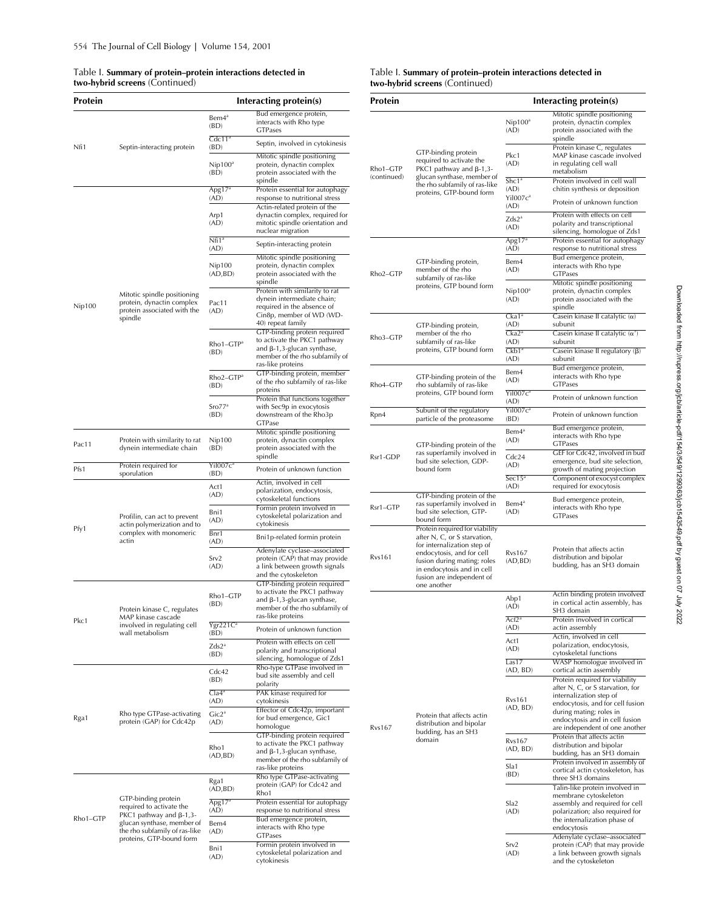| Protein  |                                                                                                                           | Interacting protein(s)     |                                                                                                                                                          |  |  |
|----------|---------------------------------------------------------------------------------------------------------------------------|----------------------------|----------------------------------------------------------------------------------------------------------------------------------------------------------|--|--|
|          |                                                                                                                           | Bem4 <sup>a</sup><br>(BD)  | Bud emergence protein,<br>interacts with Rho type<br><b>GTPases</b>                                                                                      |  |  |
| Nfi1     | Septin-interacting protein                                                                                                | Cdc11 <sup>a</sup><br>(BD) | Septin, involved in cytokinesis                                                                                                                          |  |  |
|          |                                                                                                                           | $Nip100^a$<br>(BD)         | Mitotic spindle positioning<br>protein, dynactin complex<br>protein associated with the<br>spindle                                                       |  |  |
|          |                                                                                                                           | Apg17ª<br>(AD)             | Protein essential for autophagy<br>response to nutritional stress                                                                                        |  |  |
|          |                                                                                                                           | Arp1<br>(AD)               | Actin-related protein of the<br>dynactin complex, required for<br>mitotic spindle orientation and<br>nuclear migration                                   |  |  |
|          |                                                                                                                           | $Nf1^a$<br>(AD)            | Septin-interacting protein                                                                                                                               |  |  |
|          |                                                                                                                           | Nip100<br>(AD,BD)          | Mitotic spindle positioning<br>protein, dynactin complex<br>protein associated with the<br>spindle                                                       |  |  |
| Nip100   | Mitotic spindle positioning<br>protein, dynactin complex<br>protein associated with the<br>spindle                        | Pac11<br>(AD)              | Protein with similarity to rat<br>dynein intermediate chain;<br>required in the absence of<br>Cin8p, member of WD (WD-<br>40) repeat family              |  |  |
|          |                                                                                                                           | $Rho1-GTPa$<br>(BD)        | GTP-binding protein required<br>to activate the PKC1 pathway<br>and $\beta$ -1,3-glucan synthase,<br>member of the rho subfamily of<br>ras-like proteins |  |  |
|          |                                                                                                                           | $Rho2-GTPa$<br>(BD)        | GTP-binding protein, member<br>of the rho subfamily of ras-like<br>proteins                                                                              |  |  |
|          |                                                                                                                           | SrO77 <sup>a</sup><br>(BD) | Protein that functions together<br>with Sec9p in exocytosis<br>downstream of the Rho3p<br>GTPase                                                         |  |  |
| Pac11    | Protein with similarity to rat<br>dynein intermediate chain                                                               | Nip100<br>(BD)             | Mitotic spindle positioning<br>protein, dynactin complex<br>protein associated with the<br>spindle                                                       |  |  |
| Pfs1     | Protein required for<br>sporulation                                                                                       | Yil007cª<br>(BD)           | Protein of unknown function                                                                                                                              |  |  |
|          | Profilin, can act to prevent<br>actin polymerization and to<br>complex with monomeric<br>actin                            | Act1<br>(AD)               | Actin, involved in cell<br>polarization, endocytosis,<br>cytoskeletal functions                                                                          |  |  |
|          |                                                                                                                           | Bni1<br>(AD)               | Formin protein involved in<br>cytoskeletal polarization and<br>cytokinesis                                                                               |  |  |
| Pfy1     |                                                                                                                           | Brr1<br>(AD)               | Bni1p-related formin protein                                                                                                                             |  |  |
|          |                                                                                                                           | Srv2<br>(AD)               | Adenylate cyclase-associated<br>protein (CAP) that may provide<br>a link between growth signals<br>and the cytoskeleton                                  |  |  |
|          | Protein kinase C, regulates<br>MAP kinase cascade<br>involved in regulating cell<br>wall metabolism                       | Rho1-GTP<br>(BD)           | GTP-binding protein required<br>to activate the PKC1 pathway<br>and $\beta$ -1,3-glucan synthase,<br>member of the rho subfamily of<br>ras-like proteins |  |  |
| Pkc1     |                                                                                                                           | $Ygr221C^a$<br>(BD)        | Protein of unknown function                                                                                                                              |  |  |
|          |                                                                                                                           | Zds2 <sup>a</sup><br>(BD)  | Protein with effects on cell<br>polarity and transcriptional<br>silencing, homologue of Zds1                                                             |  |  |
|          |                                                                                                                           | Cdc42<br>(BD)              | Rho-type GTPase involved in<br>bud site assembly and cell<br>polarity                                                                                    |  |  |
|          |                                                                                                                           | $Cla4^a$<br>(AD)           | PAK kinase required for<br>cytokinesis                                                                                                                   |  |  |
| Rga1     | Rho type GTPase-activating<br>protein (GAP) for Cdc42p                                                                    | Gic2 <sup>a</sup><br>(AD)  | Effector of Cdc42p, important<br>for bud emergence, Gic1<br>homologue                                                                                    |  |  |
|          |                                                                                                                           | Rho1<br>(AD,BD)            | GTP-binding protein required<br>to activate the PKC1 pathway<br>and $\beta$ -1,3-glucan synthase,<br>member of the rho subfamily of<br>ras-like proteins |  |  |
|          |                                                                                                                           | Rga1<br>(AD,BD)            | Rho type GTPase-activating<br>protein (GAP) for Cdc42 and<br>Rho1                                                                                        |  |  |
|          | GTP-binding protein<br>required to activate the                                                                           | Apg $17a$                  | Protein essential for autophagy                                                                                                                          |  |  |
| Rho1-GTP | PKC1 pathway and $\beta$ -1,3-<br>glucan synthase, member of<br>the rho subfamily of ras-like<br>proteins, GTP-bound form | (AD)<br>Bem4<br>(AD)       | response to nutritional stress<br>Bud emergence protein,<br>interacts with Rho type                                                                      |  |  |
|          |                                                                                                                           | Bni1<br>(AD)               | <b>GTPases</b><br>Formin protein involved in<br>cytoskeletal polarization and<br>cytokinesis                                                             |  |  |

#### Table I. **Summary of protein–protein interactions detected in two-hybrid screens** (Continued)

| Protein       |                                                                                                                                                                                                                                     | Interacting protein(s)       |                                                                                                                                                                                                                                  |  |
|---------------|-------------------------------------------------------------------------------------------------------------------------------------------------------------------------------------------------------------------------------------|------------------------------|----------------------------------------------------------------------------------------------------------------------------------------------------------------------------------------------------------------------------------|--|
|               |                                                                                                                                                                                                                                     | Nip100 <sup>a</sup><br>(AD)  | Mitotic spindle positioning<br>protein, dynactin complex<br>protein associated with the<br>spindle                                                                                                                               |  |
| Rho1-GTP      | GTP-binding protein<br>required to activate the<br>PKC1 pathway and $\beta$ -1,3-                                                                                                                                                   | Pkc1<br>(AD)                 | Protein kinase C, regulates<br>MAP kinase cascade involved<br>in regulating cell wall<br>metabolism                                                                                                                              |  |
| (continued)   | glucan synthase, member of<br>the rho subfamily of ras-like<br>proteins, GTP-bound form                                                                                                                                             | Shc1 <sup>a</sup><br>(AD)    | Protein involved in cell wall<br>chitin synthesis or deposition                                                                                                                                                                  |  |
|               |                                                                                                                                                                                                                                     | Yil007cª<br>(AD)             | Protein of unknown function                                                                                                                                                                                                      |  |
|               |                                                                                                                                                                                                                                     | Zds2 <sup>a</sup><br>(AD)    | Protein with effects on cell<br>polarity and transcriptional<br>silencing, homologue of Zds1                                                                                                                                     |  |
|               |                                                                                                                                                                                                                                     | Apg17 <sup>a</sup><br>(AD)   | Protein essential for autophagy<br>response to nutritional stress                                                                                                                                                                |  |
| Rho2-GTP      | GTP-binding protein,<br>member of the rho<br>subfamily of ras-like                                                                                                                                                                  | Bem4<br>(AD)                 | Bud emergence protein,<br>interacts with Rho type<br><b>GTPases</b>                                                                                                                                                              |  |
|               | proteins, GTP bound form                                                                                                                                                                                                            | Nip100 <sup>a</sup><br>(AD)  | Mitotic spindle positioning<br>protein, dynactin complex<br>protein associated with the<br>spindle                                                                                                                               |  |
|               | GTP-binding protein,                                                                                                                                                                                                                | Cka1 <sup>a</sup><br>(AD)    | Casein kinase II catalytic $(\alpha)$<br>subunit                                                                                                                                                                                 |  |
| Rho3-GTP      | member of the rho<br>subfamily of ras-like                                                                                                                                                                                          | Cka2 <sup>a</sup><br>(AD)    | Casein kinase II catalytic $(\alpha')$<br>subunit                                                                                                                                                                                |  |
|               | proteins, GTP bound form                                                                                                                                                                                                            | Ckb1 <sup>a</sup><br>(AD)    | Casein kinase II regulatory $(\beta)$<br>subunit                                                                                                                                                                                 |  |
| Rho4-GTP      | GTP-binding protein of the                                                                                                                                                                                                          | Bem4<br>(AD)                 | Bud emergence protein,<br>interacts with Rho type<br><b>GTPases</b>                                                                                                                                                              |  |
|               | rho subfamily of ras-like<br>proteins, GTP bound form                                                                                                                                                                               | Yi1007c <sup>a</sup><br>(AD) | Protein of unknown function                                                                                                                                                                                                      |  |
| Rpn4          | Subunit of the regulatory<br>particle of the proteasome                                                                                                                                                                             | Yil007c <sup>a</sup><br>(BD) | Protein of unknown function                                                                                                                                                                                                      |  |
|               | GTP-binding protein of the<br>ras superfamily involved in<br>bud site selection, GDP-<br>bound form                                                                                                                                 | Bem4 <sup>a</sup><br>(AD)    | Bud emergence protein,<br>interacts with Rho type<br>GTPases                                                                                                                                                                     |  |
| Rsr1-GDP      |                                                                                                                                                                                                                                     | Cdc24<br>(AD)                | GEF for Cdc42, involved in bud<br>emergence, bud site selection,<br>growth of mating projection                                                                                                                                  |  |
|               |                                                                                                                                                                                                                                     | Sec15 <sup>a</sup><br>(AD)   | Component of exocyst complex<br>required for exocytosis                                                                                                                                                                          |  |
| Rsr1-GTP      | GTP-binding protein of the<br>ras superfamily involved in<br>bud site selection, GTP-<br>bound form                                                                                                                                 | Bem4 <sup>a</sup><br>(AD)    | Bud emergence protein,<br>interacts with Rho type<br><b>GTPases</b>                                                                                                                                                              |  |
| <b>Rvs161</b> | Protein required for viability<br>after N, C, or S starvation,<br>for internalization step of<br>endocytosis, and for cell<br>fusion during mating; roles<br>in endocytosis and in cell<br>fusion are independent of<br>one another | <b>Rvs167</b><br>(AD, BD)    | Protein that affects actin<br>distribution and bipolar<br>budding, has an SH3 domain                                                                                                                                             |  |
|               |                                                                                                                                                                                                                                     | Abp1<br>(AD)                 | Actin binding protein involved<br>in cortical actin assembly, has<br>SH3 domain                                                                                                                                                  |  |
|               |                                                                                                                                                                                                                                     | Act2 <sup>a</sup><br>(AD)    | Protein involved in cortical<br>actin assembly                                                                                                                                                                                   |  |
|               |                                                                                                                                                                                                                                     | Act1<br>(AD)                 | Actin, involved in cell<br>polarization, endocytosis,<br>cytoskeletal functions                                                                                                                                                  |  |
|               |                                                                                                                                                                                                                                     | Las17<br>(AD, BD)            | WASP homologue involved in<br>cortical actin assembly                                                                                                                                                                            |  |
| <b>Rvs167</b> | Protein that affects actin<br>distribution and bipolar<br>budding, has an SH3<br>domain                                                                                                                                             | <b>Rvs161</b><br>(AD, BD)    | Protein required for viability<br>after N, C, or S starvation, for<br>internalization step of<br>endocytosis, and for cell fusion<br>during mating; roles in<br>endocytosis and in cell fusion<br>are independent of one another |  |
|               |                                                                                                                                                                                                                                     | <b>Rvs167</b><br>(AD, BD)    | Protein that affects actin<br>distribution and bipolar<br>budding, has an SH3 domain                                                                                                                                             |  |
|               |                                                                                                                                                                                                                                     | Sla1<br>(BD)                 | Protein involved in assembly of<br>cortical actin cytoskeleton, has<br>three SH3 domains                                                                                                                                         |  |
|               |                                                                                                                                                                                                                                     | Sla <sub>2</sub><br>(AD)     | Talin-like protein involved in<br>membrane cytoskeleton<br>assembly and required for cell<br>polarization; also required for<br>the internalization phase of<br>endocytosis                                                      |  |
|               |                                                                                                                                                                                                                                     | Srv2<br>(AD)                 | Adenylate cyclase-associated<br>protein (CAP) that may provide<br>a link between growth signals<br>and the cytoskeleton                                                                                                          |  |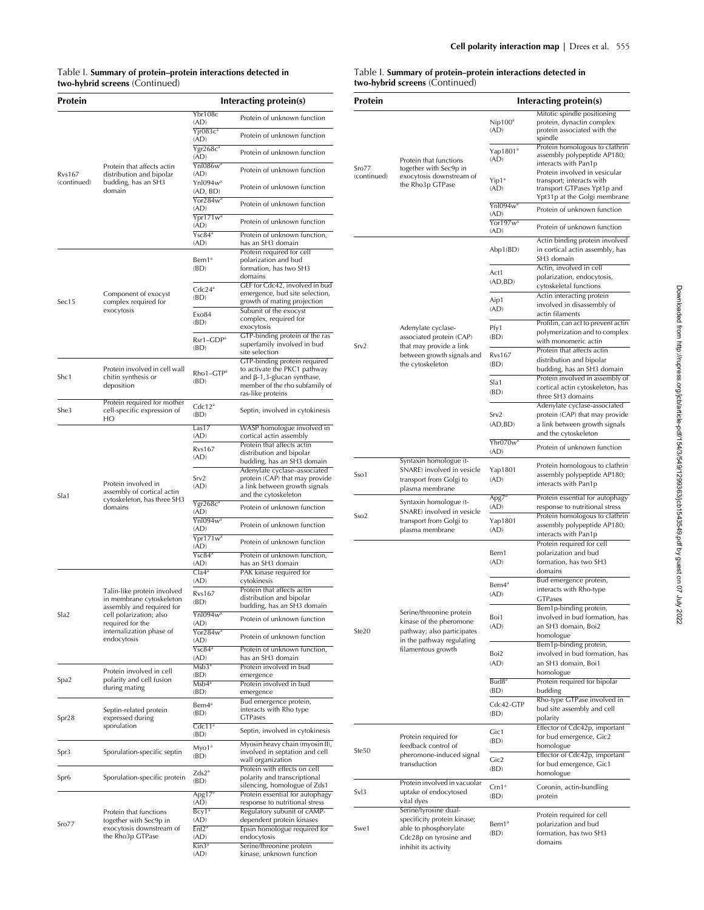| Protein          |                                                                                             | Interacting protein(s)                | Protein                                                                                                                                                  |                      |
|------------------|---------------------------------------------------------------------------------------------|---------------------------------------|----------------------------------------------------------------------------------------------------------------------------------------------------------|----------------------|
|                  |                                                                                             | Ybr108c<br>(AD)                       | Protein of unknown function                                                                                                                              |                      |
|                  |                                                                                             | $Y$ jr $083c^a$<br>(AD)               | Protein of unknown function                                                                                                                              |                      |
|                  |                                                                                             | Ygr268c <sup>a</sup><br>(AD)          | Protein of unknown function                                                                                                                              |                      |
| <b>Rvs167</b>    | Protein that affects actin<br>distribution and bipolar                                      | Yn $1086w^a$<br>(AD)                  | Protein of unknown function                                                                                                                              | Sro77<br>(continued) |
| (continued)      | budding, has an SH3<br>domain                                                               | $Yn1094w^a$<br>(AD, BD)               | Protein of unknown function                                                                                                                              |                      |
|                  |                                                                                             | $Yor284w^a$<br>(AD)                   | Protein of unknown function                                                                                                                              |                      |
|                  |                                                                                             | $Ypr171w^3$<br>(AD)                   | Protein of unknown function                                                                                                                              |                      |
|                  |                                                                                             | $Ysc84^a$<br>(AD)                     | Protein of unknown function.<br>has an SH3 domain                                                                                                        |                      |
|                  |                                                                                             | Bem1 <sup>a</sup><br>(BD)             | Protein required for cell<br>polarization and bud<br>formation, has two SH3<br>domains                                                                   |                      |
| Sec15            | Component of exocyst<br>complex required for                                                | Cdc24a<br>(BD)                        | GEF for Cdc42, involved in bud<br>emergence, bud site selection,<br>growth of mating projection                                                          |                      |
|                  | exocytosis                                                                                  | Exo84                                 | Subunit of the exocyst<br>complex, required for                                                                                                          |                      |
|                  |                                                                                             | (BD)                                  | exocytosis<br>GTP-binding protein of the ras                                                                                                             |                      |
|                  |                                                                                             | $Rsr1-GDPa$<br>(BD)                   | superfamily involved in bud<br>site selection                                                                                                            | Srv2                 |
| Shc1             | Protein involved in cell wall<br>chitin synthesis or<br>deposition                          | Rho1-GTP <sup>a</sup><br>(BD)         | GTP-binding protein required<br>to activate the PKC1 pathway<br>and $\beta$ -1,3-glucan synthase,<br>member of the rho subfamily of<br>ras-like proteins |                      |
| She3             | Protein required for mother<br>cell-specific expression of<br>HO                            | Cdc12 <sup>a</sup><br>(BD)            | Septin, involved in cytokinesis                                                                                                                          |                      |
|                  | Protein involved in<br>assembly of cortical actin<br>cytoskeleton, has three SH3<br>domains | Las17<br>(AD)                         | WASP homologue involved in<br>cortical actin assembly                                                                                                    |                      |
|                  |                                                                                             | <b>Rvs167</b><br>(AD)                 | Protein that affects actin<br>distribution and bipolar<br>budding, has an SH3 domain                                                                     |                      |
| Sla1             |                                                                                             | Srv2<br>(AD)                          | Adenylate cyclase–associated<br>protein (CAP) that may provide<br>a link between growth signals<br>and the cytoskeleton                                  | Sso1                 |
|                  |                                                                                             | $Ygr268c^a$<br>(AD)                   | Protein of unknown function                                                                                                                              |                      |
|                  |                                                                                             | $Yn1094w^a$<br>(AD)                   | Protein of unknown function                                                                                                                              | Sso2                 |
|                  |                                                                                             | $Ypr171w^a$<br>(AD)                   | Protein of unknown function                                                                                                                              |                      |
|                  |                                                                                             | $Ysc84^a$<br>(AD)                     | Protein of unknown function,<br>has an SH3 domain                                                                                                        |                      |
|                  | Talin-like protein involved<br>in membrane cytoskeleton<br>assembly and required for        | $Cla4^a$                              | PAK kinase required for                                                                                                                                  |                      |
|                  |                                                                                             | (AD)<br><b>Rvs167</b>                 | cytokinesis<br>Protein that affects actin                                                                                                                |                      |
|                  |                                                                                             | (BD)                                  | distribution and bipolar<br>budding, has an SH3 domain                                                                                                   |                      |
| Sla <sub>2</sub> | cell polarization; also<br>required for the                                                 | $Yn\overline{1094w^a}$<br>(AD)        | Protein of unknown function                                                                                                                              |                      |
|                  | internalization phase of<br>endocytosis                                                     | $\overline{\text{Yor284w}^a}$<br>(AD) | Protein of unknown function                                                                                                                              | Ste20                |
|                  |                                                                                             | Ysc84a<br>(AD)                        | Protein of unknown function,<br>has an SH3 domain                                                                                                        |                      |
|                  | Protein involved in cell                                                                    | Msb3 <sup>a</sup><br>(BD)             | Protein involved in bud<br>emergence                                                                                                                     |                      |
| Spa2             | polarity and cell fusion<br>during mating                                                   | Msb4a                                 | Protein involved in bud                                                                                                                                  |                      |
| Spr28            | Septin-related protein<br>expressed during                                                  | (BD)<br>$Bem4^a$<br>(BD)              | emergence<br>Bud emergence protein,<br>interacts with Rho type<br><b>GTPases</b>                                                                         |                      |
|                  | sporulation                                                                                 | Cdc11 <sup>a</sup><br>(BD)            | Septin, involved in cytokinesis                                                                                                                          |                      |
| Spr3             | Sporulation-specific septin                                                                 | $M$ yo $1^a$<br>(BD)                  | Myosin heavy chain (myosin II),<br>involved in septation and cell<br>wall organization                                                                   | Ste50                |
| Spr6             | Sporulation-specific protein                                                                | Zds2 <sup>a</sup><br>(BD)             | Protein with effects on cell<br>polarity and transcriptional<br>silencing, homologue of Zds1                                                             |                      |
|                  |                                                                                             | Apg17 <sup>a</sup><br>(AD)            | Protein essential for autophagy<br>response to nutritional stress                                                                                        | Svl3                 |
|                  | Protein that functions                                                                      | Bcy1 <sup>a</sup>                     | Regulatory subunit of cAMP-                                                                                                                              |                      |
| Sro77            | together with Sec9p in<br>exocytosis downstream of                                          | (AD)<br>Ent2 <sup>a</sup>             | dependent protein kinases<br>Epsin homologue required for                                                                                                | Swe1                 |
|                  | the Rho3p GTPase                                                                            | (AD)<br>$\overline{\text{Kin3}^a}$    | endocytosis                                                                                                                                              |                      |
|                  |                                                                                             | (AD)                                  | Serine/threonine protein<br>kinase, unknown function                                                                                                     |                      |

| Protein              |                                                                                                                                      | Interacting protein(s)                                                 |                                                                                                                         |  |
|----------------------|--------------------------------------------------------------------------------------------------------------------------------------|------------------------------------------------------------------------|-------------------------------------------------------------------------------------------------------------------------|--|
|                      |                                                                                                                                      | Nip100 <sup>a</sup><br>(AD)                                            | Mitotic spindle positioning<br>protein, dynactin complex<br>protein associated with the<br>spindle                      |  |
| Sro77<br>(continued) | Protein that functions<br>together with Sec9p in                                                                                     | Yap1801 $^a$<br>(AD)                                                   | Protein homologous to clathrin<br>assembly polypeptide AP180;<br>interacts with Pan1p<br>Protein involved in vesicular  |  |
|                      | exocytosis downstream of<br>the Rho3p GTPase                                                                                         | $Y$ ip $1^a$<br>(AD)                                                   | transport; interacts with<br>transport GTPases Ypt1p and<br>Ypt31p at the Golgi membrane                                |  |
|                      |                                                                                                                                      | $\overline{\text{Yn}1094\text{w}^{\text{a}}}$<br>(AD)                  | Protein of unknown function                                                                                             |  |
|                      |                                                                                                                                      | $\overline{\text{V} \text{or} \text{197} \text{w}^{\text{a}}}$<br>(AD) | Protein of unknown function                                                                                             |  |
|                      |                                                                                                                                      | Abp1(BD)                                                               | Actin binding protein involved<br>in cortical actin assembly, has<br>SH3 domain                                         |  |
|                      |                                                                                                                                      | Act1<br>(AD,BD)                                                        | Actin, involved in cell<br>polarization, endocytosis,<br>cytoskeletal functions                                         |  |
|                      |                                                                                                                                      | Aip1<br>(AD)                                                           | Actin interacting protein<br>involved in disassembly of<br>actin filaments                                              |  |
| Srv2                 | Adenylate cyclase-<br>associated protein (CAP)                                                                                       | Pfy1<br>(BD)                                                           | Profilin, can act to prevent actin<br>polymerization and to complex<br>with monomeric actin                             |  |
|                      | that may provide a link<br>between growth signals and<br>the cytoskeleton                                                            | <b>Rvs167</b><br>(BD)                                                  | Protein that affects actin<br>distribution and bipolar<br>budding, has an SH3 domain                                    |  |
|                      |                                                                                                                                      | Sla1<br>(BD)                                                           | Protein involved in assembly of<br>cortical actin cytoskeleton, has<br>three SH3 domains                                |  |
|                      |                                                                                                                                      | Srv2<br>(AD,BD)                                                        | Adenylate cyclase-associated<br>protein (CAP) that may provide<br>a link between growth signals<br>and the cytoskeleton |  |
|                      |                                                                                                                                      | $Yhr070w^a$<br>(AD)                                                    | Protein of unknown function                                                                                             |  |
| Sso1                 | Syntaxin homologue (t-<br>SNARE) involved in vesicle<br>transport from Golgi to<br>plasma membrane                                   | Yap1801<br>(AD)                                                        | Protein homologous to clathrin<br>assembly polypeptide AP180;<br>interacts with Pan1p                                   |  |
|                      | Syntaxin homologue (t-<br>SNARE) involved in vesicle<br>transport from Golgi to<br>plasma membrane                                   | Apg7ª<br>(AD)                                                          | Protein essential for autophagy<br>response to nutritional stress                                                       |  |
| Sso <sub>2</sub>     |                                                                                                                                      | Yap1801<br>(AD)                                                        | Protein homologous to clathrin<br>assembly polypeptide AP180;<br>interacts with Pan1p                                   |  |
|                      | Serine/threonine protein<br>kinase of the pheromone<br>pathway; also participates<br>in the pathway regulating<br>filamentous growth | Bem1<br>(AD)                                                           | Protein required for cell<br>polarization and bud<br>formation, has two SH3<br>domains                                  |  |
|                      |                                                                                                                                      | Bem4 <sup>a</sup><br>(AD)                                              | Bud emergence protein,<br>interacts with Rho-type<br><b>GTPases</b>                                                     |  |
| Ste20                |                                                                                                                                      | Boi1<br>(AD)                                                           | Bem1p-binding protein,<br>involved in bud formation, has<br>an SH3 domain, Boi2<br>homologue                            |  |
|                      |                                                                                                                                      | Boi2<br>(AD)                                                           | Bem1p-binding protein,<br>involved in bud formation, has<br>an SH3 domain, Boi1<br>homologue                            |  |
|                      |                                                                                                                                      | $Budd^a$<br>(BD)                                                       | Protein required for bipolar<br>budding                                                                                 |  |
|                      |                                                                                                                                      | Cdc42-GTP<br>(BD)                                                      | Rho-type GTPase involved in<br>bud site assembly and cell<br>polarity                                                   |  |
| Ste50                | Protein required for<br>feedback control of                                                                                          | Gic1<br>(BD)                                                           | Effector of Cdc42p, important<br>for bud emergence, Gic2<br>homologue                                                   |  |
|                      | pheromone-induced signal<br>transduction                                                                                             | Gic2<br>(BD)                                                           | Effector of Cdc42p, important<br>for bud emergence, Gic1<br>homologue                                                   |  |
| Svl3                 | Protein involved in vacuolar<br>uptake of endocytosed<br>vital dyes                                                                  | Crn1 <sup>a</sup><br>(BD)                                              | Coronin, actin-bundling<br>protein                                                                                      |  |
| Swe1                 | Serine/tyrosine dual-<br>specificity protein kinase;<br>able to phosphorylate<br>Cdc28p on tyrosine and<br>inhibit its activity      | Bem1 <sup>a</sup><br>(BD)                                              | Protein required for cell<br>polarization and bud<br>formation, has two SH3<br>domains                                  |  |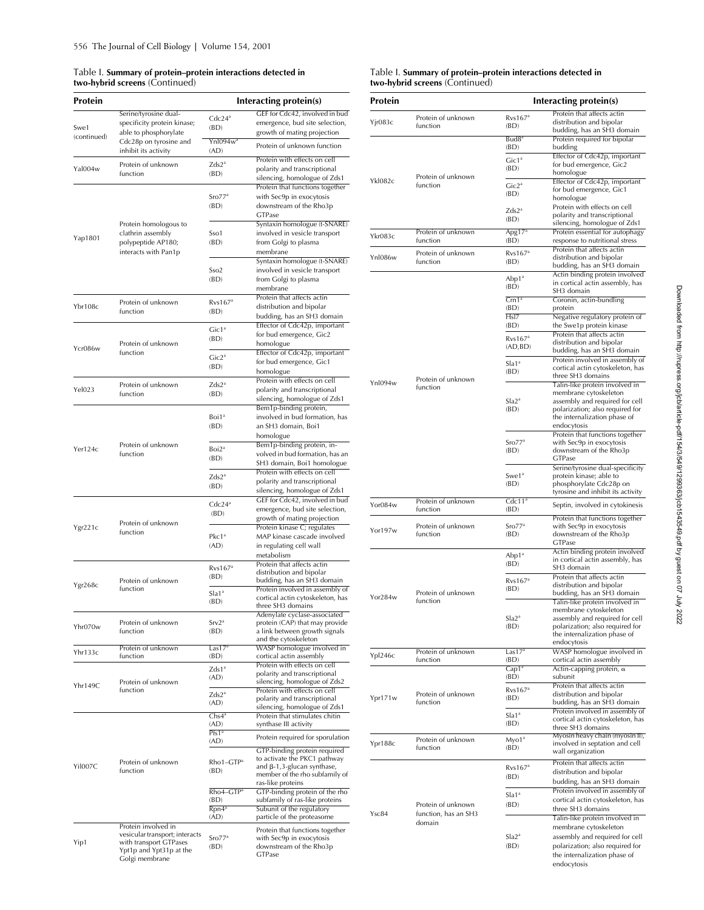| Protein     |                                                   | Interacting protein(s)       |                                                                     |  |
|-------------|---------------------------------------------------|------------------------------|---------------------------------------------------------------------|--|
|             | Serine/tyrosine dual-                             |                              | GEF for Cdc42, involved in bud                                      |  |
| Swe1        | specificity protein kinase;                       | Cdc24 <sup>a</sup><br>(BD)   | emergence, bud site selection,                                      |  |
| (continued) | able to phosphorylate                             |                              | growth of mating projection                                         |  |
|             | Cdc28p on tyrosine and<br>inhibit its activity    | Ynl094w <sup>a</sup><br>(AD) | Protein of unknown function                                         |  |
|             | Protein of unknown                                | Zds2 <sup>a</sup>            | Protein with effects on cell                                        |  |
| Yal004w     | function                                          | (BD)                         | polarity and transcriptional<br>silencing, homologue of Zds1        |  |
|             |                                                   |                              | Protein that functions together                                     |  |
|             |                                                   | Sro77 <sup>a</sup>           | with Sec9p in exocytosis                                            |  |
|             |                                                   | (BD)                         | downstream of the Rho3p                                             |  |
|             | Protein homologous to                             |                              | GTPase<br>Syntaxin homologue (t-SNARE)                              |  |
|             | clathrin assembly                                 | Sso1                         | involved in vesicle transport                                       |  |
| Yap1801     | polypeptide AP180;                                | (BD)                         | from Golgi to plasma                                                |  |
|             | interacts with Pan1p                              |                              | membrane                                                            |  |
|             |                                                   |                              | Syntaxin homologue (t-SNARE)                                        |  |
|             |                                                   | Sso <sub>2</sub><br>(BD)     | involved in vesicle transport<br>from Golgi to plasma               |  |
|             |                                                   |                              | membrane                                                            |  |
|             | Protein of unknown                                | Rvs167 <sup>a</sup>          | Protein that affects actin                                          |  |
| Ybr108c     | function                                          | (BD)                         | distribution and bipolar                                            |  |
|             |                                                   |                              | budding, has an SH3 domain<br>Effector of Cdc42p, important         |  |
|             |                                                   | Gic1 <sup>a</sup>            | for bud emergence, Gic2                                             |  |
| Ycr086w     | Protein of unknown                                | (BD)                         | homologue                                                           |  |
|             | function                                          | Gic2 <sup>a</sup>            | Effector of Cdc42p, important                                       |  |
|             |                                                   | (BD)                         | for bud emergence, Gic1<br>homologue                                |  |
|             |                                                   |                              | Protein with effects on cell                                        |  |
| Yel023      | Protein of unknown<br>function                    | Zds2 <sup>a</sup>            | polarity and transcriptional                                        |  |
|             |                                                   | (BD)                         | silencing, homologue of Zds1                                        |  |
|             |                                                   |                              | Bem1p-binding protein,                                              |  |
|             |                                                   | Boi <sup>1ª</sup><br>(BD)    | involved in bud formation, has<br>an SH3 domain, Boi1               |  |
|             |                                                   |                              | homologue                                                           |  |
| Yer124c     | Protein of unknown                                | Boi2 <sup>a</sup>            | Bem1p-binding protein, in-                                          |  |
|             | function                                          | (BD)                         | volved in bud formation, has an                                     |  |
|             |                                                   |                              | SH3 domain, Boi1 homologue<br>Protein with effects on cell          |  |
|             |                                                   | Zds2 <sup>a</sup>            | polarity and transcriptional                                        |  |
|             |                                                   | (BD)                         | silencing, homologue of Zds1                                        |  |
|             | Protein of unknown<br>function                    | Cdc24 <sup>a</sup>           | GEF for Cdc42, involved in bud                                      |  |
|             |                                                   | (BD)                         | emergence, bud site selection,<br>growth of mating projection       |  |
| Ygr221c     |                                                   |                              | Protein kinase C; regulates                                         |  |
|             |                                                   | Pkc1ª                        | MAP kinase cascade involved                                         |  |
|             |                                                   | (AD)                         | in regulating cell wall                                             |  |
|             |                                                   |                              | metabolism<br>Protein that affects actin                            |  |
|             | Protein of unknown<br>function                    | Rvs167 <sup>a</sup><br>(BD)  | distribution and bipolar                                            |  |
| Ygr268c     |                                                   |                              | budding, has an SH3 domain                                          |  |
|             |                                                   | $Sla1^a$                     | Protein involved in assembly of<br>cortical actin cytoskeleton, has |  |
|             |                                                   | (BD)                         | three SH3 domains                                                   |  |
|             |                                                   |                              | Adenylate cyclase-associated                                        |  |
| Yhr070w     | Protein of unknown<br>function                    | $Srv2^a$<br>(BD)             | protein (CAP) that may provide<br>a link between growth signals     |  |
|             |                                                   |                              | and the cytoskeleton                                                |  |
| Yhr133c     | Protein of unknown<br>function                    | Las $17a$                    | WASP homologue involved in                                          |  |
|             |                                                   | (BD)                         | cortical actin assembly<br>Protein with effects on cell             |  |
|             |                                                   | Zds1 <sup>a</sup><br>(AD)    | polarity and transcriptional                                        |  |
| Yhr149C     | Protein of unknown<br>function                    |                              | silencing, homologue of Zds2                                        |  |
|             |                                                   | Zds2 <sup>a</sup>            | Protein with effects on cell<br>polarity and transcriptional        |  |
|             |                                                   | (AD)                         | silencing, homologue of Zds1                                        |  |
|             |                                                   | $Chs4^a$<br>(AD)             | Protein that stimulates chitin<br>synthase III activity             |  |
|             |                                                   | Pfs1 <sup>a</sup>            |                                                                     |  |
|             |                                                   | (AD)                         | Protein required for sporulation                                    |  |
|             |                                                   |                              | GTP-binding protein required                                        |  |
| Yil007C     | Protein of unknown                                | Rho1-GTP <sup>a</sup>        | to activate the PKC1 pathway<br>and $\beta$ -1,3-glucan synthase,   |  |
|             | function                                          | (BD)                         | member of the rho subfamily of                                      |  |
|             |                                                   | $Rh04-GTPa$                  | ras-like proteins<br>GTP-binding protein of the rho                 |  |
|             |                                                   | (BD)                         | subfamily of ras-like proteins                                      |  |
|             |                                                   | Rpn4 <sup>a</sup>            | Subunit of the regulatory                                           |  |
|             | Protein involved in                               | (AD)                         | particle of the proteasome                                          |  |
|             | vesicular transport; interacts                    | SrO77a                       | Protein that functions together                                     |  |
| Yip1        | with transport GTPases<br>Ypt1p and Ypt31p at the | (BD)                         | with Sec9p in exocytosis<br>downstream of the Rho3p                 |  |
|             | Golgi membrane                                    |                              | GTPase                                                              |  |

| Protein | Interacting protein(s)         |                             |                                                                                                   |
|---------|--------------------------------|-----------------------------|---------------------------------------------------------------------------------------------------|
| Yjr083c | Protein of unknown<br>function | Rvs167 <sup>a</sup><br>(BD) | Protein that affects actin<br>distribution and bipolar<br>budding, has an SH3 domain              |
|         |                                | Budd8 <sup>a</sup><br>(BD)  | Protein required for bipolar<br>budding                                                           |
|         |                                | Gic1 <sup>a</sup>           | Effector of Cdc42p, important                                                                     |
| Ykl082c | Protein of unknown             | (BD)                        | for bud emergence, Gic2<br>homologue                                                              |
|         | function                       | Gic2 <sup>a</sup><br>(BD)   | Effector of Cdc42p, important<br>for bud emergence, Gic1<br>homologue                             |
|         |                                | Zds2 <sup>a</sup><br>(BD)   | Protein with effects on cell<br>polarity and transcriptional<br>silencing, homologue of Zds1      |
| Ykr083c | Protein of unknown<br>function | Apg $17a$<br>(BD)           | Protein essential for autophagy<br>response to nutritional stress                                 |
| Ynl086w | Protein of unknown<br>function | Rvs167 <sup>a</sup><br>(BD) | Protein that affects actin<br>distribution and bipolar                                            |
|         |                                | Abp1 <sup>a</sup>           | budding, has an SH3 domain<br>Actin binding protein involved<br>in cortical actin assembly, has   |
|         |                                | (BD)                        | SH3 domain                                                                                        |
|         |                                | Crn1 <sup>a</sup><br>(BD)   | Coronin, actin-bundling<br>protein                                                                |
|         |                                | Hsl7                        | Negative regulatory protein of                                                                    |
|         |                                | (BD)                        | the Swe1p protein kinase                                                                          |
|         |                                | Rvs167 <sup>a</sup>         | Protein that affects actin<br>distribution and bipolar                                            |
|         |                                | (AD,BD)                     | budding, has an SH3 domain                                                                        |
|         |                                | Sla1ª<br>(BD)               | Protein involved in assembly of<br>cortical actin cytoskeleton, has<br>three SH3 domains          |
| Ynl094w | Protein of unknown<br>function |                             | Talin-like protein involved in                                                                    |
|         |                                |                             | membrane cytoskeleton                                                                             |
|         |                                | Sla2 <sup>a</sup><br>(BD)   | assembly and required for cell<br>polarization; also required for<br>the internalization phase of |
|         |                                |                             | endocytosis                                                                                       |
|         |                                | SrO77 <sup>a</sup><br>(BD)  | Protein that functions together<br>with Sec9p in exocytosis<br>downstream of the Rho3p            |
|         |                                |                             | GTPase                                                                                            |
|         |                                | Swe1 <sup>a</sup><br>(BD)   | Serine/tyrosine dual-specificity<br>protein kinase; able to<br>phosphorylate Cdc28p on            |
| Yor084w | Protein of unknown<br>function | Cdc11 <sup>a</sup>          | tyrosine and inhibit its activity<br>Septin, involved in cytokinesis                              |
|         |                                | (BD)                        | Protein that functions together                                                                   |
| Yor197w | Protein of unknown<br>function | SrO77a<br>(BD)              | with Sec9p in exocytosis<br>downstream of the Rho3p<br>GTPase                                     |
|         |                                | Abp1ª                       | Actin binding protein involved                                                                    |
|         |                                | (BD)                        | in cortical actin assembly, has<br>SH3 domain                                                     |
|         |                                | Rvs167 <sup>a</sup>         | Protein that affects actin<br>distribution and bipolar                                            |
| Yor284w | Protein of unknown<br>function | (BD)                        | budding, has an SH3 domain<br>Talin-like protein involved in                                      |
|         |                                | $Sla2^a$                    | membrane cytoskeleton<br>assembly and required for cell                                           |
|         |                                | (BD)                        | polarization; also required for<br>the internalization phase of                                   |
|         | Protein of unknown             | Las $17a$                   | endocytosis<br>WASP homologue involved in                                                         |
| Ypl246c | function                       | (BD)                        | cortical actin assembly                                                                           |
|         |                                | $Cap1^a$<br>(BD)            | Actin-capping protein, $\alpha$<br>subunit                                                        |
|         |                                |                             | Protein that affects actin                                                                        |
| Ypr171w | Protein of unknown<br>function | Rvs167 <sup>a</sup><br>(BD) | distribution and bipolar<br>budding, has an SH3 domain                                            |
|         |                                | Sla1ª<br>(BD)               | Protein involved in assembly of<br>cortical actin cytoskeleton, has<br>three SH3 domains          |
| Ypr188c | Protein of unknown             | Myo1ª                       | Myosin heavy chain (myosin II),                                                                   |
|         | function                       | (BD)                        | involved in septation and cell<br>wall organization                                               |
| Ysc84   |                                | Rvs167 <sup>a</sup><br>(BD) | Protein that affects actin<br>distribution and bipolar<br>budding, has an SH3 domain              |
|         | Protein of unknown             |                             | Protein involved in assembly of                                                                   |
|         |                                | Sla1ª<br>(BD)               | cortical actin cytoskeleton, has                                                                  |
|         | function, has an SH3           |                             | three SH3 domains                                                                                 |
|         | domain                         |                             | Talin-like protein involved in<br>membrane cytoskeleton                                           |
|         |                                | $Sla2^a$                    | assembly and required for cell                                                                    |
|         |                                | (BD)                        | polarization; also required for                                                                   |
|         |                                |                             | the internalization phase of<br>endocytosis                                                       |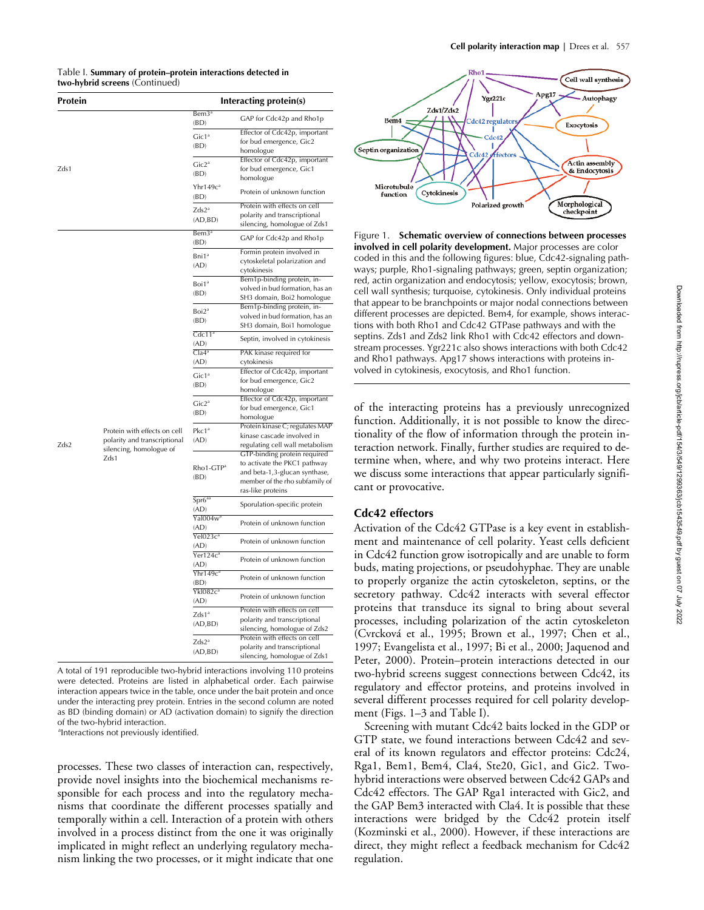Table I. **Summary of protein–protein interactions detected in two-hybrid screens** (Continued)

| Protein |                                                              | Interacting protein(s)                |                                                                                              |  |  |
|---------|--------------------------------------------------------------|---------------------------------------|----------------------------------------------------------------------------------------------|--|--|
|         |                                                              | Bem3 <sup>a</sup><br>(BD)             | GAP for Cdc42p and Rho1p                                                                     |  |  |
|         |                                                              | Gic1 <sup>a</sup><br>(BD)             | Effector of Cdc42p, important<br>for bud emergence, Gic2<br>homologue                        |  |  |
| Zds1    |                                                              | Gic2 <sup>a</sup><br>(BD)             | Effector of Cdc42p, important<br>for bud emergence, Gic1<br>homologue                        |  |  |
|         |                                                              | Yhr149c <sup>a</sup><br>(BD)          | Protein of unknown function                                                                  |  |  |
|         |                                                              | Zds2 <sup>a</sup><br>(AD, BD)         | Protein with effects on cell<br>polarity and transcriptional<br>silencing, homologue of Zds1 |  |  |
|         |                                                              | Bem3 <sup>a</sup><br>(BD)             | GAP for Cdc42p and Rho1p                                                                     |  |  |
|         |                                                              | Bni1 <sup>a</sup><br>(AD)             | Formin protein involved in<br>cytoskeletal polarization and<br>cytokinesis                   |  |  |
|         |                                                              | Boi1 <sup>a</sup><br>(BD)             | Bem1p-binding protein, in-<br>volved in bud formation, has an<br>SH3 domain, Boi2 homologue  |  |  |
|         |                                                              | Boi2 <sup>a</sup><br>(BD)             | Bem1p-binding protein, in-<br>volved in bud formation, has an<br>SH3 domain, Boi1 homologue  |  |  |
|         |                                                              | $\overline{\text{Cdc11}^a}$<br>(AD)   | Septin, involved in cytokinesis                                                              |  |  |
|         |                                                              | $Cla4^a$                              | PAK kinase required for                                                                      |  |  |
|         |                                                              | (AD)                                  | cytokinesis                                                                                  |  |  |
|         |                                                              | Gic1 <sup>a</sup>                     | Effector of Cdc42p, important<br>for bud emergence, Gic2                                     |  |  |
|         |                                                              | (BD)                                  | homologue                                                                                    |  |  |
|         |                                                              | Gic2 <sup>a</sup>                     | Effector of Cdc42p, important                                                                |  |  |
|         |                                                              | (BD)                                  | for bud emergence, Gic1<br>homologue                                                         |  |  |
|         | Protein with effects on cell<br>polarity and transcriptional | Pkc1ª                                 | Protein kinase C; regulates MAP                                                              |  |  |
|         |                                                              | (AD)                                  | kinase cascade involved in                                                                   |  |  |
| Zds2    | silencing, homologue of                                      |                                       | regulating cell wall metabolism                                                              |  |  |
|         | 7ds1                                                         |                                       | GTP-binding protein required                                                                 |  |  |
|         |                                                              | Rho1-GTP <sup>a</sup><br>(BD)         | to activate the PKC1 pathway                                                                 |  |  |
|         |                                                              |                                       | and beta-1,3-glucan synthase,<br>member of the rho subfamily of                              |  |  |
|         |                                                              |                                       | ras-like proteins                                                                            |  |  |
|         |                                                              | Spr6 <sup>aa</sup><br>(AD)            | Sporulation-specific protein                                                                 |  |  |
|         |                                                              | Yal004w <sup>a</sup><br>(AD)          | Protein of unknown function                                                                  |  |  |
|         |                                                              | Yel023c <sup>a</sup><br>(AD)          | Protein of unknown function                                                                  |  |  |
|         |                                                              | $\overline{\text{Ver124c}^a}$<br>(AD) | Protein of unknown function                                                                  |  |  |
|         |                                                              | Yhr149c <sup>a</sup><br>(BD)          | Protein of unknown function                                                                  |  |  |
|         |                                                              | $Yk1082c^a$<br>(AD)                   | Protein of unknown function                                                                  |  |  |
|         |                                                              | Zds1 <sup>a</sup>                     | Protein with effects on cell                                                                 |  |  |
|         |                                                              | (AD,BD)                               | polarity and transcriptional<br>silencing, homologue of Zds2                                 |  |  |
|         |                                                              | Zds2 <sup>a</sup>                     | Protein with effects on cell                                                                 |  |  |
|         |                                                              | (AD, BD)                              | polarity and transcriptional                                                                 |  |  |
|         |                                                              |                                       | silencing, homologue of Zds1                                                                 |  |  |

A total of 191 reproducible two-hybrid interactions involving 110 proteins were detected. Proteins are listed in alphabetical order. Each pairwise interaction appears twice in the table, once under the bait protein and once under the interacting prey protein. Entries in the second column are noted as BD (binding domain) or AD (activation domain) to signify the direction of the two-hybrid interaction.

a Interactions not previously identified.

processes. These two classes of interaction can, respectively, provide novel insights into the biochemical mechanisms responsible for each process and into the regulatory mechanisms that coordinate the different processes spatially and temporally within a cell. Interaction of a protein with others involved in a process distinct from the one it was originally implicated in might reflect an underlying regulatory mechanism linking the two processes, or it might indicate that one



Figure 1. **Schematic overview of connections between processes involved in cell polarity development.** Major processes are color coded in this and the following figures: blue, Cdc42-signaling pathways; purple, Rho1-signaling pathways; green, septin organization; red, actin organization and endocytosis; yellow, exocytosis; brown, cell wall synthesis; turquoise, cytokinesis. Only individual proteins that appear to be branchpoints or major nodal connections between different processes are depicted. Bem4, for example, shows interactions with both Rho1 and Cdc42 GTPase pathways and with the septins. Zds1 and Zds2 link Rho1 with Cdc42 effectors and downstream processes. Ygr221c also shows interactions with both Cdc42 and Rho1 pathways. Apg17 shows interactions with proteins involved in cytokinesis, exocytosis, and Rho1 function.

of the interacting proteins has a previously unrecognized function. Additionally, it is not possible to know the directionality of the flow of information through the protein interaction network. Finally, further studies are required to determine when, where, and why two proteins interact. Here we discuss some interactions that appear particularly significant or provocative.

# **Cdc42 effectors**

Activation of the Cdc42 GTPase is a key event in establishment and maintenance of cell polarity. Yeast cells deficient in Cdc42 function grow isotropically and are unable to form buds, mating projections, or pseudohyphae. They are unable to properly organize the actin cytoskeleton, septins, or the secretory pathway. Cdc42 interacts with several effector proteins that transduce its signal to bring about several processes, including polarization of the actin cytoskeleton (Cvrcková et al., 1995; Brown et al., 1997; Chen et al., 1997; Evangelista et al., 1997; Bi et al., 2000; Jaquenod and Peter, 2000). Protein–protein interactions detected in our two-hybrid screens suggest connections between Cdc42, its regulatory and effector proteins, and proteins involved in several different processes required for cell polarity development (Figs. 1–3 and Table I).

Screening with mutant Cdc42 baits locked in the GDP or GTP state, we found interactions between Cdc42 and several of its known regulators and effector proteins: Cdc24, Rga1, Bem1, Bem4, Cla4, Ste20, Gic1, and Gic2. Twohybrid interactions were observed between Cdc42 GAPs and Cdc42 effectors. The GAP Rga1 interacted with Gic2, and the GAP Bem3 interacted with Cla4. It is possible that these interactions were bridged by the Cdc42 protein itself (Kozminski et al., 2000). However, if these interactions are direct, they might reflect a feedback mechanism for Cdc42 regulation.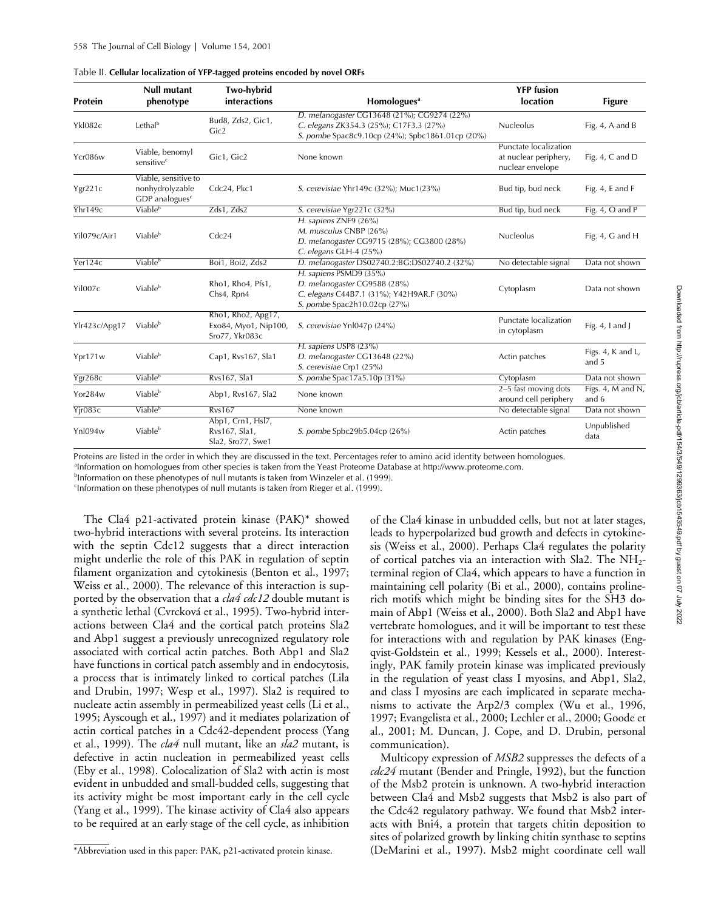| Protein                     | Null mutant<br>phenotype                                              | Two-hybrid<br>interactions                                   | Homologues <sup>a</sup>                                                                                                                    | <b>YFP</b> fusion<br>location                                      | <b>Figure</b>              |
|-----------------------------|-----------------------------------------------------------------------|--------------------------------------------------------------|--------------------------------------------------------------------------------------------------------------------------------------------|--------------------------------------------------------------------|----------------------------|
| Lethalb<br>Ykl082c          |                                                                       | Bud8, Zds2, Gic1,<br>Gic2                                    | D. melanogaster CG13648 (21%); CG9274 (22%)<br>C. elegans ZK354.3 (25%); C17F3.3 (27%)<br>S. pombe Spac8c9.10cp (24%); Spbc1861.01cp (20%) | Nucleolus                                                          | Fig. 4, A and B            |
| Ycr086w                     | Viable, benomyl<br>sensitive <sup>c</sup>                             | Gic1, Gic2                                                   | None known                                                                                                                                 | Punctate localization<br>at nuclear periphery,<br>nuclear envelope | Fig. 4, C and D            |
| Ygr221c                     | Viable, sensitive to<br>nonhydrolyzable<br>GDP analogues <sup>c</sup> | Cdc24, Pkc1                                                  | S. cerevisiae Yhr149c (32%); Muc1(23%)                                                                                                     | Bud tip, bud neck                                                  | Fig. 4, E and F            |
| Yhr149c                     | Viable <sup>b</sup>                                                   | $Zds1$ , $Zds2$                                              | S. cerevisiae Ygr221c (32%)                                                                                                                | Bud tip, bud neck                                                  | Fig. 4, O and P            |
| Yil079c/Air1                | Viable <sup>b</sup>                                                   | Cdc24                                                        | H. sapiens ZNF9 (26%)<br>M. musculus CNBP (26%)<br>D. melanogaster CG9715 (28%); CG3800 (28%)<br>C. elegans GLH-4 (25%)                    | Nucleolus                                                          | Fig. 4, G and H            |
| $\overline{\text{Ver124c}}$ | Viable <sup>b</sup>                                                   | Boi1, Boi2, Zds2                                             | D. melanogaster DS02740.2:BG:DS02740.2 (32%)                                                                                               | No detectable signal                                               | Data not shown             |
| Yil007c                     | Viable <sup>b</sup>                                                   | Rho1, Rho4, Pfs1,<br>Chs4, Rpn4                              | H. sapiens PSMD9 (35%)<br>D. melanogaster CG9588 (28%)<br>C. elegans C44B7.1 (31%); Y42H9AR.F (30%)<br>S. pombe Spac2h10.02cp (27%)        | Cytoplasm                                                          | Data not shown             |
| Ylr423c/Apg17               | Viable <sup>b</sup>                                                   | Rho1, Rho2, Apg17,<br>Exo84, Myo1, Nip100,<br>Sro77, Ykr083c | S. cerevisiae Ynl047p (24%)                                                                                                                | Punctate localization<br>in cytoplasm                              | Fig. 4, $I$ and $J$        |
| Ypr171w                     | Viable <sup>b</sup>                                                   | Cap1, Rvs167, Sla1                                           | H. sapiens USP8 (23%)<br>D. melanogaster CG13648 (22%)<br>S. cerevisiae Crp1 (25%)                                                         | Actin patches                                                      | Figs. 4, K and L,<br>and 5 |
| $\overline{Ygr268c}$        | Viable <sup>b</sup>                                                   | Rvs167, Sla1                                                 | S. pombe Spac17a5.10p (31%)                                                                                                                | Cytoplasm                                                          | Data not shown             |
| Yor284w                     | Viable <sup>b</sup>                                                   | Abp1, Rvs167, Sla2                                           | None known                                                                                                                                 | 2-5 fast moving dots<br>around cell periphery                      | Figs. 4, M and N,<br>and 6 |
| Yjr083c                     | Viable <sup>b</sup>                                                   | <b>Rvs167</b>                                                | None known                                                                                                                                 | No detectable signal                                               | Data not shown             |
| Ynl094w                     | Viable <sup>b</sup>                                                   | Abp1, Crn1, Hsl7,<br>Rvs167, Sla1,<br>Sla2, Sro77, Swe1      | S. pombe Spbc29b5.04cp (26%)                                                                                                               | Actin patches                                                      | Unpublished<br>data        |

|  |  |  | Table II. Cellular localization of YFP-tagged proteins encoded by novel ORFs |  |  |  |
|--|--|--|------------------------------------------------------------------------------|--|--|--|
|--|--|--|------------------------------------------------------------------------------|--|--|--|

Proteins are listed in the order in which they are discussed in the text. Percentages refer to amino acid identity between homologues.

a Information on homologues from other species is taken from the Yeast Proteome Database at http://www.proteome.com.

<sup>b</sup>Information on these phenotypes of null mutants is taken from Winzeler et al. (1999).

c Information on these phenotypes of null mutants is taken from Rieger et al. (1999).

The Cla4 p21-activated protein kinase (PAK)\* showed two-hybrid interactions with several proteins. Its interaction with the septin Cdc12 suggests that a direct interaction might underlie the role of this PAK in regulation of septin filament organization and cytokinesis (Benton et al., 1997; Weiss et al., 2000). The relevance of this interaction is supported by the observation that a *cla4 cdc12* double mutant is a synthetic lethal (Cvrcková et al., 1995). Two-hybrid interactions between Cla4 and the cortical patch proteins Sla2 and Abp1 suggest a previously unrecognized regulatory role associated with cortical actin patches. Both Abp1 and Sla2 have functions in cortical patch assembly and in endocytosis, a process that is intimately linked to cortical patches (Lila and Drubin, 1997; Wesp et al., 1997). Sla2 is required to nucleate actin assembly in permeabilized yeast cells (Li et al., 1995; Ayscough et al., 1997) and it mediates polarization of actin cortical patches in a Cdc42-dependent process (Yang et al., 1999). The *cla4* null mutant, like an *sla2* mutant, is defective in actin nucleation in permeabilized yeast cells (Eby et al., 1998). Colocalization of Sla2 with actin is most evident in unbudded and small-budded cells, suggesting that its activity might be most important early in the cell cycle (Yang et al., 1999). The kinase activity of Cla4 also appears to be required at an early stage of the cell cycle, as inhibition

\*Abbreviation used in this paper: PAK, p21-activated protein kinase.

of the Cla4 kinase in unbudded cells, but not at later stages, leads to hyperpolarized bud growth and defects in cytokinesis (Weiss et al., 2000). Perhaps Cla4 regulates the polarity of cortical patches via an interaction with Sla2. The NH<sub>2</sub>terminal region of Cla4, which appears to have a function in maintaining cell polarity (Bi et al., 2000), contains prolinerich motifs which might be binding sites for the SH3 domain of Abp1 (Weiss et al., 2000). Both Sla2 and Abp1 have vertebrate homologues, and it will be important to test these for interactions with and regulation by PAK kinases (Engqvist-Goldstein et al., 1999; Kessels et al., 2000). Interestingly, PAK family protein kinase was implicated previously in the regulation of yeast class I myosins, and Abp1, Sla2, and class I myosins are each implicated in separate mechanisms to activate the Arp2/3 complex (Wu et al., 1996, 1997; Evangelista et al., 2000; Lechler et al., 2000; Goode et al., 2001; M. Duncan, J. Cope, and D. Drubin, personal communication).

Multicopy expression of *MSB2* suppresses the defects of a *cdc24* mutant (Bender and Pringle, 1992), but the function of the Msb2 protein is unknown. A two-hybrid interaction between Cla4 and Msb2 suggests that Msb2 is also part of the Cdc42 regulatory pathway. We found that Msb2 interacts with Bni4, a protein that targets chitin deposition to sites of polarized growth by linking chitin synthase to septins (DeMarini et al., 1997). Msb2 might coordinate cell wall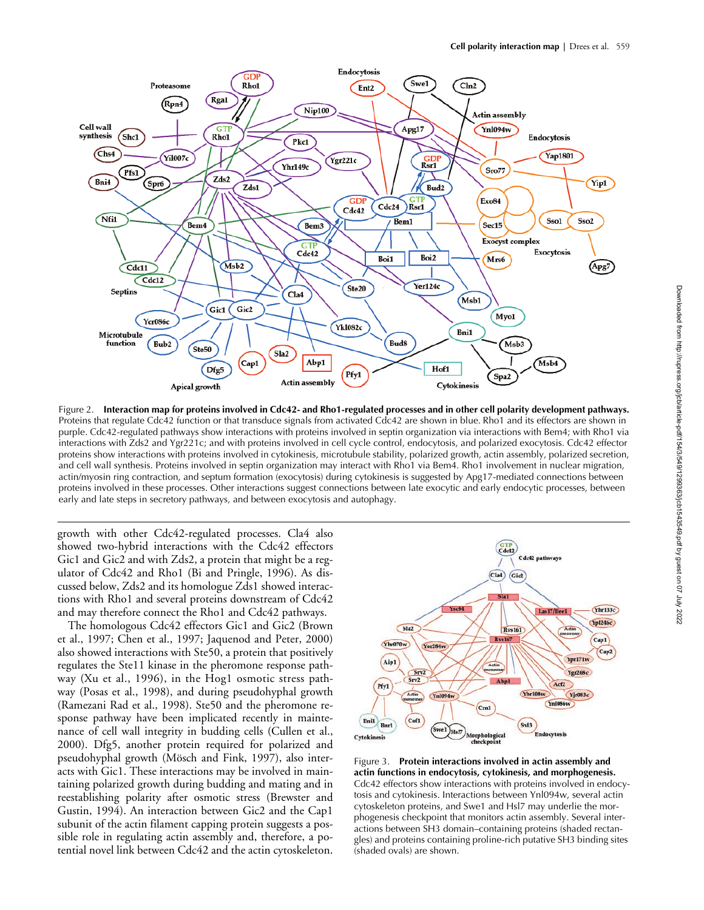

Figure 2. **Interaction map for proteins involved in Cdc42- and Rho1-regulated processes and in other cell polarity development pathways.**  Proteins that regulate Cdc42 function or that transduce signals from activated Cdc42 are shown in blue. Rho1 and its effectors are shown in purple. Cdc42-regulated pathways show interactions with proteins involved in septin organization via interactions with Bem4; with Rho1 via interactions with Zds2 and Ygr221c; and with proteins involved in cell cycle control, endocytosis, and polarized exocytosis. Cdc42 effector proteins show interactions with proteins involved in cytokinesis, microtubule stability, polarized growth, actin assembly, polarized secretion, and cell wall synthesis. Proteins involved in septin organization may interact with Rho1 via Bem4. Rho1 involvement in nuclear migration, actin/myosin ring contraction, and septum formation (exocytosis) during cytokinesis is suggested by Apg17-mediated connections between proteins involved in these processes. Other interactions suggest connections between late exocytic and early endocytic processes, between early and late steps in secretory pathways, and between exocytosis and autophagy.

growth with other Cdc42-regulated processes. Cla4 also showed two-hybrid interactions with the Cdc42 effectors Gic1 and Gic2 and with Zds2, a protein that might be a regulator of Cdc42 and Rho1 (Bi and Pringle, 1996). As discussed below, Zds2 and its homologue Zds1 showed interactions with Rho1 and several proteins downstream of Cdc42 and may therefore connect the Rho1 and Cdc42 pathways.

The homologous Cdc42 effectors Gic1 and Gic2 (Brown et al., 1997; Chen et al., 1997; Jaquenod and Peter, 2000) also showed interactions with Ste50, a protein that positively regulates the Ste11 kinase in the pheromone response pathway (Xu et al., 1996), in the Hog1 osmotic stress pathway (Posas et al., 1998), and during pseudohyphal growth (Ramezani Rad et al., 1998). Ste50 and the pheromone response pathway have been implicated recently in maintenance of cell wall integrity in budding cells (Cullen et al., 2000). Dfg5, another protein required for polarized and pseudohyphal growth (Mösch and Fink, 1997), also interacts with Gic1. These interactions may be involved in maintaining polarized growth during budding and mating and in reestablishing polarity after osmotic stress (Brewster and Gustin, 1994). An interaction between Gic2 and the Cap1 subunit of the actin filament capping protein suggests a possible role in regulating actin assembly and, therefore, a potential novel link between Cdc42 and the actin cytoskeleton.



Figure 3. **Protein interactions involved in actin assembly and actin functions in endocytosis, cytokinesis, and morphogenesis.** Cdc42 effectors show interactions with proteins involved in endocytosis and cytokinesis. Interactions between Ynl094w, several actin cytoskeleton proteins, and Swe1 and Hsl7 may underlie the morphogenesis checkpoint that monitors actin assembly. Several interactions between SH3 domain–containing proteins (shaded rectangles) and proteins containing proline-rich putative SH3 binding sites (shaded ovals) are shown.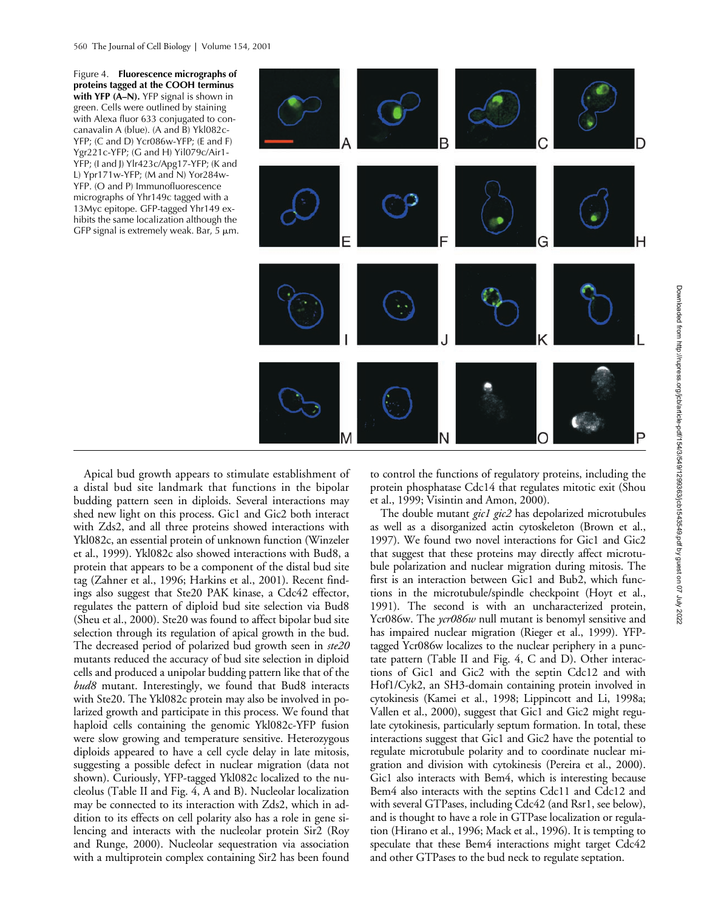Figure 4. **Fluorescence micrographs of proteins tagged at the COOH terminus with YFP (A–N).** YFP signal is shown in green. Cells were outlined by staining with Alexa fluor 633 conjugated to concanavalin A (blue). (A and B) Ykl082c-YFP; (C and D) Ycr086w-YFP; (E and F) Ygr221c-YFP; (G and H) Yil079c/Air1- YFP; (I and J) Ylr423c/Apg17-YFP; (K and L) Ypr171w-YFP; (M and N) Yor284w-YFP. (O and P) Immunofluorescence micrographs of Yhr149c tagged with a 13Myc epitope. GFP-tagged Yhr149 exhibits the same localization although the GFP signal is extremely weak. Bar,  $5 \mu m$ .



Apical bud growth appears to stimulate establishment of a distal bud site landmark that functions in the bipolar budding pattern seen in diploids. Several interactions may shed new light on this process. Gic1 and Gic2 both interact with Zds2, and all three proteins showed interactions with Ykl082c, an essential protein of unknown function (Winzeler et al., 1999). Ykl082c also showed interactions with Bud8, a protein that appears to be a component of the distal bud site tag (Zahner et al., 1996; Harkins et al., 2001). Recent findings also suggest that Ste20 PAK kinase, a Cdc42 effector, regulates the pattern of diploid bud site selection via Bud8 (Sheu et al., 2000). Ste20 was found to affect bipolar bud site selection through its regulation of apical growth in the bud. The decreased period of polarized bud growth seen in *ste20* mutants reduced the accuracy of bud site selection in diploid cells and produced a unipolar budding pattern like that of the *bud8* mutant. Interestingly, we found that Bud8 interacts with Ste20. The Ykl082c protein may also be involved in polarized growth and participate in this process. We found that haploid cells containing the genomic Ykl082c-YFP fusion were slow growing and temperature sensitive. Heterozygous diploids appeared to have a cell cycle delay in late mitosis, suggesting a possible defect in nuclear migration (data not shown). Curiously, YFP-tagged Ykl082c localized to the nucleolus (Table II and Fig. 4, A and B). Nucleolar localization may be connected to its interaction with Zds2, which in addition to its effects on cell polarity also has a role in gene silencing and interacts with the nucleolar protein Sir2 (Roy and Runge, 2000). Nucleolar sequestration via association with a multiprotein complex containing Sir2 has been found

to control the functions of regulatory proteins, including the protein phosphatase Cdc14 that regulates mitotic exit (Shou et al., 1999; Visintin and Amon, 2000).

The double mutant *gic1 gic2* has depolarized microtubules as well as a disorganized actin cytoskeleton (Brown et al., 1997). We found two novel interactions for Gic1 and Gic2 that suggest that these proteins may directly affect microtubule polarization and nuclear migration during mitosis. The first is an interaction between Gic1 and Bub2, which functions in the microtubule/spindle checkpoint (Hoyt et al., 1991). The second is with an uncharacterized protein, Ycr086w. The *ycr086w* null mutant is benomyl sensitive and has impaired nuclear migration (Rieger et al., 1999). YFPtagged Ycr086w localizes to the nuclear periphery in a punctate pattern (Table II and Fig. 4, C and D). Other interactions of Gic1 and Gic2 with the septin Cdc12 and with Hof1/Cyk2, an SH3-domain containing protein involved in cytokinesis (Kamei et al., 1998; Lippincott and Li, 1998a; Vallen et al., 2000), suggest that Gic1 and Gic2 might regulate cytokinesis, particularly septum formation. In total, these interactions suggest that Gic1 and Gic2 have the potential to regulate microtubule polarity and to coordinate nuclear migration and division with cytokinesis (Pereira et al., 2000). Gic1 also interacts with Bem4, which is interesting because Bem4 also interacts with the septins Cdc11 and Cdc12 and with several GTPases, including Cdc42 (and Rsr1, see below), and is thought to have a role in GTPase localization or regulation (Hirano et al., 1996; Mack et al., 1996). It is tempting to speculate that these Bem4 interactions might target Cdc42 and other GTPases to the bud neck to regulate septation.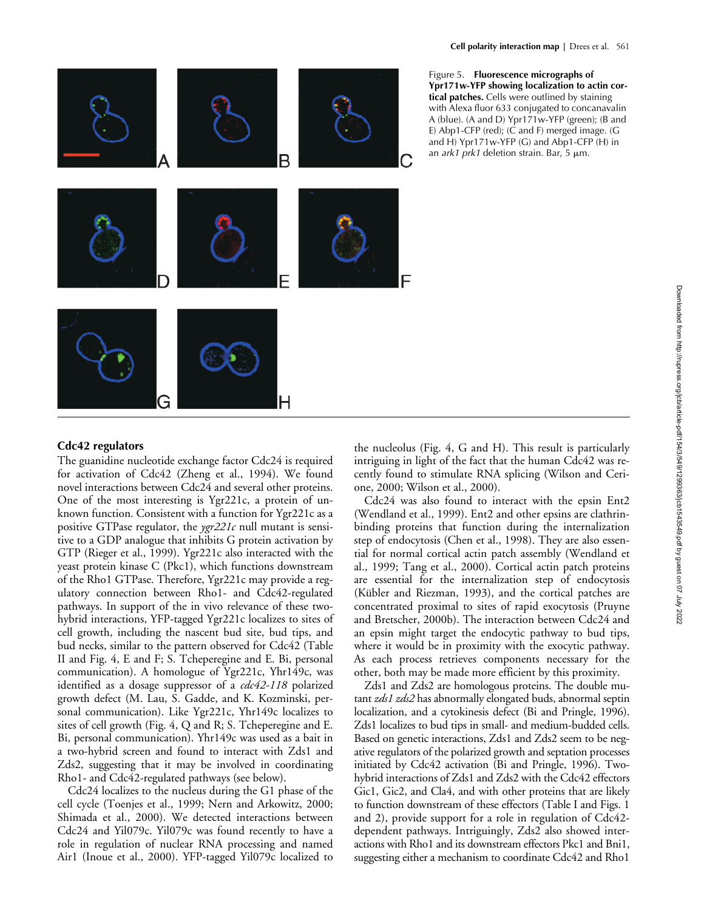

Figure 5. **Fluorescence micrographs of Ypr171w-YFP showing localization to actin cortical patches.** Cells were outlined by staining with Alexa fluor 633 conjugated to concanavalin A (blue). (A and D) Ypr171w-YFP (green); (B and E) Abp1-CFP (red); (C and F) merged image. (G and H) Ypr171w-YFP (G) and Abp1-CFP (H) in an *ark1 prk1* deletion strain. Bar, 5 μm.

## **Cdc42 regulators**

The guanidine nucleotide exchange factor Cdc24 is required for activation of Cdc42 (Zheng et al., 1994). We found novel interactions between Cdc24 and several other proteins. One of the most interesting is Ygr221c, a protein of unknown function. Consistent with a function for Ygr221c as a positive GTPase regulator, the *ygr221c* null mutant is sensitive to a GDP analogue that inhibits G protein activation by GTP (Rieger et al., 1999). Ygr221c also interacted with the yeast protein kinase C (Pkc1), which functions downstream of the Rho1 GTPase. Therefore, Ygr221c may provide a regulatory connection between Rho1- and Cdc42-regulated pathways. In support of the in vivo relevance of these twohybrid interactions, YFP-tagged Ygr221c localizes to sites of cell growth, including the nascent bud site, bud tips, and bud necks, similar to the pattern observed for Cdc42 (Table II and Fig. 4, E and F; S. Tcheperegine and E. Bi, personal communication). A homologue of Ygr221c, Yhr149c, was identified as a dosage suppressor of a *cdc42-118* polarized growth defect (M. Lau, S. Gadde, and K. Kozminski, personal communication). Like Ygr221c, Yhr149c localizes to sites of cell growth (Fig. 4, Q and R; S. Tcheperegine and E. Bi, personal communication). Yhr149c was used as a bait in a two-hybrid screen and found to interact with Zds1 and Zds2, suggesting that it may be involved in coordinating Rho1- and Cdc42-regulated pathways (see below).

Cdc24 localizes to the nucleus during the G1 phase of the cell cycle (Toenjes et al., 1999; Nern and Arkowitz, 2000; Shimada et al., 2000). We detected interactions between Cdc24 and Yil079c. Yil079c was found recently to have a role in regulation of nuclear RNA processing and named Air1 (Inoue et al., 2000). YFP-tagged Yil079c localized to the nucleolus (Fig. 4, G and H). This result is particularly intriguing in light of the fact that the human Cdc42 was recently found to stimulate RNA splicing (Wilson and Cerione, 2000; Wilson et al., 2000).

Cdc24 was also found to interact with the epsin Ent2 (Wendland et al., 1999). Ent2 and other epsins are clathrinbinding proteins that function during the internalization step of endocytosis (Chen et al., 1998). They are also essential for normal cortical actin patch assembly (Wendland et al., 1999; Tang et al., 2000). Cortical actin patch proteins are essential for the internalization step of endocytosis (Kübler and Riezman, 1993), and the cortical patches are concentrated proximal to sites of rapid exocytosis (Pruyne and Bretscher, 2000b). The interaction between Cdc24 and an epsin might target the endocytic pathway to bud tips, where it would be in proximity with the exocytic pathway. As each process retrieves components necessary for the other, both may be made more efficient by this proximity.

Zds1 and Zds2 are homologous proteins. The double mutant *zds1 zds2* has abnormally elongated buds, abnormal septin localization, and a cytokinesis defect (Bi and Pringle, 1996). Zds1 localizes to bud tips in small- and medium-budded cells. Based on genetic interactions, Zds1 and Zds2 seem to be negative regulators of the polarized growth and septation processes initiated by Cdc42 activation (Bi and Pringle, 1996). Twohybrid interactions of Zds1 and Zds2 with the Cdc42 effectors Gic1, Gic2, and Cla4, and with other proteins that are likely to function downstream of these effectors (Table I and Figs. 1 and 2), provide support for a role in regulation of Cdc42 dependent pathways. Intriguingly, Zds2 also showed interactions with Rho1 and its downstream effectors Pkc1 and Bni1, suggesting either a mechanism to coordinate Cdc42 and Rho1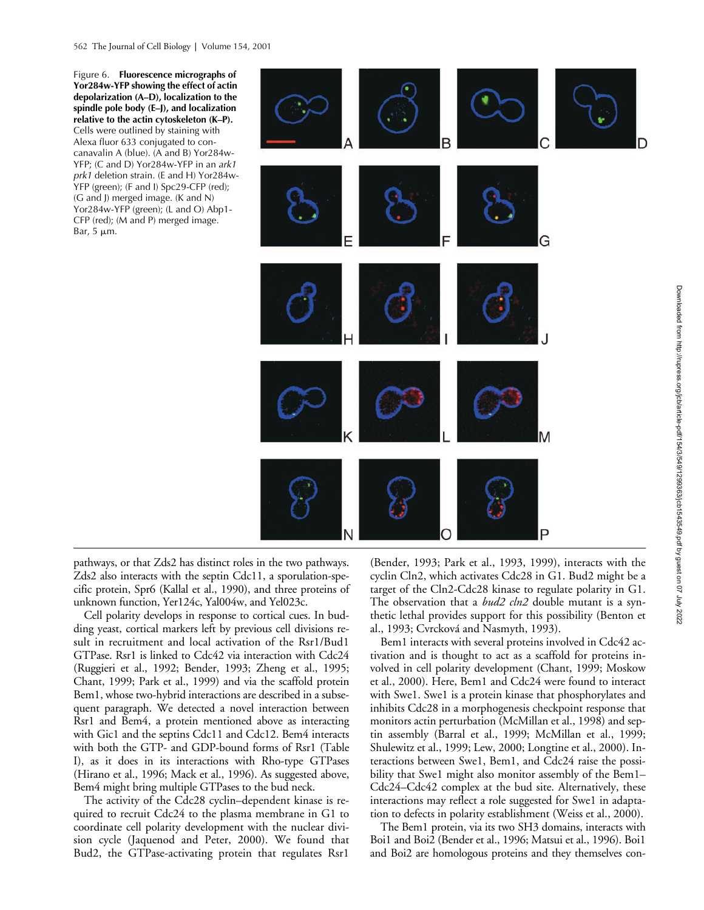Figure 6. **Fluorescence micrographs of Yor284w-YFP showing the effect of actin depolarization (A–D), localization to the spindle pole body (E–J), and localization relative to the actin cytoskeleton (K–P).**  Cells were outlined by staining with Alexa fluor 633 conjugated to concanavalin A (blue). (A and B) Yor284w-YFP; (C and D) Yor284w-YFP in an *ark1 prk1* deletion strain. (E and H) Yor284w-YFP (green); (F and I) Spc29-CFP (red); (G and J) merged image. (K and N) Yor284w-YFP (green); (L and O) Abp1- CFP (red); (M and P) merged image. Bar,  $5 \mu m$ .



pathways, or that Zds2 has distinct roles in the two pathways. Zds2 also interacts with the septin Cdc11, a sporulation-specific protein, Spr6 (Kallal et al., 1990), and three proteins of unknown function, Yer124c, Yal004w, and Yel023c.

Cell polarity develops in response to cortical cues. In budding yeast, cortical markers left by previous cell divisions result in recruitment and local activation of the Rsr1/Bud1 GTPase. Rsr1 is linked to Cdc42 via interaction with Cdc24 (Ruggieri et al., 1992; Bender, 1993; Zheng et al., 1995; Chant, 1999; Park et al., 1999) and via the scaffold protein Bem1, whose two-hybrid interactions are described in a subsequent paragraph. We detected a novel interaction between Rsr1 and Bem4, a protein mentioned above as interacting with Gic1 and the septins Cdc11 and Cdc12. Bem4 interacts with both the GTP- and GDP-bound forms of Rsr1 (Table I), as it does in its interactions with Rho-type GTPases (Hirano et al., 1996; Mack et al., 1996). As suggested above, Bem4 might bring multiple GTPases to the bud neck.

The activity of the Cdc28 cyclin–dependent kinase is required to recruit Cdc24 to the plasma membrane in G1 to coordinate cell polarity development with the nuclear division cycle (Jaquenod and Peter, 2000). We found that Bud2, the GTPase-activating protein that regulates Rsr1

(Bender, 1993; Park et al., 1993, 1999), interacts with the cyclin Cln2, which activates Cdc28 in G1. Bud2 might be a target of the Cln2-Cdc28 kinase to regulate polarity in G1. The observation that a *bud2 cln2* double mutant is a synthetic lethal provides support for this possibility (Benton et al., 1993; Cvrcková and Nasmyth, 1993).

Bem1 interacts with several proteins involved in Cdc42 activation and is thought to act as a scaffold for proteins involved in cell polarity development (Chant, 1999; Moskow et al., 2000). Here, Bem1 and Cdc24 were found to interact with Swe1. Swe1 is a protein kinase that phosphorylates and inhibits Cdc28 in a morphogenesis checkpoint response that monitors actin perturbation (McMillan et al., 1998) and septin assembly (Barral et al., 1999; McMillan et al., 1999; Shulewitz et al., 1999; Lew, 2000; Longtine et al., 2000). Interactions between Swe1, Bem1, and Cdc24 raise the possibility that Swe1 might also monitor assembly of the Bem1– Cdc24–Cdc42 complex at the bud site. Alternatively, these interactions may reflect a role suggested for Swe1 in adaptation to defects in polarity establishment (Weiss et al., 2000).

The Bem1 protein, via its two SH3 domains, interacts with Boi1 and Boi2 (Bender et al., 1996; Matsui et al., 1996). Boi1 and Boi2 are homologous proteins and they themselves con-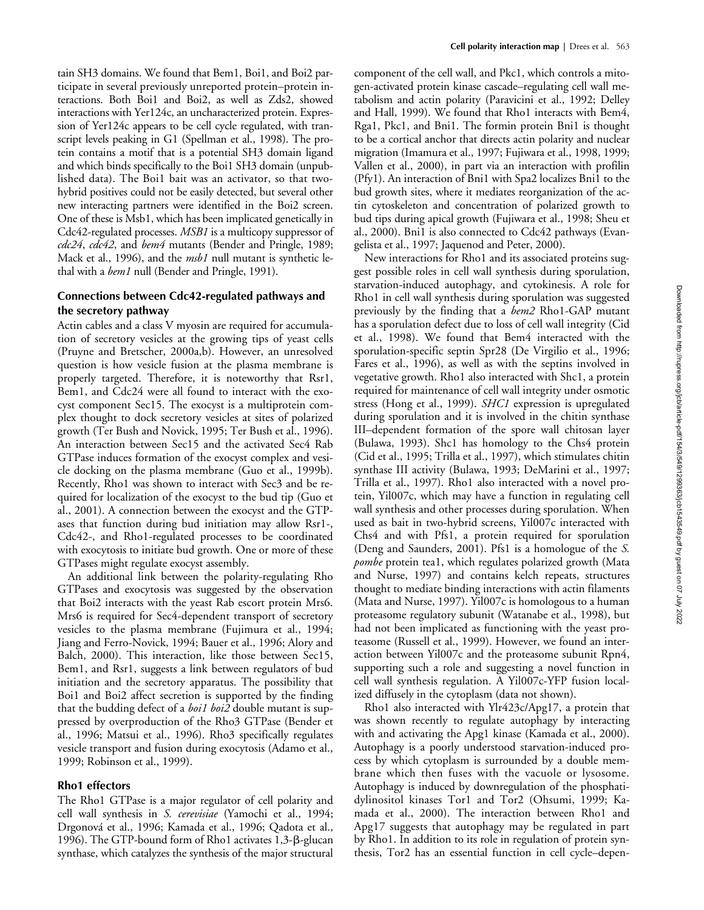tain SH3 domains. We found that Bem1, Boi1, and Boi2 participate in several previously unreported protein–protein interactions. Both Boi1 and Boi2, as well as Zds2, showed interactions with Yer124c, an uncharacterized protein. Expression of Yer124c appears to be cell cycle regulated, with transcript levels peaking in G1 (Spellman et al., 1998). The protein contains a motif that is a potential SH3 domain ligand and which binds specifically to the Boi1 SH3 domain (unpublished data). The Boi1 bait was an activator, so that twohybrid positives could not be easily detected, but several other new interacting partners were identified in the Boi2 screen. One of these is Msb1, which has been implicated genetically in Cdc42-regulated processes. *MSB1* is a multicopy suppressor of *cdc24*, *cdc42*, and *bem4* mutants (Bender and Pringle, 1989; Mack et al., 1996), and the *msb1* null mutant is synthetic lethal with a *bem1* null (Bender and Pringle, 1991).

# **Connections between Cdc42-regulated pathways and the secretory pathway**

Actin cables and a class V myosin are required for accumulation of secretory vesicles at the growing tips of yeast cells (Pruyne and Bretscher, 2000a,b). However, an unresolved question is how vesicle fusion at the plasma membrane is properly targeted. Therefore, it is noteworthy that Rsr1, Bem1, and Cdc24 were all found to interact with the exocyst component Sec15. The exocyst is a multiprotein complex thought to dock secretory vesicles at sites of polarized growth (Ter Bush and Novick, 1995; Ter Bush et al., 1996). An interaction between Sec15 and the activated Sec4 Rab GTPase induces formation of the exocyst complex and vesicle docking on the plasma membrane (Guo et al., 1999b). Recently, Rho1 was shown to interact with Sec3 and be required for localization of the exocyst to the bud tip (Guo et al., 2001). A connection between the exocyst and the GTPases that function during bud initiation may allow Rsr1-, Cdc42-, and Rho1-regulated processes to be coordinated with exocytosis to initiate bud growth. One or more of these GTPases might regulate exocyst assembly.

An additional link between the polarity-regulating Rho GTPases and exocytosis was suggested by the observation that Boi2 interacts with the yeast Rab escort protein Mrs6. Mrs6 is required for Sec4-dependent transport of secretory vesicles to the plasma membrane (Fujimura et al., 1994; Jiang and Ferro-Novick, 1994; Bauer et al., 1996; Alory and Balch, 2000). This interaction, like those between Sec15, Bem1, and Rsr1, suggests a link between regulators of bud initiation and the secretory apparatus. The possibility that Boi1 and Boi2 affect secretion is supported by the finding that the budding defect of a *boi1 boi2* double mutant is suppressed by overproduction of the Rho3 GTPase (Bender et al., 1996; Matsui et al., 1996). Rho3 specifically regulates vesicle transport and fusion during exocytosis (Adamo et al., 1999; Robinson et al., 1999).

# **Rho1 effectors**

The Rho1 GTPase is a major regulator of cell polarity and cell wall synthesis in *S. cerevisiae* (Yamochi et al., 1994; Drgonová et al., 1996; Kamada et al., 1996; Qadota et al., 1996). The GTP-bound form of Rho1 activates 1,3-B-glucan synthase, which catalyzes the synthesis of the major structural component of the cell wall, and Pkc1, which controls a mitogen-activated protein kinase cascade–regulating cell wall metabolism and actin polarity (Paravicini et al., 1992; Delley and Hall, 1999). We found that Rho1 interacts with Bem4, Rga1, Pkc1, and Bni1. The formin protein Bni1 is thought to be a cortical anchor that directs actin polarity and nuclear migration (Imamura et al., 1997; Fujiwara et al., 1998, 1999; Vallen et al., 2000), in part via an interaction with profilin (Pfy1). An interaction of Bni1 with Spa2 localizes Bni1 to the bud growth sites, where it mediates reorganization of the actin cytoskeleton and concentration of polarized growth to bud tips during apical growth (Fujiwara et al., 1998; Sheu et al., 2000). Bni1 is also connected to Cdc42 pathways (Evangelista et al., 1997; Jaquenod and Peter, 2000).

New interactions for Rho1 and its associated proteins suggest possible roles in cell wall synthesis during sporulation, starvation-induced autophagy, and cytokinesis. A role for Rho1 in cell wall synthesis during sporulation was suggested previously by the finding that a *bem2* Rho1-GAP mutant has a sporulation defect due to loss of cell wall integrity (Cid et al., 1998). We found that Bem4 interacted with the sporulation-specific septin Spr28 (De Virgilio et al., 1996; Fares et al., 1996), as well as with the septins involved in vegetative growth. Rho1 also interacted with Shc1, a protein required for maintenance of cell wall integrity under osmotic stress (Hong et al., 1999). *SHC1* expression is upregulated during sporulation and it is involved in the chitin synthase III–dependent formation of the spore wall chitosan layer (Bulawa, 1993). Shc1 has homology to the Chs4 protein (Cid et al., 1995; Trilla et al., 1997), which stimulates chitin synthase III activity (Bulawa, 1993; DeMarini et al., 1997; Trilla et al., 1997). Rho1 also interacted with a novel protein, Yil007c, which may have a function in regulating cell wall synthesis and other processes during sporulation. When used as bait in two-hybrid screens, Yil007c interacted with Chs4 and with Pfs1, a protein required for sporulation (Deng and Saunders, 2001). Pfs1 is a homologue of the *S. pombe* protein tea1, which regulates polarized growth (Mata and Nurse, 1997) and contains kelch repeats, structures thought to mediate binding interactions with actin filaments (Mata and Nurse, 1997). Yil007c is homologous to a human proteasome regulatory subunit (Watanabe et al., 1998), but had not been implicated as functioning with the yeast proteasome (Russell et al., 1999). However, we found an interaction between Yil007c and the proteasome subunit Rpn4, supporting such a role and suggesting a novel function in cell wall synthesis regulation. A Yil007c-YFP fusion localized diffusely in the cytoplasm (data not shown).

Rho1 also interacted with Ylr423c/Apg17, a protein that was shown recently to regulate autophagy by interacting with and activating the Apg1 kinase (Kamada et al., 2000). Autophagy is a poorly understood starvation-induced process by which cytoplasm is surrounded by a double membrane which then fuses with the vacuole or lysosome. Autophagy is induced by downregulation of the phosphatidylinositol kinases Tor1 and Tor2 (Ohsumi, 1999; Kamada et al., 2000). The interaction between Rho1 and Apg17 suggests that autophagy may be regulated in part by Rho1. In addition to its role in regulation of protein synthesis, Tor2 has an essential function in cell cycle–depen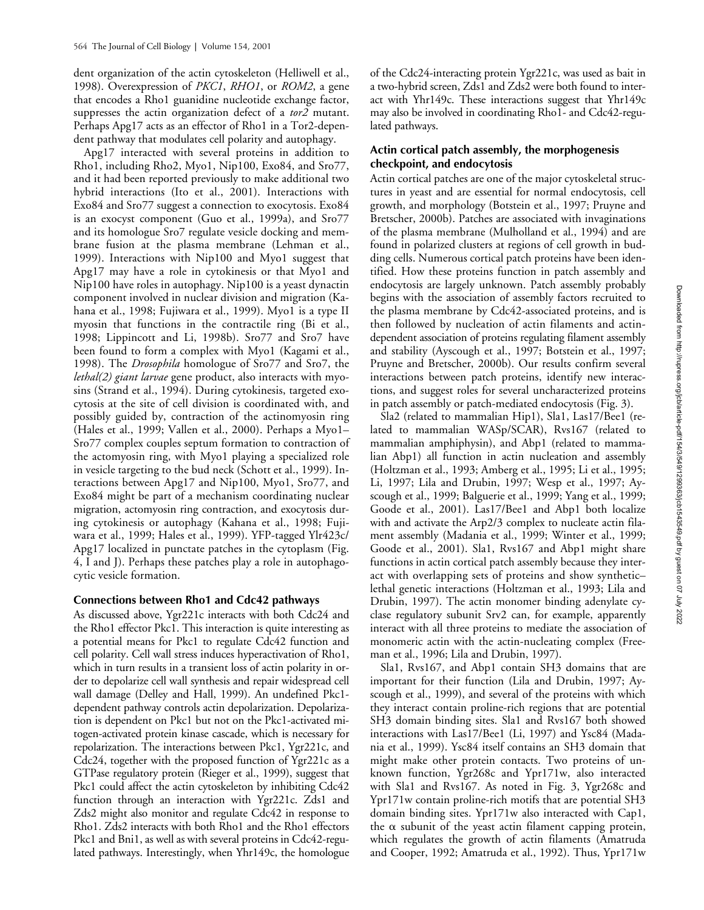dent organization of the actin cytoskeleton (Helliwell et al., 1998). Overexpression of *PKC1*, *RHO1*, or *ROM2*, a gene that encodes a Rho1 guanidine nucleotide exchange factor, suppresses the actin organization defect of a *tor2* mutant. Perhaps Apg17 acts as an effector of Rho1 in a Tor2-dependent pathway that modulates cell polarity and autophagy.

Apg17 interacted with several proteins in addition to Rho1, including Rho2, Myo1, Nip100, Exo84, and Sro77, and it had been reported previously to make additional two hybrid interactions (Ito et al., 2001). Interactions with Exo84 and Sro77 suggest a connection to exocytosis. Exo84 is an exocyst component (Guo et al., 1999a), and Sro77 and its homologue Sro7 regulate vesicle docking and membrane fusion at the plasma membrane (Lehman et al., 1999). Interactions with Nip100 and Myo1 suggest that Apg17 may have a role in cytokinesis or that Myo1 and Nip100 have roles in autophagy. Nip100 is a yeast dynactin component involved in nuclear division and migration (Kahana et al., 1998; Fujiwara et al., 1999). Myo1 is a type II myosin that functions in the contractile ring (Bi et al., 1998; Lippincott and Li, 1998b). Sro77 and Sro7 have been found to form a complex with Myo1 (Kagami et al., 1998). The *Drosophila* homologue of Sro77 and Sro7, the *lethal(2) giant larvae* gene product, also interacts with myosins (Strand et al., 1994). During cytokinesis, targeted exocytosis at the site of cell division is coordinated with, and possibly guided by, contraction of the actinomyosin ring (Hales et al., 1999; Vallen et al., 2000). Perhaps a Myo1– Sro77 complex couples septum formation to contraction of the actomyosin ring, with Myo1 playing a specialized role in vesicle targeting to the bud neck (Schott et al., 1999). Interactions between Apg17 and Nip100, Myo1, Sro77, and Exo84 might be part of a mechanism coordinating nuclear migration, actomyosin ring contraction, and exocytosis during cytokinesis or autophagy (Kahana et al., 1998; Fujiwara et al., 1999; Hales et al., 1999). YFP-tagged Ylr423c/ Apg17 localized in punctate patches in the cytoplasm (Fig. 4, I and J). Perhaps these patches play a role in autophagocytic vesicle formation.

# **Connections between Rho1 and Cdc42 pathways**

As discussed above, Ygr221c interacts with both Cdc24 and the Rho1 effector Pkc1. This interaction is quite interesting as a potential means for Pkc1 to regulate Cdc42 function and cell polarity. Cell wall stress induces hyperactivation of Rho1, which in turn results in a transient loss of actin polarity in order to depolarize cell wall synthesis and repair widespread cell wall damage (Delley and Hall, 1999). An undefined Pkc1 dependent pathway controls actin depolarization. Depolarization is dependent on Pkc1 but not on the Pkc1-activated mitogen-activated protein kinase cascade, which is necessary for repolarization. The interactions between Pkc1, Ygr221c, and Cdc24, together with the proposed function of Ygr221c as a GTPase regulatory protein (Rieger et al., 1999), suggest that Pkc1 could affect the actin cytoskeleton by inhibiting Cdc42 function through an interaction with Ygr221c. Zds1 and Zds2 might also monitor and regulate Cdc42 in response to Rho1. Zds2 interacts with both Rho1 and the Rho1 effectors Pkc1 and Bni1, as well as with several proteins in Cdc42-regulated pathways. Interestingly, when Yhr149c, the homologue

of the Cdc24-interacting protein Ygr221c, was used as bait in a two-hybrid screen, Zds1 and Zds2 were both found to interact with Yhr149c. These interactions suggest that Yhr149c may also be involved in coordinating Rho1- and Cdc42-regulated pathways.

# **Actin cortical patch assembly, the morphogenesis checkpoint, and endocytosis**

Actin cortical patches are one of the major cytoskeletal structures in yeast and are essential for normal endocytosis, cell growth, and morphology (Botstein et al., 1997; Pruyne and Bretscher, 2000b). Patches are associated with invaginations of the plasma membrane (Mulholland et al., 1994) and are found in polarized clusters at regions of cell growth in budding cells. Numerous cortical patch proteins have been identified. How these proteins function in patch assembly and endocytosis are largely unknown. Patch assembly probably begins with the association of assembly factors recruited to the plasma membrane by Cdc42-associated proteins, and is then followed by nucleation of actin filaments and actindependent association of proteins regulating filament assembly and stability (Ayscough et al., 1997; Botstein et al., 1997; Pruyne and Bretscher, 2000b). Our results confirm several interactions between patch proteins, identify new interactions, and suggest roles for several uncharacterized proteins in patch assembly or patch-mediated endocytosis (Fig. 3).

Sla2 (related to mammalian Hip1), Sla1, Las17/Bee1 (related to mammalian WASp/SCAR), Rvs167 (related to mammalian amphiphysin), and Abp1 (related to mammalian Abp1) all function in actin nucleation and assembly (Holtzman et al., 1993; Amberg et al., 1995; Li et al., 1995; Li, 1997; Lila and Drubin, 1997; Wesp et al., 1997; Ayscough et al., 1999; Balguerie et al., 1999; Yang et al., 1999; Goode et al., 2001). Las17/Bee1 and Abp1 both localize with and activate the Arp2/3 complex to nucleate actin filament assembly (Madania et al., 1999; Winter et al., 1999; Goode et al., 2001). Sla1, Rvs167 and Abp1 might share functions in actin cortical patch assembly because they interact with overlapping sets of proteins and show synthetic– lethal genetic interactions (Holtzman et al., 1993; Lila and Drubin, 1997). The actin monomer binding adenylate cyclase regulatory subunit Srv2 can, for example, apparently interact with all three proteins to mediate the association of monomeric actin with the actin-nucleating complex (Freeman et al., 1996; Lila and Drubin, 1997).

Sla1, Rvs167, and Abp1 contain SH3 domains that are important for their function (Lila and Drubin, 1997; Ayscough et al., 1999), and several of the proteins with which they interact contain proline-rich regions that are potential SH3 domain binding sites. Sla1 and Rvs167 both showed interactions with Las17/Bee1 (Li, 1997) and Ysc84 (Madania et al., 1999). Ysc84 itself contains an SH3 domain that might make other protein contacts. Two proteins of unknown function, Ygr268c and Ypr171w, also interacted with Sla1 and Rvs167. As noted in Fig. 3, Ygr268c and Ypr171w contain proline-rich motifs that are potential SH3 domain binding sites. Ypr171w also interacted with Cap1, the  $\alpha$  subunit of the yeast actin filament capping protein, which regulates the growth of actin filaments (Amatruda and Cooper, 1992; Amatruda et al., 1992). Thus, Ypr171w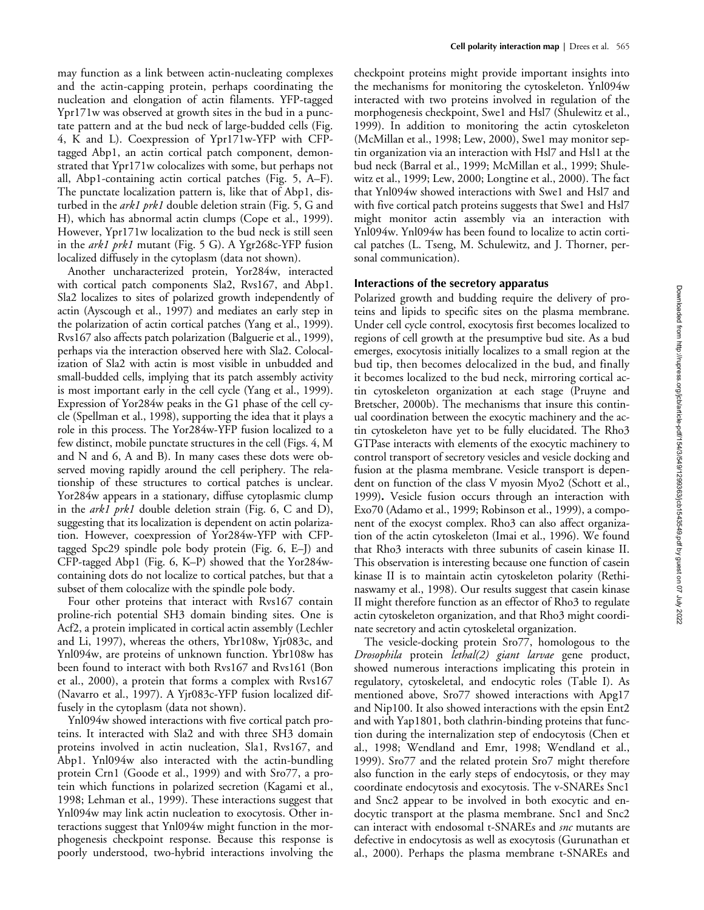may function as a link between actin-nucleating complexes and the actin-capping protein, perhaps coordinating the nucleation and elongation of actin filaments. YFP-tagged Ypr171w was observed at growth sites in the bud in a punctate pattern and at the bud neck of large-budded cells (Fig. 4, K and L). Coexpression of Ypr171w-YFP with CFPtagged Abp1, an actin cortical patch component, demonstrated that Ypr171w colocalizes with some, but perhaps not all, Abp1-containing actin cortical patches (Fig. 5, A–F). The punctate localization pattern is, like that of Abp1, disturbed in the *ark1 prk1* double deletion strain (Fig. 5, G and H), which has abnormal actin clumps (Cope et al., 1999). However, Ypr171w localization to the bud neck is still seen in the *ark1 prk1* mutant (Fig. 5 G). A Ygr268c-YFP fusion localized diffusely in the cytoplasm (data not shown).

Another uncharacterized protein, Yor284w, interacted with cortical patch components Sla2, Rvs167, and Abp1. Sla2 localizes to sites of polarized growth independently of actin (Ayscough et al., 1997) and mediates an early step in the polarization of actin cortical patches (Yang et al., 1999). Rvs167 also affects patch polarization (Balguerie et al., 1999), perhaps via the interaction observed here with Sla2. Colocalization of Sla2 with actin is most visible in unbudded and small-budded cells, implying that its patch assembly activity is most important early in the cell cycle (Yang et al., 1999). Expression of Yor284w peaks in the G1 phase of the cell cycle (Spellman et al., 1998), supporting the idea that it plays a role in this process. The Yor284w-YFP fusion localized to a few distinct, mobile punctate structures in the cell (Figs. 4, M and N and 6, A and B). In many cases these dots were observed moving rapidly around the cell periphery. The relationship of these structures to cortical patches is unclear. Yor284w appears in a stationary, diffuse cytoplasmic clump in the *ark1 prk1* double deletion strain (Fig. 6, C and D), suggesting that its localization is dependent on actin polarization. However, coexpression of Yor284w-YFP with CFPtagged Spc29 spindle pole body protein (Fig. 6, E–J) and CFP-tagged Abp1 (Fig. 6, K–P) showed that the Yor284wcontaining dots do not localize to cortical patches, but that a subset of them colocalize with the spindle pole body.

Four other proteins that interact with Rvs167 contain proline-rich potential SH3 domain binding sites. One is Acf2, a protein implicated in cortical actin assembly (Lechler and Li, 1997), whereas the others, Ybr108w, Yjr083c, and Ynl094w, are proteins of unknown function. Ybr108w has been found to interact with both Rvs167 and Rvs161 (Bon et al., 2000), a protein that forms a complex with Rvs167 (Navarro et al., 1997). A Yjr083c-YFP fusion localized diffusely in the cytoplasm (data not shown).

Ynl094w showed interactions with five cortical patch proteins. It interacted with Sla2 and with three SH3 domain proteins involved in actin nucleation, Sla1, Rvs167, and Abp1. Ynl094w also interacted with the actin-bundling protein Crn1 (Goode et al., 1999) and with Sro77, a protein which functions in polarized secretion (Kagami et al., 1998; Lehman et al., 1999). These interactions suggest that Ynl094w may link actin nucleation to exocytosis. Other interactions suggest that Ynl094w might function in the morphogenesis checkpoint response. Because this response is poorly understood, two-hybrid interactions involving the checkpoint proteins might provide important insights into the mechanisms for monitoring the cytoskeleton. Ynl094w interacted with two proteins involved in regulation of the morphogenesis checkpoint, Swe1 and Hsl7 (Shulewitz et al., 1999). In addition to monitoring the actin cytoskeleton (McMillan et al., 1998; Lew, 2000), Swe1 may monitor septin organization via an interaction with Hsl7 and Hsl1 at the bud neck (Barral et al., 1999; McMillan et al., 1999; Shulewitz et al., 1999; Lew, 2000; Longtine et al., 2000). The fact that Ynl094w showed interactions with Swe1 and Hsl7 and with five cortical patch proteins suggests that Swe1 and Hsl7 might monitor actin assembly via an interaction with Ynl094w. Ynl094w has been found to localize to actin cortical patches (L. Tseng, M. Schulewitz, and J. Thorner, personal communication).

# **Interactions of the secretory apparatus**

Polarized growth and budding require the delivery of proteins and lipids to specific sites on the plasma membrane. Under cell cycle control, exocytosis first becomes localized to regions of cell growth at the presumptive bud site. As a bud emerges, exocytosis initially localizes to a small region at the bud tip, then becomes delocalized in the bud, and finally it becomes localized to the bud neck, mirroring cortical actin cytoskeleton organization at each stage (Pruyne and Bretscher, 2000b). The mechanisms that insure this continual coordination between the exocytic machinery and the actin cytoskeleton have yet to be fully elucidated. The Rho3 GTPase interacts with elements of the exocytic machinery to control transport of secretory vesicles and vesicle docking and fusion at the plasma membrane. Vesicle transport is dependent on function of the class V myosin Myo2 (Schott et al., 1999)**.** Vesicle fusion occurs through an interaction with Exo70 (Adamo et al., 1999; Robinson et al., 1999), a component of the exocyst complex. Rho3 can also affect organization of the actin cytoskeleton (Imai et al., 1996). We found that Rho3 interacts with three subunits of casein kinase II. This observation is interesting because one function of casein kinase II is to maintain actin cytoskeleton polarity (Rethinaswamy et al., 1998). Our results suggest that casein kinase II might therefore function as an effector of Rho3 to regulate actin cytoskeleton organization, and that Rho3 might coordinate secretory and actin cytoskeletal organization.

The vesicle-docking protein Sro77, homologous to the *Drosophila* protein *lethal(2) giant larvae* gene product, showed numerous interactions implicating this protein in regulatory, cytoskeletal, and endocytic roles (Table I). As mentioned above, Sro77 showed interactions with Apg17 and Nip100. It also showed interactions with the epsin Ent2 and with Yap1801, both clathrin-binding proteins that function during the internalization step of endocytosis (Chen et al., 1998; Wendland and Emr, 1998; Wendland et al., 1999). Sro77 and the related protein Sro7 might therefore also function in the early steps of endocytosis, or they may coordinate endocytosis and exocytosis. The v-SNAREs Snc1 and Snc2 appear to be involved in both exocytic and endocytic transport at the plasma membrane. Snc1 and Snc2 can interact with endosomal t-SNAREs and *snc* mutants are defective in endocytosis as well as exocytosis (Gurunathan et al., 2000). Perhaps the plasma membrane t-SNAREs and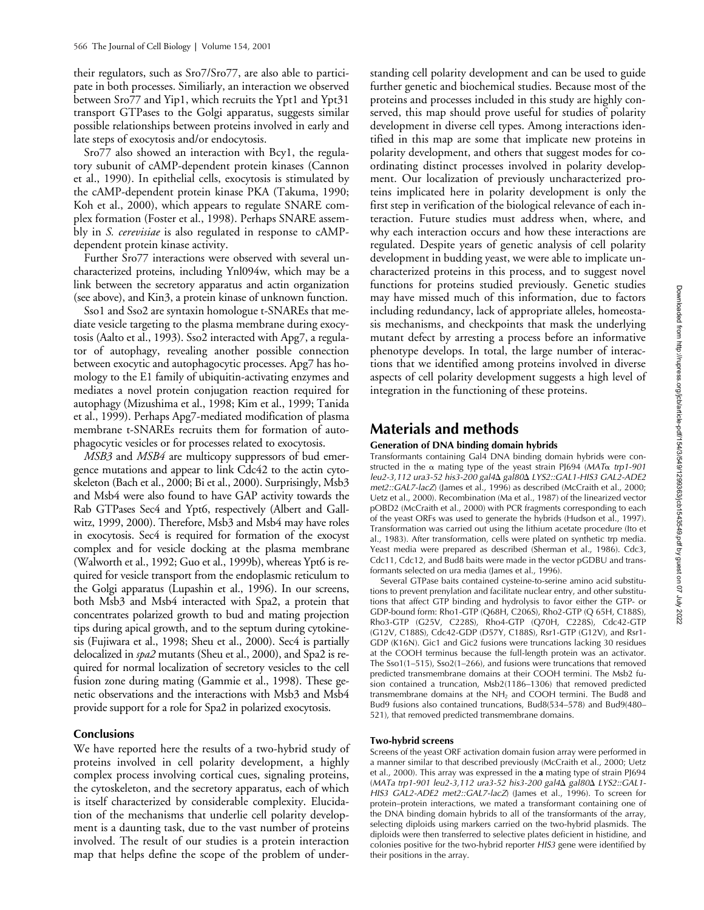their regulators, such as Sro7/Sro77, are also able to participate in both processes. Similiarly, an interaction we observed between Sro77 and Yip1, which recruits the Ypt1 and Ypt31 transport GTPases to the Golgi apparatus, suggests similar possible relationships between proteins involved in early and late steps of exocytosis and/or endocytosis.

Sro77 also showed an interaction with Bcy1, the regulatory subunit of cAMP-dependent protein kinases (Cannon et al., 1990). In epithelial cells, exocytosis is stimulated by the cAMP-dependent protein kinase PKA (Takuma, 1990; Koh et al., 2000), which appears to regulate SNARE complex formation (Foster et al., 1998). Perhaps SNARE assembly in *S. cerevisiae* is also regulated in response to cAMPdependent protein kinase activity.

Further Sro77 interactions were observed with several uncharacterized proteins, including Ynl094w, which may be a link between the secretory apparatus and actin organization (see above), and Kin3, a protein kinase of unknown function.

Sso1 and Sso2 are syntaxin homologue t-SNAREs that mediate vesicle targeting to the plasma membrane during exocytosis (Aalto et al., 1993). Sso2 interacted with Apg7, a regulator of autophagy, revealing another possible connection between exocytic and autophagocytic processes. Apg7 has homology to the E1 family of ubiquitin-activating enzymes and mediates a novel protein conjugation reaction required for autophagy (Mizushima et al., 1998; Kim et al., 1999; Tanida et al., 1999). Perhaps Apg7-mediated modification of plasma membrane t-SNAREs recruits them for formation of autophagocytic vesicles or for processes related to exocytosis.

*MSB3* and *MSB4* are multicopy suppressors of bud emergence mutations and appear to link Cdc42 to the actin cytoskeleton (Bach et al., 2000; Bi et al., 2000). Surprisingly, Msb3 and Msb4 were also found to have GAP activity towards the Rab GTPases Sec4 and Ypt6, respectively (Albert and Gallwitz, 1999, 2000). Therefore, Msb3 and Msb4 may have roles in exocytosis. Sec4 is required for formation of the exocyst complex and for vesicle docking at the plasma membrane (Walworth et al., 1992; Guo et al., 1999b), whereas Ypt6 is required for vesicle transport from the endoplasmic reticulum to the Golgi apparatus (Lupashin et al., 1996). In our screens, both Msb3 and Msb4 interacted with Spa2, a protein that concentrates polarized growth to bud and mating projection tips during apical growth, and to the septum during cytokinesis (Fujiwara et al., 1998; Sheu et al., 2000). Sec4 is partially delocalized in *spa2* mutants (Sheu et al., 2000), and Spa2 is required for normal localization of secretory vesicles to the cell fusion zone during mating (Gammie et al., 1998). These genetic observations and the interactions with Msb3 and Msb4 provide support for a role for Spa2 in polarized exocytosis.

# **Conclusions**

We have reported here the results of a two-hybrid study of proteins involved in cell polarity development, a highly complex process involving cortical cues, signaling proteins, the cytoskeleton, and the secretory apparatus, each of which is itself characterized by considerable complexity. Elucidation of the mechanisms that underlie cell polarity development is a daunting task, due to the vast number of proteins involved. The result of our studies is a protein interaction map that helps define the scope of the problem of understanding cell polarity development and can be used to guide further genetic and biochemical studies. Because most of the proteins and processes included in this study are highly conserved, this map should prove useful for studies of polarity development in diverse cell types. Among interactions identified in this map are some that implicate new proteins in polarity development, and others that suggest modes for coordinating distinct processes involved in polarity development. Our localization of previously uncharacterized proteins implicated here in polarity development is only the first step in verification of the biological relevance of each interaction. Future studies must address when, where, and why each interaction occurs and how these interactions are regulated. Despite years of genetic analysis of cell polarity development in budding yeast, we were able to implicate uncharacterized proteins in this process, and to suggest novel functions for proteins studied previously. Genetic studies may have missed much of this information, due to factors including redundancy, lack of appropriate alleles, homeostasis mechanisms, and checkpoints that mask the underlying mutant defect by arresting a process before an informative phenotype develops. In total, the large number of interactions that we identified among proteins involved in diverse aspects of cell polarity development suggests a high level of integration in the functioning of these proteins.

# **Materials and methods**

# **Generation of DNA binding domain hybrids**

Transformants containing Gal4 DNA binding domain hybrids were constructed in the  $\alpha$  mating type of the yeast strain PJ694 (MAT $\alpha$  trp1-901 *leu2-3,112 ura3-52 his3-200 gal4 gal80 LYS2::GAL1-HIS3 GAL2-ADE2 met2::GAL7-lacZ*) (James et al., 1996) as described (McCraith et al., 2000; Uetz et al., 2000). Recombination (Ma et al., 1987) of the linearized vector pOBD2 (McCraith et al., 2000) with PCR fragments corresponding to each of the yeast ORFs was used to generate the hybrids (Hudson et al., 1997). Transformation was carried out using the lithium acetate procedure (Ito et al., 1983). After transformation, cells were plated on synthetic trp media. Yeast media were prepared as described (Sherman et al., 1986). Cdc3, Cdc11, Cdc12, and Bud8 baits were made in the vector pGDBU and transformants selected on ura media (James et al., 1996).

Several GTPase baits contained cysteine-to-serine amino acid substitutions to prevent prenylation and facilitate nuclear entry, and other substitutions that affect GTP binding and hydrolysis to favor either the GTP- or GDP-bound form: Rho1-GTP (Q68H, C206S), Rho2-GTP (Q 65H, C188S), Rho3-GTP (G25V, C228S), Rho4-GTP (Q70H, C228S), Cdc42-GTP (G12V, C188S), Cdc42-GDP (D57Y, C188S), Rsr1-GTP (G12V), and Rsr1- GDP (K16N). Gic1 and Gic2 fusions were truncations lacking 30 residues at the COOH terminus because the full-length protein was an activator. The Sso1(1–515), Sso2(1–266), and fusions were truncations that removed predicted transmembrane domains at their COOH termini. The Msb2 fusion contained a truncation, Msb2(1186–1306) that removed predicted transmembrane domains at the  $NH<sub>2</sub>$  and COOH termini. The Bud8 and Bud9 fusions also contained truncations, Bud8(534–578) and Bud9(480– 521), that removed predicted transmembrane domains.

# **Two-hybrid screens**

Screens of the yeast ORF activation domain fusion array were performed in a manner similar to that described previously (McCraith et al., 2000; Uetz et al., 2000). This array was expressed in the **a** mating type of strain PJ694 (*MATa trp1-901 leu2-3,112 ura3-52 his3-200 gal4 gal80 LYS2::GAL1- HIS3 GAL2-ADE2 met2::GAL7-lacZ*) (James et al., 1996). To screen for protein–protein interactions, we mated a transformant containing one of the DNA binding domain hybrids to all of the transformants of the array, selecting diploids using markers carried on the two-hybrid plasmids. The diploids were then transferred to selective plates deficient in histidine, and colonies positive for the two-hybrid reporter *HIS3* gene were identified by their positions in the array.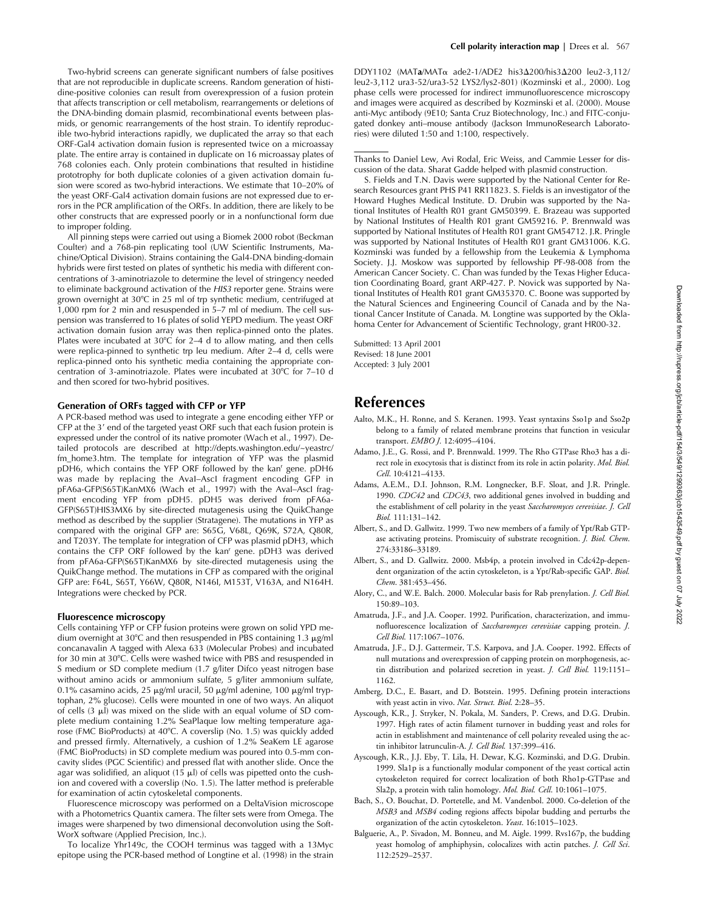Two-hybrid screens can generate significant numbers of false positives that are not reproducible in duplicate screens. Random generation of histidine-positive colonies can result from overexpression of a fusion protein that affects transcription or cell metabolism, rearrangements or deletions of the DNA-binding domain plasmid, recombinational events between plasmids, or genomic rearrangements of the host strain. To identify reproducible two-hybrid interactions rapidly, we duplicated the array so that each ORF-Gal4 activation domain fusion is represented twice on a microassay plate. The entire array is contained in duplicate on 16 microassay plates of 768 colonies each. Only protein combinations that resulted in histidine prototrophy for both duplicate colonies of a given activation domain fusion were scored as two-hybrid interactions. We estimate that 10–20% of the yeast ORF-Gal4 activation domain fusions are not expressed due to errors in the PCR amplification of the ORFs. In addition, there are likely to be other constructs that are expressed poorly or in a nonfunctional form due to improper folding.

All pinning steps were carried out using a Biomek 2000 robot (Beckman Coulter) and a 768-pin replicating tool (UW Scientific Instruments, Machine/Optical Division). Strains containing the Gal4-DNA binding-domain hybrids were first tested on plates of synthetic his media with different concentrations of 3-aminotriazole to determine the level of stringency needed to eliminate background activation of the *HIS3* reporter gene. Strains were grown overnight at 30°C in 25 ml of trp synthetic medium, centrifuged at 1,000 rpm for 2 min and resuspended in 5–7 ml of medium. The cell suspension was transferred to 16 plates of solid YEPD medium. The yeast ORF activation domain fusion array was then replica-pinned onto the plates. Plates were incubated at 30°C for 2-4 d to allow mating, and then cells were replica-pinned to synthetic trp leu medium. After 2–4 d, cells were replica-pinned onto his synthetic media containing the appropriate concentration of 3-aminotriazole. Plates were incubated at 30°C for 7-10 d and then scored for two-hybrid positives.

#### **Generation of ORFs tagged with CFP or YFP**

A PCR-based method was used to integrate a gene encoding either YFP or CFP at the 3' end of the targeted yeast ORF such that each fusion protein is expressed under the control of its native promoter (Wach et al., 1997). Detailed protocols are described at http://depts.washington.edu/~yeastrc/ fm home3.htm. The template for integration of YFP was the plasmid pDH6, which contains the YFP ORF followed by the kan' gene. pDH6 was made by replacing the AvaI–AscI fragment encoding GFP in pFA6a-GFP(S65T)KanMX6 (Wach et al., 1997) with the AvaI–AscI fragment encoding YFP from pDH5. pDH5 was derived from pFA6a-GFP(S65T)HIS3MX6 by site-directed mutagenesis using the QuikChange method as described by the supplier (Stratagene). The mutations in YFP as compared with the original GFP are: S65G, V68L, Q69K, S72A, Q80R, and T203Y. The template for integration of CFP was plasmid pDH3, which contains the CFP ORF followed by the kan' gene. pDH3 was derived from pFA6a-GFP(S65T)KanMX6 by site-directed mutagenesis using the QuikChange method. The mutations in CFP as compared with the original GFP are: F64L, S65T, Y66W, Q80R, N146I, M153T, V163A, and N164H. Integrations were checked by PCR.

### **Fluorescence microscopy**

Cells containing YFP or CFP fusion proteins were grown on solid YPD medium overnight at 30°C and then resuspended in PBS containing 1.3  $\mu$ g/ml concanavalin A tagged with Alexa 633 (Molecular Probes) and incubated for 30 min at 30°C. Cells were washed twice with PBS and resuspended in S medium or SD complete medium (1.7 g/liter Difco yeast nitrogen base without amino acids or ammonium sulfate, 5 g/liter ammonium sulfate, 0.1% casamino acids, 25  $\mu$ g/ml uracil, 50  $\mu$ g/ml adenine, 100  $\mu$ g/ml tryptophan, 2% glucose). Cells were mounted in one of two ways. An aliquot of cells  $(3 \mu)$  was mixed on the slide with an equal volume of SD complete medium containing 1.2% SeaPlaque low melting temperature agarose (FMC BioProducts) at 40°C. A coverslip (No. 1.5) was quickly added and pressed firmly. Alternatively, a cushion of 1.2% SeaKem LE agarose (FMC BioProducts) in SD complete medium was poured into 0.5-mm concavity slides (PGC Scientific) and pressed flat with another slide. Once the agar was solidified, an aliquot (15  $\mu$ l) of cells was pipetted onto the cushion and covered with a coverslip (No. 1.5). The latter method is preferable for examination of actin cytoskeletal components.

Fluorescence microscopy was performed on a DeltaVision microscope with a Photometrics Quantix camera. The filter sets were from Omega. The images were sharpened by two dimensional deconvolution using the Soft-WorX software (Applied Precision, Inc.).

To localize Yhr149c, the COOH terminus was tagged with a 13Myc epitope using the PCR-based method of Longtine et al. (1998) in the strain

DDY1102 (MATa/MATα ade2-1/ADE2 his3Δ200/his3Δ200 leu2-3,112/ leu2-3,112 ura3-52/ura3-52 LYS2/lys2-801) (Kozminski et al., 2000). Log phase cells were processed for indirect immunofluorescence microscopy and images were acquired as described by Kozminski et al. (2000). Mouse anti-Myc antibody (9E10; Santa Cruz Biotechnology, Inc.) and FITC-conjugated donkey anti–mouse antibody (Jackson ImmunoResearch Laboratories) were diluted 1:50 and 1:100, respectively.

Thanks to Daniel Lew, Avi Rodal, Eric Weiss, and Cammie Lesser for discussion of the data. Sharat Gadde helped with plasmid construction.

S. Fields and T.N. Davis were supported by the National Center for Research Resources grant PHS P41 RR11823. S. Fields is an investigator of the Howard Hughes Medical Institute. D. Drubin was supported by the National Institutes of Health R01 grant GM50399. E. Brazeau was supported by National Institutes of Health R01 grant GM59216. P. Brennwald was supported by National Institutes of Health R01 grant GM54712. J.R. Pringle was supported by National Institutes of Health R01 grant GM31006. K.G. Kozminski was funded by a fellowship from the Leukemia & Lymphoma Society. J.J. Moskow was supported by fellowship PF-98-008 from the American Cancer Society. C. Chan was funded by the Texas Higher Education Coordinating Board, grant ARP-427. P. Novick was supported by National Institutes of Health R01 grant GM35370. C. Boone was supported by the Natural Sciences and Engineering Council of Canada and by the National Cancer Institute of Canada. M. Longtine was supported by the Oklahoma Center for Advancement of Scientific Technology, grant HR00-32.

Submitted: 13 April 2001 Revised: 18 June 2001 Accepted: 3 July 2001

# **References**

- Aalto, M.K., H. Ronne, and S. Keranen. 1993. Yeast syntaxins Sso1p and Sso2p belong to a family of related membrane proteins that function in vesicular transport. *EMBO J.* 12:4095–4104.
- Adamo, J.E., G. Rossi, and P. Brennwald. 1999. The Rho GTPase Rho3 has a direct role in exocytosis that is distinct from its role in actin polarity. *Mol. Biol. Cell*. 10:4121–4133.
- Adams, A.E.M., D.I. Johnson, R.M. Longnecker, B.F. Sloat, and J.R. Pringle. 1990. *CDC42* and *CDC43*, two additional genes involved in budding and the establishment of cell polarity in the yeast *Saccharomyces cerevisiae*. *J. Cell Biol.* 111:131–142.
- Albert, S., and D. Gallwitz. 1999. Two new members of a family of Ypt/Rab GTPase activating proteins. Promiscuity of substrate recognition. *J. Biol. Chem*. 274:33186–33189.
- Albert, S., and D. Gallwitz. 2000. Msb4p, a protein involved in Cdc42p-dependent organization of the actin cytoskeleton, is a Ypt/Rab-specific GAP. *Biol. Chem*. 381:453–456.
- Alory, C., and W.E. Balch. 2000. Molecular basis for Rab prenylation. *J. Cell Biol.* 150:89–103.
- Amatruda, J.F., and J.A. Cooper. 1992. Purification, characterization, and immunofluorescence localization of *Saccharomyces cerevisiae* capping protein. *J. Cell Biol.* 117:1067–1076.
- Amatruda, J.F., D.J. Gattermeir, T.S. Karpova, and J.A. Cooper. 1992. Effects of null mutations and overexpression of capping protein on morphogenesis, actin distribution and polarized secretion in yeast. *J. Cell Biol.* 119:1151– 1162.
- Amberg, D.C., E. Basart, and D. Botstein. 1995. Defining protein interactions with yeast actin in vivo. *Nat. Struct. Biol*. 2:28–35.
- Ayscough, K.R., J. Stryker, N. Pokala, M. Sanders, P. Crews, and D.G. Drubin. 1997. High rates of actin filament turnover in budding yeast and roles for actin in establishment and maintenance of cell polarity revealed using the actin inhibitor latrunculin-A. *J. Cell Biol.* 137:399–416.
- Ayscough, K.R., J.J. Eby, T. Lila, H. Dewar, K.G. Kozminski, and D.G. Drubin. 1999. Sla1p is a functionally modular component of the yeast cortical actin cytoskeleton required for correct localization of both Rho1p-GTPase and Sla2p, a protein with talin homology. *Mol. Biol. Cell*. 10:1061–1075.
- Bach, S., O. Bouchat, D. Portetelle, and M. Vandenbol. 2000. Co-deletion of the *MSB3* and *MSB4* coding regions affects bipolar budding and perturbs the organization of the actin cytoskeleton. *Yeast*. 16:1015–1023.
- Balguerie, A., P. Sivadon, M. Bonneu, and M. Aigle. 1999. Rvs167p, the budding yeast homolog of amphiphysin, colocalizes with actin patches. *J. Cell Sci*. 112:2529–2537.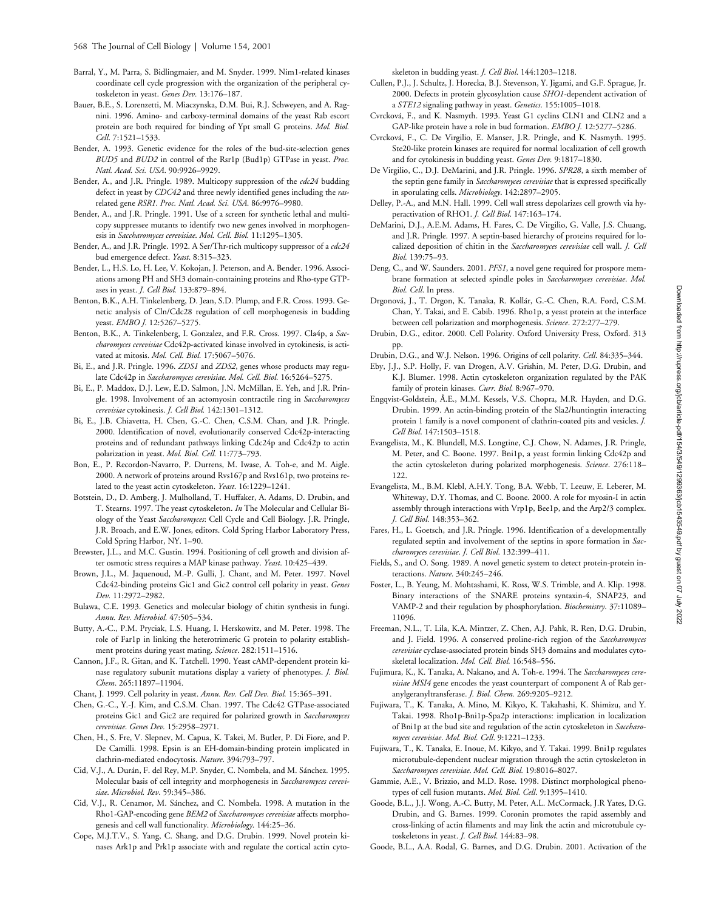- Barral, Y., M. Parra, S. Bidlingmaier, and M. Snyder. 1999. Nim1-related kinases coordinate cell cycle progression with the organization of the peripheral cytoskeleton in yeast. *Genes Dev.* 13:176–187.
- Bauer, B.E., S. Lorenzetti, M. Miaczynska, D.M. Bui, R.J. Schweyen, and A. Ragnini. 1996. Amino- and carboxy-terminal domains of the yeast Rab escort protein are both required for binding of Ypt small G proteins. *Mol. Biol. Cell*. 7:1521–1533.
- Bender, A. 1993. Genetic evidence for the roles of the bud-site-selection genes *BUD5* and *BUD2* in control of the Rsr1p (Bud1p) GTPase in yeast. *Proc. Natl. Acad. Sci. USA*. 90:9926–9929.
- Bender, A., and J.R. Pringle. 1989. Multicopy suppression of the *cdc24* budding defect in yeast by *CDC42* and three newly identified genes including the *ras*related gene *RSR1*. *Proc. Natl. Acad. Sci. USA*. 86:9976–9980.
- Bender, A., and J.R. Pringle. 1991. Use of a screen for synthetic lethal and multicopy suppressee mutants to identify two new genes involved in morphogenesis in *Saccharomyces cerevisiae*. *Mol. Cell. Biol.* 11:1295–1305.
- Bender, A., and J.R. Pringle. 1992. A Ser/Thr-rich multicopy suppressor of a *cdc24* bud emergence defect. *Yeast*. 8:315–323.
- Bender, L., H.S. Lo, H. Lee, V. Kokojan, J. Peterson, and A. Bender. 1996. Associations among PH and SH3 domain-containing proteins and Rho-type GTPases in yeast. *J. Cell Biol.* 133:879–894.
- Benton, B.K., A.H. Tinkelenberg, D. Jean, S.D. Plump, and F.R. Cross. 1993. Genetic analysis of Cln/Cdc28 regulation of cell morphogenesis in budding yeast. *EMBO J.* 12:5267–5275.
- Benton, B.K., A. Tinkelenberg, I. Gonzalez, and F.R. Cross. 1997. Cla4p, a *Saccharomyces cerevisiae* Cdc42p-activated kinase involved in cytokinesis, is activated at mitosis. *Mol. Cell. Biol.* 17:5067–5076.
- Bi, E., and J.R. Pringle. 1996. *ZDS1* and *ZDS2*, genes whose products may regulate Cdc42p in *Saccharomyces cerevisiae. Mol. Cell. Biol.* 16:5264–5275.
- Bi, E., P. Maddox, D.J. Lew, E.D. Salmon, J.N. McMillan, E. Yeh, and J.R. Pringle. 1998. Involvement of an actomyosin contractile ring in *Saccharomyces cerevisiae* cytokinesis. *J. Cell Biol.* 142:1301–1312.
- Bi, E., J.B. Chiavetta, H. Chen, G.-C. Chen, C.S.M. Chan, and J.R. Pringle. 2000. Identification of novel, evolutionarily conserved Cdc42p-interacting proteins and of redundant pathways linking Cdc24p and Cdc42p to actin polarization in yeast. *Mol. Biol. Cell.* 11:773–793.
- Bon, E., P. Recordon-Navarro, P. Durrens, M. Iwase, A. Toh-e, and M. Aigle. 2000. A network of proteins around Rvs167p and Rvs161p, two proteins related to the yeast actin cytoskeleton. *Yeast*. 16:1229–1241.
- Botstein, D., D. Amberg, J. Mulholland, T. Huffaker, A. Adams, D. Drubin, and T. Stearns. 1997. The yeast cytoskeleton. *In* The Molecular and Cellular Biology of the Yeast *Saccharomyces*: Cell Cycle and Cell Biology. J.R. Pringle, J.R. Broach, and E.W. Jones, editors. Cold Spring Harbor Laboratory Press, Cold Spring Harbor, NY. 1–90.
- Brewster, J.L., and M.C. Gustin. 1994. Positioning of cell growth and division after osmotic stress requires a MAP kinase pathway. *Yeast*. 10:425–439.
- Brown, J.L., M. Jaquenoud, M.-P. Gulli, J. Chant, and M. Peter. 1997. Novel Cdc42-binding proteins Gic1 and Gic2 control cell polarity in yeast. *Genes Dev.* 11:2972–2982.
- Bulawa, C.E. 1993. Genetics and molecular biology of chitin synthesis in fungi. *Annu. Rev. Microbiol.* 47:505–534.
- Butty, A.-C., P.M. Pryciak, L.S. Huang, I. Herskowitz, and M. Peter. 1998. The role of Far1p in linking the heterotrimeric G protein to polarity establishment proteins during yeast mating. *Science*. 282:1511–1516.
- Cannon, J.F., R. Gitan, and K. Tatchell. 1990. Yeast cAMP-dependent protein kinase regulatory subunit mutations display a variety of phenotypes. *J. Biol. Chem*. 265:11897–11904.
- Chant, J. 1999. Cell polarity in yeast. *Annu. Rev. Cell Dev. Biol.* 15:365–391.
- Chen, G.-C., Y.-J. Kim, and C.S.M. Chan. 1997. The Cdc42 GTPase-associated proteins Gic1 and Gic2 are required for polarized growth in *Saccharomyces cerevisiae*. *Genes Dev.* 15:2958–2971.
- Chen, H., S. Fre, V. Slepnev, M. Capua, K. Takei, M. Butler, P. Di Fiore, and P. De Camilli. 1998. Epsin is an EH-domain-binding protein implicated in clathrin-mediated endocytosis. *Nature*. 394:793–797.
- Cid, V.J., A. Durán, F. del Rey, M.P. Snyder, C. Nombela, and M. Sánchez. 1995. Molecular basis of cell integrity and morphogenesis in *Saccharomyces cerevisiae*. *Microbiol. Rev*. 59:345–386.
- Cid, V.J., R. Cenamor, M. Sánchez, and C. Nombela. 1998. A mutation in the Rho1-GAP-encoding gene *BEM2* of *Saccharomyces cerevisiae* affects morphogenesis and cell wall functionality. *Microbiology*. 144:25–36.
- Cope, M.J.T.V., S. Yang, C. Shang, and D.G. Drubin. 1999. Novel protein kinases Ark1p and Prk1p associate with and regulate the cortical actin cyto-

skeleton in budding yeast. *J. Cell Biol*. 144:1203–1218.

- Cullen, P.J., J. Schultz, J. Horecka, B.J. Stevenson, Y. Jigami, and G.F. Sprague, Jr. 2000. Defects in protein glycosylation cause *SHO1*-dependent activation of a *STE12* signaling pathway in yeast. *Genetics*. 155:1005–1018.
- Cvrcková, F., and K. Nasmyth. 1993. Yeast G1 cyclins CLN1 and CLN2 and a GAP-like protein have a role in bud formation. *EMBO J.* 12:5277–5286.
- Cvrcková, F., C. De Virgilio, E. Manser, J.R. Pringle, and K. Nasmyth. 1995. Ste20-like protein kinases are required for normal localization of cell growth and for cytokinesis in budding yeast. *Genes Dev.* 9:1817–1830.
- De Virgilio, C., D.J. DeMarini, and J.R. Pringle. 1996. *SPR28*, a sixth member of the septin gene family in *Saccharomyces cerevisiae* that is expressed specifically in sporulating cells. *Microbiology*. 142:2897–2905.
- Delley, P.-A., and M.N. Hall. 1999. Cell wall stress depolarizes cell growth via hyperactivation of RHO1. *J. Cell Biol*. 147:163–174.
- DeMarini, D.J., A.E.M. Adams, H. Fares, C. De Virgilio, G. Valle, J.S. Chuang, and J.R. Pringle. 1997. A septin-based hierarchy of proteins required for localized deposition of chitin in the *Saccharomyces cerevisiae* cell wall. *J. Cell Biol.* 139:75–93.
- Deng, C., and W. Saunders. 2001. *PFS1*, a novel gene required for prospore membrane formation at selected spindle poles in *Saccharomyces cerevisiae*. *Mol. Biol. Cell*. In press.
- Drgonová, J., T. Drgon, K. Tanaka, R. Kollár, G.-C. Chen, R.A. Ford, C.S.M. Chan, Y. Takai, and E. Cabib. 1996. Rho1p, a yeast protein at the interface between cell polarization and morphogenesis. *Science*. 272:277–279.
- Drubin, D.G., editor. 2000. Cell Polarity. Oxford University Press, Oxford. 313 pp.
- Drubin, D.G., and W.J. Nelson. 1996. Origins of cell polarity. *Cell*. 84:335–344.
- Eby, J.J., S.P. Holly, F. van Drogen, A.V. Grishin, M. Peter, D.G. Drubin, and K.J. Blumer. 1998. Actin cytoskeleton organization regulated by the PAK family of protein kinases. *Curr. Biol.* 8:967–970.
- Engqvist-Goldstein, Å.E., M.M. Kessels, V.S. Chopra, M.R. Hayden, and D.G. Drubin. 1999. An actin-binding protein of the Sla2/huntingtin interacting protein 1 family is a novel component of clathrin-coated pits and vesicles. *J. Cell Biol*. 147:1503–1518.
- Evangelista, M., K. Blundell, M.S. Longtine, C.J. Chow, N. Adames, J.R. Pringle, M. Peter, and C. Boone. 1997. Bni1p, a yeast formin linking Cdc42p and the actin cytoskeleton during polarized morphogenesis. *Science*. 276:118– 122.
- Evangelista, M., B.M. Klebl, A.H.Y. Tong, B.A. Webb, T. Leeuw, E. Leberer, M. Whiteway, D.Y. Thomas, and C. Boone. 2000. A role for myosin-I in actin assembly through interactions with Vrp1p, Bee1p, and the Arp2/3 complex. *J. Cell Biol.* 148:353–362.
- Fares, H., L. Goetsch, and J.R. Pringle. 1996. Identification of a developmentally regulated septin and involvement of the septins in spore formation in *Saccharomyces cerevisiae*. *J. Cell Biol*. 132:399–411.
- Fields, S., and O. Song. 1989. A novel genetic system to detect protein-protein interactions. *Nature*. 340:245–246.
- Foster, L., B. Yeung, M. Mohtashami, K. Ross, W.S. Trimble, and A. Klip. 1998. Binary interactions of the SNARE proteins syntaxin-4, SNAP23, and VAMP-2 and their regulation by phosphorylation. *Biochemistry*. 37:11089– 11096.
- Freeman, N.L., T. Lila, K.A. Mintzer, Z. Chen, A.J. Pahk, R. Ren, D.G. Drubin, and J. Field. 1996. A conserved proline-rich region of the *Saccharomyces cerevisiae* cyclase-associated protein binds SH3 domains and modulates cytoskeletal localization. *Mol. Cell. Biol.* 16:548–556.
- Fujimura, K., K. Tanaka, A. Nakano, and A. Toh-e. 1994. The *Saccharomyces cerevisiae MSI4* gene encodes the yeast counterpart of component A of Rab geranylgeranyltransferase. *J. Biol. Chem.* 269:9205–9212.
- Fujiwara, T., K. Tanaka, A. Mino, M. Kikyo, K. Takahashi, K. Shimizu, and Y. Takai. 1998. Rho1p-Bni1p-Spa2p interactions: implication in localization of Bni1p at the bud site and regulation of the actin cytoskeleton in *Saccharomyces cerevisiae*. *Mol. Biol. Cell*. 9:1221–1233.
- Fujiwara, T., K. Tanaka, E. Inoue, M. Kikyo, and Y. Takai. 1999. Bni1p regulates microtubule-dependent nuclear migration through the actin cytoskeleton in *Saccharomyces cerevisiae*. *Mol. Cell. Biol.* 19:8016–8027.
- Gammie, A.E., V. Brizzio, and M.D. Rose. 1998. Distinct morphological phenotypes of cell fusion mutants. *Mol. Biol. Cell*. 9:1395–1410.
- Goode, B.L., J.J. Wong, A.-C. Butty, M. Peter, A.L. McCormack, J.R Yates, D.G. Drubin, and G. Barnes. 1999. Coronin promotes the rapid assembly and cross-linking of actin filaments and may link the actin and microtubule cytoskeletons in yeast. *J. Cell Biol*. 144:83–98.
- Goode, B.L., A.A. Rodal, G. Barnes, and D.G. Drubin. 2001. Activation of the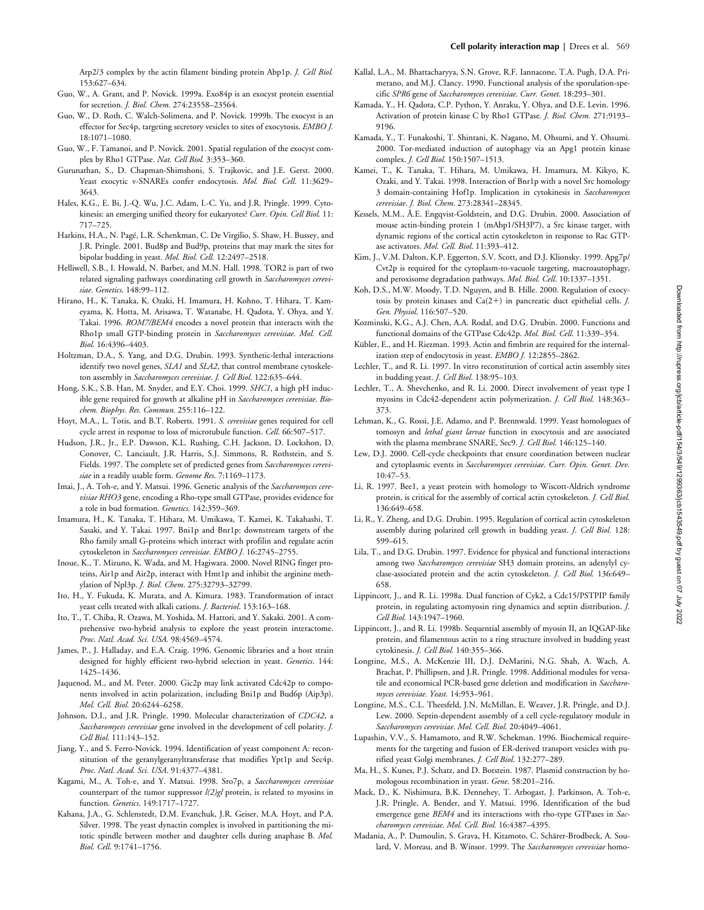Arp2/3 complex by the actin filament binding protein Abp1p. *J. Cell Biol.* 153:627–634.

- Guo, W., A. Grant, and P. Novick. 1999a. Exo84p is an exocyst protein essential for secretion. *J. Biol. Chem.* 274:23558–23564.
- Guo, W., D. Roth, C. Walch-Solimena, and P. Novick. 1999b. The exocyst is an effector for Sec4p, targeting secretory vesicles to sites of exocytosis. *EMBO J.* 18:1071–1080.
- Guo, W., F. Tamanoi, and P. Novick. 2001. Spatial regulation of the exocyst complex by Rho1 GTPase. *Nat. Cell Biol.* 3:353–360.
- Gurunathan, S., D. Chapman-Shimshoni, S. Trajkovic, and J.E. Gerst. 2000. Yeast exocytic v-SNAREs confer endocytosis. *Mol. Biol. Cell*. 11:3629– 3643.
- Hales, K.G., E. Bi, J.-Q. Wu, J.C. Adam, I.-C. Yu, and J.R. Pringle. 1999. Cytokinesis: an emerging unified theory for eukaryotes? *Curr. Opin. Cell Biol.* 11: 717–725.
- Harkins, H.A., N. Pagé, L.R. Schenkman, C. De Virgilio, S. Shaw, H. Bussey, and J.R. Pringle. 2001. Bud8p and Bud9p, proteins that may mark the sites for bipolar budding in yeast. *Mol. Biol. Cell.* 12:2497–2518.
- Helliwell, S.B., I. Howald, N. Barbet, and M.N. Hall. 1998. TOR2 is part of two related signaling pathways coordinating cell growth in *Saccharomyces cerevisiae*. *Genetics*. 148:99–112.
- Hirano, H., K. Tanaka, K. Ozaki, H. Imamura, H. Kohno, T. Hihara, T. Kameyama, K. Hotta, M. Arisawa, T. Watanabe, H. Qadota, Y. Ohya, and Y. Takai. 1996. *ROM7/BEM4* encodes a novel protein that interacts with the Rho1p small GTP-binding protein in *Saccharomyces cerevisiae*. *Mol. Cell. Biol.* 16:4396–4403.
- Holtzman, D.A., S. Yang, and D.G. Drubin. 1993. Synthetic-lethal interactions identify two novel genes, *SLA1* and *SLA2*, that control membrane cytoskeleton assembly in *Saccharomyces cerevisiae*. *J. Cell Biol*. 122:635–644.
- Hong, S.K., S.B. Han, M. Snyder, and E.Y. Choi. 1999. *SHC1*, a high pH inducible gene required for growth at alkaline pH in *Saccharomyces cerevisiae*. *Biochem. Biophys. Res. Commun.* 255:116–122.
- Hoyt, M.A., L. Totis, and B.T. Roberts. 1991. *S. cerevisiae* genes required for cell cycle arrest in response to loss of microtubule function. *Cell*. 66:507–517.
- Hudson, J.R., Jr., E.P. Dawson, K.L. Rushing, C.H. Jackson, D. Lockshon, D. Conover, C. Lanciault, J.R. Harris, S.J. Simmons, R. Rothstein, and S. Fields. 1997. The complete set of predicted genes from *Saccharomyces cerevisiae* in a readily usable form. *Genome Res*. 7:1169–1173.
- Imai, J., A. Toh-e, and Y. Matsui. 1996. Genetic analysis of the *Saccharomyces cerevisiae RHO3* gene, encoding a Rho-type small GTPase, provides evidence for a role in bud formation. *Genetics*. 142:359–369.
- Imamura, H., K. Tanaka, T. Hihara, M. Umikawa, T. Kamei, K. Takahashi, T. Sasaki, and Y. Takai. 1997. Bni1p and Bnr1p: downstream targets of the Rho family small G-proteins which interact with profilin and regulate actin cytoskeleton in *Saccharomyces cerevisiae. EMBO J.* 16:2745–2755.
- Inoue, K., T. Mizuno, K. Wada, and M. Hagiwara. 2000. Novel RING finger proteins, Air1p and Air2p, interact with Hmt1p and inhibit the arginine methylation of Npl3p. *J. Biol. Chem*. 275:32793–32799.
- Ito, H., Y. Fukuda, K. Murata, and A. Kimura. 1983. Transformation of intact yeast cells treated with alkali cations. *J. Bacteriol*. 153:163–168.
- Ito, T., T. Chiba, R. Ozawa, M. Yoshida, M. Hattori, and Y. Sakaki. 2001. A comprehensive two-hybrid analysis to explore the yeast protein interactome. *Proc. Natl. Acad. Sci. USA.* 98:4569–4574.
- James, P., J. Halladay, and E.A. Craig. 1996. Genomic libraries and a host strain designed for highly efficient two-hybrid selection in yeast. *Genetics*. 144: 1425–1436.
- Jaquenod, M., and M. Peter. 2000. Gic2p may link activated Cdc42p to components involved in actin polarization, including Bni1p and Bud6p (Aip3p). *Mol. Cell. Biol.* 20:6244–6258.
- Johnson, D.I., and J.R. Pringle. 1990. Molecular characterization of *CDC42*, a *Saccharomyces cerevisiae* gene involved in the development of cell polarity. *J. Cell Biol.* 111:143–152.
- Jiang, Y., and S. Ferro-Novick. 1994. Identification of yeast component A: reconstitution of the geranylgeranyltransferase that modifies Ypt1p and Sec4p. *Proc. Natl. Acad. Sci. USA*. 91:4377–4381.
- Kagami, M., A. Toh-e, and Y. Matsui. 1998. Sro7p, a *Saccharomyces cerevisiae* counterpart of the tumor suppressor *l(2)gl* protein, is related to myosins in function. *Genetics*. 149:1717–1727.
- Kahana, J.A., G. Schlenstedt, D.M. Evanchuk, J.R. Geiser, M.A. Hoyt, and P.A. Silver. 1998. The yeast dynactin complex is involved in partitioning the mitotic spindle between mother and daughter cells during anaphase B. *Mol. Biol. Cell*. 9:1741–1756.
- Kallal, L.A., M. Bhattacharyya, S.N. Grove, R.F. Iannacone, T.A. Pugh, D.A. Primerano, and M.J. Clancy. 1990. Functional analysis of the sporulation-specific *SPR6* gene of *Saccharomyces cerevisiae*. *Curr. Genet*. 18:293–301.
- Kamada, Y., H. Qadota, C.P. Python, Y. Anraku, Y. Ohya, and D.E. Levin. 1996. Activation of protein kinase C by Rho1 GTPase. *J. Biol. Chem.* 271:9193– 9196.
- Kamada, Y., T. Funakoshi, T. Shintani, K. Nagano, M. Ohsumi, and Y. Ohsumi. 2000. Tor-mediated induction of autophagy via an Apg1 protein kinase complex. *J. Cell Biol*. 150:1507–1513.
- Kamei, T., K. Tanaka, T. Hihara, M. Umikawa, H. Imamura, M. Kikyo, K. Ozaki, and Y. Takai. 1998. Interaction of Bnr1p with a novel Src homology 3 domain-containing Hof1p. Implication in cytokinesis in *Saccharomyces cerevisiae*. *J. Biol. Chem*. 273:28341–28345.
- Kessels, M.M., Å.E. Engqvist-Goldstein, and D.G. Drubin. 2000. Association of mouse actin-binding protein 1 (mAbp1/SH3P7), a Src kinase target, with dynamic regions of the cortical actin cytoskeleton in response to Rac GTPase activators. *Mol. Cell. Biol*. 11:393–412.
- Kim, J., V.M. Dalton, K.P. Eggerton, S.V. Scott, and D.J. Klionsky. 1999. Apg7p/ Cvt2p is required for the cytoplasm-to-vacuole targeting, macroautophagy, and peroxisome degradation pathways. *Mol. Biol. Cell*. 10:1337–1351.
- Koh, D.S., M.W. Moody, T.D. Nguyen, and B. Hille. 2000. Regulation of exocytosis by protein kinases and  $Ca(2+)$  in pancreatic duct epithelial cells.  $J$ . *Gen. Physiol*. 116:507–520.
- Kozminski, K.G., A.J. Chen, A.A. Rodal, and D.G. Drubin. 2000. Functions and functional domains of the GTPase Cdc42p. *Mol. Biol. Cell*. 11:339–354.
- Kübler, E., and H. Riezman. 1993. Actin and fimbrin are required for the internalization step of endocytosis in yeast. *EMBO J.* 12:2855–2862.
- Lechler, T., and R. Li. 1997. In vitro reconstitution of cortical actin assembly sites in budding yeast. *J. Cell Biol*. 138:95–103.
- Lechler, T., A. Shevchenko, and R. Li. 2000. Direct involvement of yeast type I myosins in Cdc42-dependent actin polymerization. *J. Cell Biol.* 148:363– 373.
- Lehman, K., G. Rossi, J.E. Adamo, and P. Brennwald. 1999. Yeast homologues of tomosyn and *lethal giant larvae* function in exocytosis and are associated with the plasma membrane SNARE, Sec9. *J. Cell Biol.* 146:125–140.
- Lew, D.J. 2000. Cell-cycle checkpoints that ensure coordination between nuclear and cytoplasmic events in *Saccharomyces cerevisiae*. *Curr. Opin. Genet. Dev.* 10:47–53.
- Li, R. 1997. Bee1, a yeast protein with homology to Wiscott-Aldrich syndrome protein, is critical for the assembly of cortical actin cytoskeleton. *J. Cell Biol.* 136:649–658.
- Li, R., Y. Zheng, and D.G. Drubin. 1995. Regulation of cortical actin cytoskeleton assembly during polarized cell growth in budding yeast. *J. Cell Biol.* 128: 599–615.
- Lila, T., and D.G. Drubin. 1997. Evidence for physical and functional interactions among two *Saccharomyces cerevisiae* SH3 domain proteins, an adenylyl cyclase-associated protein and the actin cytoskeleton. *J. Cell Biol.* 136:649– 658.
- Lippincott, J., and R. Li. 1998a. Dual function of Cyk2, a Cdc15/PSTPIP family protein, in regulating actomyosin ring dynamics and septin distribution. *J. Cell Biol.* 143:1947–1960.
- Lippincott, J., and R. Li. 1998b. Sequential assembly of myosin II, an IQGAP-like protein, and filamentous actin to a ring structure involved in budding yeast cytokinesis. *J. Cell Biol.* 140:355–366.
- Longtine, M.S., A. McKenzie III, D.J. DeMarini, N.G. Shah, A. Wach, A. Brachat, P. Phillipsen, and J.R. Pringle. 1998. Additional modules for versatile and economical PCR-based gene deletion and modification in *Saccharomyces cerevisiae. Yeast.* 14:953–961.
- Longtine, M.S., C.L. Theesfeld, J.N. McMillan, E. Weaver, J.R. Pringle, and D.J. Lew. 2000. Septin-dependent assembly of a cell cycle-regulatory module in *Saccharomyces cerevisiae*. *Mol. Cell. Biol.* 20:4049–4061.
- Lupashin, V.V., S. Hamamoto, and R.W. Schekman. 1996. Biochemical requirements for the targeting and fusion of ER-derived transport vesicles with purified yeast Golgi membranes. *J. Cell Biol*. 132:277–289.
- Ma, H., S. Kunes, P.J. Schatz, and D. Botstein. 1987. Plasmid construction by homologous recombination in yeast. *Gene*. 58:201–216.
- Mack, D., K. Nishimura, B.K. Dennehey, T. Arbogast, J. Parkinson, A. Toh-e, J.R. Pringle, A. Bender, and Y. Matsui. 1996. Identification of the bud emergence gene *BEM4* and its interactions with rho-type GTPases in *Saccharomyces cerevisiae*. *Mol. Cell. Biol.* 16:4387–4395.
- Madania, A., P. Dumoulin, S. Grava, H. Kitamoto, C. Schärer-Brodbeck, A. Soulard, V. Moreau, and B. Winsor. 1999. The *Saccharomyces cerevisiae* homo-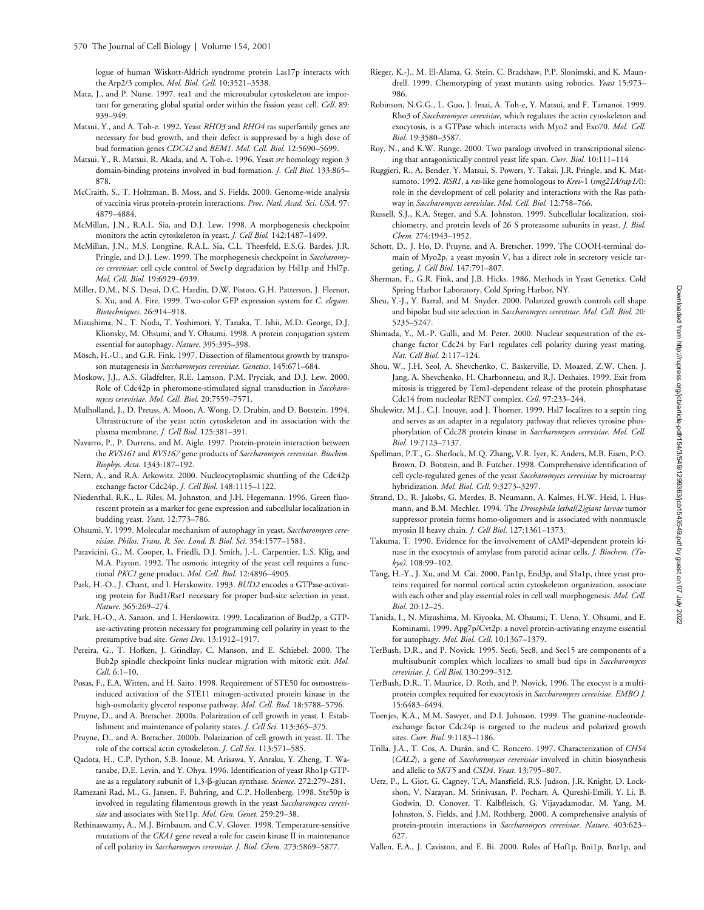logue of human Wiskott-Aldrich syndrome protein Las17p interacts with the Arp2/3 complex. *Mol. Biol. Cell*. 10:3521–3538.

- Mata, J., and P. Nurse. 1997. tea1 and the microtubular cytoskeleton are important for generating global spatial order within the fission yeast cell. *Cell*. 89: 939–949.
- Matsui, Y., and A. Toh-e. 1992. Yeast *RHO3* and *RHO4* ras superfamily genes are necessary for bud growth, and their defect is suppressed by a high dose of bud formation genes *CDC42* and *BEM1*. *Mol. Cell. Biol.* 12:5690–5699.
- Matsui, Y., R. Matsui, R. Akada, and A. Toh-e. 1996. Yeast *src* homology region 3 domain-binding proteins involved in bud formation. *J. Cell Biol.* 133:865– 878.
- McCraith, S., T. Holtzman, B. Moss, and S. Fields. 2000. Genome-wide analysis of vaccinia virus protein-protein interactions. *Proc. Natl. Acad. Sci. USA*. 97: 4879–4884.
- McMillan, J.N., R.A.L. Sia, and D.J. Lew. 1998. A morphogenesis checkpoint monitors the actin cytoskeleton in yeast. *J. Cell Biol.* 142:1487–1499.
- McMillan, J.N., M.S. Longtine, R.A.L. Sia, C.L. Theesfeld, E.S.G. Bardes, J.R. Pringle, and D.J. Lew. 1999. The morphogenesis checkpoint in *Saccharomyces cerevisiae*: cell cycle control of Swe1p degradation by Hsl1p and Hsl7p. *Mol. Cell. Biol.* 19:6929–6939.
- Miller, D.M., N.S. Desai, D.C. Hardin, D.W. Piston, G.H. Patterson, J. Fleenor, S. Xu, and A. Fire. 1999. Two-color GFP expression system for *C. elegans*. *Biotechniques*. 26:914–918.
- Mizushima, N., T. Noda, T. Yoshimori, Y. Tanaka, T. Ishii, M.D. George, D.J. Klionsky, M. Ohsumi, and Y. Ohsumi. 1998. A protein conjugation system essential for autophagy. *Nature*. 395:395–398.
- Mösch, H.-U., and G.R. Fink. 1997. Dissection of filamentous growth by transposon mutagenesis in *Saccharomyces cerevisiae*. *Genetics*. 145:671–684.
- Moskow, J.J., A.S. Gladfelter, R.E. Lamson, P.M. Pryciak, and D.J. Lew. 2000. Role of Cdc42p in pheromone-stimulated signal transduction in *Saccharomyces cerevisiae*. *Mol. Cell. Biol*. 20:7559–7571.
- Mulholland, J., D. Preuss, A. Moon, A. Wong, D. Drubin, and D. Botstein. 1994. Ultrastructure of the yeast actin cytoskeleton and its association with the plasma membrane. *J. Cell Biol*. 125:381–391.
- Navarro, P., P. Durrens, and M. Aigle. 1997. Protein-protein interaction between the *RVS161* and *RVS167* gene products of *Saccharomyces cerevisiae*. *Biochim. Biophys. Acta*. 1343:187–192.
- Nern, A., and R.A. Arkowitz. 2000. Nucleocytoplasmic shuttling of the Cdc42p exchange factor Cdc24p. *J. Cell Biol.* 148:1115–1122.
- Niedenthal, R.K., L. Riles, M. Johnston, and J.H. Hegemann. 1996. Green fluorescent protein as a marker for gene expression and subcellular localization in budding yeast. *Yeast*. 12:773–786.
- Ohsumi, Y. 1999. Molecular mechanism of autophagy in yeast, *Saccharomyces cerevisiae*. *Philos. Trans. R. Soc. Lond. B. Biol. Sci*. 354:1577–1581.
- Paravicini, G., M. Cooper, L. Friedli, D.J. Smith, J.-L. Carpentier, L.S. Klig, and M.A. Payton. 1992. The osmotic integrity of the yeast cell requires a functional *PKC1* gene product. *Mol. Cell. Biol*. 12:4896–4905.
- Park, H.-O., J. Chant, and I. Herskowitz. 1993. *BUD2* encodes a GTPase-activating protein for Bud1/Rsr1 necessary for proper bud-site selection in yeast. *Nature*. 365:269–274.
- Park, H.-O., A. Sanson, and I. Herskowitz. 1999. Localization of Bud2p, a GTPase-activating protein necessary for programming cell polarity in yeast to the presumptive bud site. *Genes Dev.* 13:1912–1917.
- Pereira, G., T. Hofken, J. Grindlay, C. Manson, and E. Schiebel. 2000. The Bub2p spindle checkpoint links nuclear migration with mitotic exit. *Mol. Cell*. 6:1–10.
- Posas, F., E.A. Witten, and H. Saito. 1998. Requirement of STE50 for osmostressinduced activation of the STE11 mitogen-activated protein kinase in the high-osmolarity glycerol response pathway. *Mol. Cell. Biol.* 18:5788–5796.
- Pruyne, D., and A. Bretscher. 2000a. Polarization of cell growth in yeast. I. Establishment and maintenance of polarity states. *J. Cell Sci.* 113:365–375.
- Pruyne, D., and A. Bretscher. 2000b. Polarization of cell growth in yeast. II. The role of the cortical actin cytoskeleton. *J. Cell Sci.* 113:571–585.
- Qadota, H., C.P. Python, S.B. Inoue, M. Arisawa, Y. Anraku, Y. Zheng, T. Watanabe, D.E. Levin, and Y. Ohya. 1996. Identification of yeast Rho1p GTPase as a regulatory subunit of 1,3-B-glucan synthase. *Science*. 272:279-281.
- Ramezani Rad, M., G. Jansen, F. Buhring, and C.P. Hollenberg. 1998. Ste50p is involved in regulating filamentous growth in the yeast *Saccharomyces cerevisiae* and associates with Ste11p. *Mol. Gen. Genet.* 259:29–38.
- Rethinaswamy, A., M.J. Birnbaum, and C.V. Glover. 1998. Temperature-sensitive mutations of the *CKA1* gene reveal a role for casein kinase II in maintenance of cell polarity in *Saccharomyces cerevisiae*. *J. Biol. Chem.* 273:5869–5877.
- Rieger, K.-J., M. El-Alama, G. Stein, C. Bradshaw, P.P. Slonimski, and K. Maundrell. 1999. Chemotyping of yeast mutants using robotics. *Yeast* 15:973– 986.
- Robinson, N.G.G., L. Guo, J. Imai, A. Toh-e, Y. Matsui, and F. Tamanoi. 1999. Rho3 of *Saccharomyces cerevisiae*, which regulates the actin cytoskeleton and exocytosis, is a GTPase which interacts with Myo2 and Exo70. *Mol. Cell. Biol.* 19:3580–3587.
- Roy, N., and K.W. Runge. 2000. Two paralogs involved in transcriptional silencing that antagonistically control yeast life span. *Curr. Biol.* 10:111–114
- Ruggieri, R., A. Bender, Y. Matsui, S. Powers, Y. Takai, J.R. Pringle, and K. Matsumoto. 1992. *RSR1*, a *ras*-like gene homologous to *Krev*-1 (*smg21A/rap1A*): role in the development of cell polarity and interactions with the Ras pathway in *Saccharomyces cerevisiae*. *Mol. Cell. Biol.* 12:758–766.
- Russell, S.J., K.A. Steger, and S.A. Johnston. 1999. Subcellular localization, stoichiometry, and protein levels of 26 S proteasome subunits in yeast. *J. Biol. Chem.* 274:1943–1952.
- Schott, D., J. Ho, D. Pruyne, and A. Bretscher. 1999. The COOH-terminal domain of Myo2p, a yeast myosin V, has a direct role in secretory vesicle targeting. *J. Cell Biol*. 147:791–807.
- Sherman, F., G.R. Fink, and J.B. Hicks. 1986. Methods in Yeast Genetics. Cold Spring Harbor Laboratory, Cold Spring Harbor, NY.
- Sheu, Y.-J., Y. Barral, and M. Snyder. 2000. Polarized growth controls cell shape and bipolar bud site selection in *Saccharomyces cerevisiae*. *Mol. Cell. Biol.* 20: 5235–5247.
- Shimada, Y., M.-P. Gulli, and M. Peter. 2000. Nuclear sequestration of the exchange factor Cdc24 by Far1 regulates cell polarity during yeast mating. *Nat. Cell Biol*. 2:117–124.
- Shou, W., J.H. Seol, A. Shevchenko, C. Baskerville, D. Moazed, Z.W. Chen, J. Jang, A. Shevchenko, H. Charbonneau, and R.J. Deshaies. 1999. Exit from mitosis is triggered by Tem1-dependent release of the protein phosphatase Cdc14 from nucleolar RENT complex. *Cell*. 97:233–244.
- Shulewitz, M.J., C.J. Inouye, and J. Thorner. 1999. Hsl7 localizes to a septin ring and serves as an adapter in a regulatory pathway that relieves tyrosine phosphorylation of Cdc28 protein kinase in *Saccharomyces cerevisiae*. *Mol. Cell. Biol.* 19:7123–7137.
- Spellman, P.T., G. Sherlock, M.Q. Zhang, V.R. Iyer, K. Anders, M.B. Eisen, P.O. Brown, D. Botstein, and B. Futcher. 1998. Comprehensive identification of cell cycle-regulated genes of the yeast *Saccharomyces cerevisiae* by microarray hybridization. *Mol. Biol. Cell*. 9:3273–3297.
- Strand, D., R. Jakobs, G. Merdes, B. Neumann, A. Kalmes, H.W. Heid, I. Husmann, and B.M. Mechler. 1994. The *Drosophila lethal(2)giant larvae* tumor suppressor protein forms homo-oligomers and is associated with nonmuscle myosin II heavy chain. *J. Cell Biol*. 127:1361–1373.
- Takuma, T. 1990. Evidence for the involvement of cAMP-dependent protein kinase in the exocytosis of amylase from parotid acinar cells. *J. Biochem. (Tokyo)*. 108:99–102.
- Tang, H.-Y., J. Xu, and M. Cai. 2000. Pan1p, End3p, and S1a1p, three yeast proteins required for normal cortical actin cytoskeleton organization, associate with each other and play essential roles in cell wall morphogenesis. *Mol. Cell. Biol*. 20:12–25.
- Tanida, I., N. Mizushima, M. Kiyooka, M. Ohsumi, T. Ueno, Y. Ohsumi, and E. Kominami. 1999. Apg7p/Cvt2p: a novel protein-activating enzyme essential for autophagy. *Mol. Biol. Cell*. 10:1367–1379.
- TerBush, D.R., and P. Novick. 1995. Sec6, Sec8, and Sec15 are components of a multisubunit complex which localizes to small bud tips in *Saccharomyces cerevisiae*. *J. Cell Biol.* 130:299–312.
- TerBush, D.R., T. Maurice, D. Roth, and P. Novick. 1996. The exocyst is a multiprotein complex required for exocytosis in *Saccharomyces cerevisiae*. *EMBO J.* 15:6483–6494.
- Toenjes, K.A., M.M. Sawyer, and D.I. Johnson. 1999. The guanine-nucleotideexchange factor Cdc24p is targeted to the nucleus and polarized growth sites. *Curr. Biol.* 9:1183–1186.
- Trilla, J.A., T. Cos, A. Durán, and C. Roncero. 1997. Characterization of *CHS4* (*CAL2*), a gene of *Saccharomyces cerevisiae* involved in chitin biosynthesis and allelic to *SKT5* and *CSD4*. *Yeast*. 13:795–807.
- Uetz, P., L. Giot, G. Cagney, T.A. Mansfield, R.S. Judson, J.R. Knight, D. Lockshon, V. Narayan, M. Srinivasan, P. Pochart, A. Qureshi-Emili, Y. Li, B. Godwin, D. Conover, T. Kalbfleisch, G. Vijayadamodar, M. Yang, M. Johnston, S. Fields, and J.M. Rothberg. 2000. A comprehensive analysis of protein-protein interactions in *Saccharomyces cerevisiae*. *Nature*. 403:623– 627.
- Vallen, E.A., J. Caviston, and E. Bi. 2000. Roles of Hof1p, Bni1p, Bnr1p, and